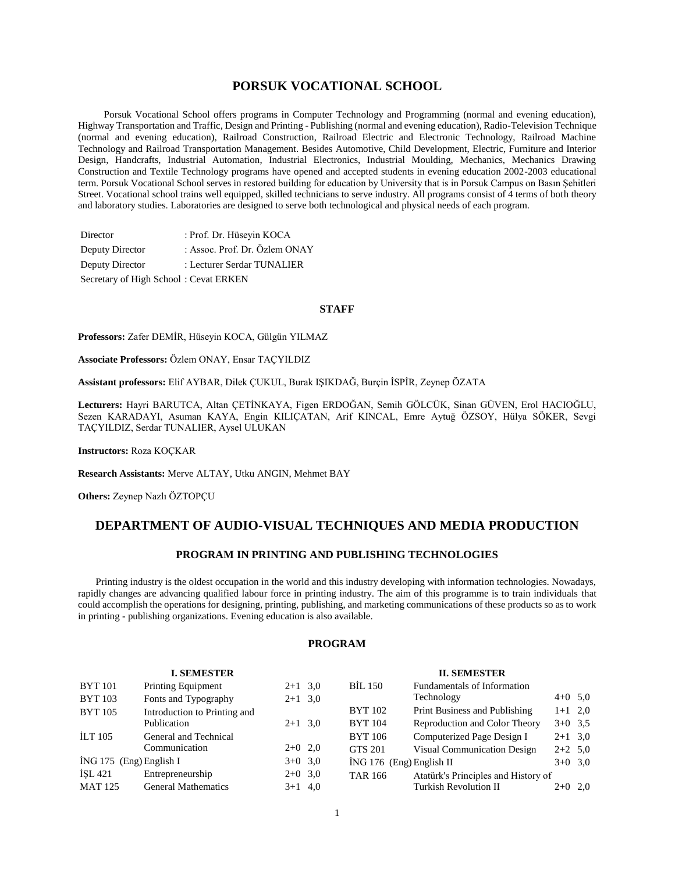# **PORSUK VOCATIONAL SCHOOL**

 Porsuk Vocational School offers programs in Computer Technology and Programming (normal and evening education), Highway Transportation and Traffic, Design and Printing - Publishing (normal and evening education), Radio-Television Technique (normal and evening education), Railroad Construction, Railroad Electric and Electronic Technology, Railroad Machine Technology and Railroad Transportation Management. Besides Automotive, Child Development, Electric, Furniture and Interior Design, Handcrafts, Industrial Automation, Industrial Electronics, Industrial Moulding, Mechanics, Mechanics Drawing Construction and Textile Technology programs have opened and accepted students in evening education 2002-2003 educational term. Porsuk Vocational School serves in restored building for education by University that is in Porsuk Campus on Basın Şehitleri Street. Vocational school trains well equipped, skilled technicians to serve industry. All programs consist of 4 terms of both theory and laboratory studies. Laboratories are designed to serve both technological and physical needs of each program.

| Director                              | : Prof. Dr. Hüseyin KOCA      |
|---------------------------------------|-------------------------------|
| Deputy Director                       | : Assoc. Prof. Dr. Özlem ONAY |
| Deputy Director                       | : Lecturer Serdar TUNALIER    |
| Secretary of High School: Cevat ERKEN |                               |

#### **STAFF**

**Professors:** Zafer DEMİR, Hüseyin KOCA, Gülgün YILMAZ

**Associate Professors:** Özlem ONAY, Ensar TAÇYILDIZ

**Assistant professors:** Elif AYBAR, Dilek ÇUKUL, Burak IŞIKDAĞ, Burçin İSPİR, Zeynep ÖZATA

**Lecturers:** Hayri BARUTCA, Altan ÇETİNKAYA, Figen ERDOĞAN, Semih GÖLCÜK, Sinan GÜVEN, Erol HACIOĞLU, Sezen KARADAYI, Asuman KAYA, Engin KILIÇATAN, Arif KINCAL, Emre Aytuğ ÖZSOY, Hülya SÖKER, Sevgi TAÇYILDIZ, Serdar TUNALIER, Aysel ULUKAN

**Instructors:** Roza KOÇKAR

**Research Assistants:** Merve ALTAY, Utku ANGIN, Mehmet BAY

**Others:** Zeynep Nazlı ÖZTOPÇU

# **DEPARTMENT OF AUDIO-VISUAL TECHNIQUES AND MEDIA PRODUCTION**

# **PROGRAM IN PRINTING AND PUBLISHING TECHNOLOGIES**

 Printing industry is the oldest occupation in the world and this industry developing with information technologies. Nowadays, rapidly changes are advancing qualified labour force in printing industry. The aim of this programme is to train individuals that could accomplish the operations for designing, printing, publishing, and marketing communications of these products so as to work in printing - publishing organizations. Evening education is also available.

# **PROGRAM**

#### **II. SEMESTER**

|                         | <b>I. SEMESTER</b>           |           |                            | <b>II. SEMESTER</b>                 |           |  |
|-------------------------|------------------------------|-----------|----------------------------|-------------------------------------|-----------|--|
| <b>BYT</b> 101          | <b>Printing Equipment</b>    | $2+1$ 3.0 | <b>BIL 150</b>             | Fundamentals of Information         |           |  |
| <b>BYT 103</b>          | Fonts and Typography         | $2+1$ 3.0 |                            | Technology                          | $4+0$ 5.0 |  |
| <b>BYT 105</b>          | Introduction to Printing and |           | <b>BYT 102</b>             | Print Business and Publishing       | $1+1$ 2,0 |  |
|                         | Publication                  | $2+1$ 3.0 | <b>BYT</b> 104             | Reproduction and Color Theory       | $3+0$ 3.5 |  |
| <b>ILT 105</b>          | General and Technical        |           | <b>BYT</b> 106             | Computerized Page Design I          | $2+1$ 3,0 |  |
|                         | Communication                | $2+0$ 2,0 | GTS 201                    | <b>Visual Communication Design</b>  | $2+2$ 5.0 |  |
| İNG 175 (Eng) English I |                              | $3+0$ 3.0 | $ING 176$ (Eng) English II |                                     | $3+0$ 3.0 |  |
| <b>ISL 421</b>          | Entrepreneurship             | $2+0$ 3.0 | <b>TAR 166</b>             | Atatürk's Principles and History of |           |  |
| <b>MAT 125</b>          | <b>General Mathematics</b>   | $3+1$ 4,0 |                            | Turkish Revolution II               | $2+0$ 2.0 |  |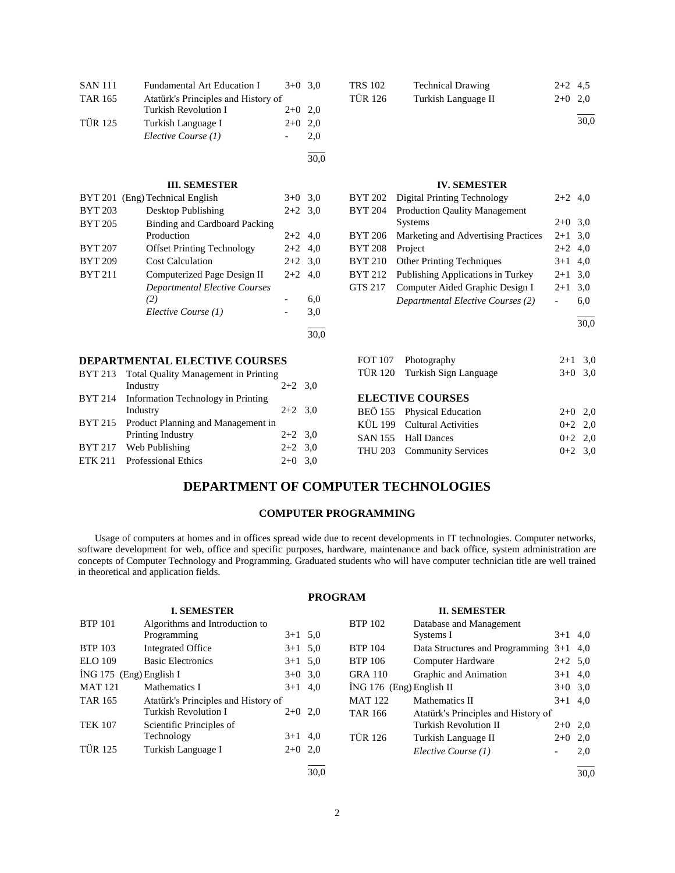| <b>SAN 111</b> | Fundamental Art Education I         | $3+0$ 3,0 |      |
|----------------|-------------------------------------|-----------|------|
| <b>TAR 165</b> | Atatürk's Principles and History of |           |      |
|                | <b>Turkish Revolution I</b>         | $2+0$     | 2,0  |
| <b>TÜR 125</b> | Turkish Language I                  | $2+0$     | 2,0  |
|                | Elective Course (1)                 |           | 2,0  |
|                |                                     |           | 30,0 |
|                | <b>III. SEMESTER</b>                |           |      |
|                | BYT 201 (Eng) Technical English     | $3+0$ 3,0 |      |
| <b>BYT 203</b> | Desktop Publishing                  | $2+2$ 3.0 |      |
| <b>BYT 205</b> | Binding and Cardboard Packing       |           |      |
|                | Production                          | $2+2$ 4,0 |      |
| <b>BYT 207</b> | <b>Offset Printing Technology</b>   | $2 + 2$   | 4,0  |
| <b>BYT 209</b> | <b>Cost Calculation</b>             | $2+2$ 3,0 |      |
| <b>BYT 211</b> | Computerized Page Design II         | $2+2$ 4,0 |      |
|                | Departmental Elective Courses       |           |      |
|                | (2)                                 |           | 6,0  |
|                | Elective Course (1)                 |           | 3,0  |
|                |                                     |           | 30,0 |
|                |                                     |           |      |

#### **DEPARTMENTAL ELECTIVE COURSES**

| BYT 213 Total Quality Management in Printing |           |  |
|----------------------------------------------|-----------|--|
| Industry                                     | $2+2$ 3.0 |  |
| BYT 214 Information Technology in Printing   |           |  |
| Industry                                     | $2+2$ 3.0 |  |
| BYT 215 Product Planning and Management in   |           |  |
| Printing Industry                            | $2+2$ 3.0 |  |
| BYT 217 Web Publishing                       | $2+2$ 3.0 |  |
| ETK 211 Professional Ethics                  | $2+0$ 3,0 |  |
|                                              |           |  |

| <b>TRS 102</b> | <b>Technical Drawing</b> | $2+2$ 4.5 |  |
|----------------|--------------------------|-----------|--|
| TÜR 126        | Turkish Language II      | $2+0$ 2.0 |  |
|                |                          |           |  |

 $\frac{1}{30.0}$ 

# **IV. SEMESTER**

| <b>BYT 202</b> | Digital Printing Technology          | $2+2$ 4,0 |     |
|----------------|--------------------------------------|-----------|-----|
| <b>BYT 204</b> | <b>Production Qaulity Management</b> |           |     |
|                | <b>Systems</b>                       | $2+0$     | 3,0 |
| <b>BYT 206</b> | Marketing and Advertising Practices  | $2 + 1$   | 3,0 |
| <b>BYT 208</b> | Project                              | $2+2$ 4.0 |     |
| <b>BYT 210</b> | <b>Other Printing Techniques</b>     | $3+1$     | 4,0 |
| <b>BYT 212</b> | Publishing Applications in Turkey    | $2 + 1$   | 3,0 |
| <b>GTS 217</b> | Computer Aided Graphic Design I      | $2+1$     | 3,0 |
|                | Departmental Elective Courses (2)    |           | 6,0 |
|                |                                      |           |     |

30,0

| FOT 107 Photography           | $2+1$ 3.0 |  |
|-------------------------------|-----------|--|
| TÜR 120 Turkish Sign Language | $3+0$ 3.0 |  |

#### **ELECTIVE COURSES**

| BEÖ 155 Physical Education<br>KÜL 199 Cultural Activities<br>SAN 155 Hall Dances<br>THU 203 Community Services | $2+0$ 2.0<br>$0+2$ 2,0<br>$0+2$ 2.0<br>$0+2$ 3.0 |
|----------------------------------------------------------------------------------------------------------------|--------------------------------------------------|

# **DEPARTMENT OF COMPUTER TECHNOLOGIES**

#### **COMPUTER PROGRAMMING**

 Usage of computers at homes and in offices spread wide due to recent developments in IT technologies. Computer networks, software development for web, office and specific purposes, hardware, maintenance and back office, system administration are concepts of Computer Technology and Programming. Graduated students who will have computer technician title are well trained in theoretical and application fields.

# **PROGRAM**

#### **I. SEMESTER** BTP 101 Algorithms and Introduction to Programming  $3+1$  5,0 BTP 103 Integrated Office 3+1 5,0 ELO 109 Basic Electronics 3+1 5,0  $i$ NG 175 (Eng) English I  $3+0$  3,0 MAT 121 Mathematics I  $3+1$  4,0 TAR 165 Atatürk's Principles and History of Turkish Revolution I 2+0 2,0 TEK 107 Scientific Principles of Technology  $3+1$  4,0 TÜR 125 Turkish Language I 2+0 2,0 l 30,0 **II. SEMESTER** BTP 102 Database and Management Systems I  $3+1$  4,0 BTP 104 Data Structures and Programming 3+1 4,0 BTP 106 Computer Hardware 2+2 5,0 GRA 110 Graphic and Animation 3+1 4,0  $\text{ING } 176 \text{ (Eng)}$  English II  $3+0.3,0$ MAT 122 Mathematics II  $3+1$  4,0 TAR 166 Atatürk's Principles and History of<br>Turkish Revolution II 2+0 2.0 Turkish Revolution II TÜR 126 Turkish Language II 2+0 2,0 *Elective Course (1)* - 2,0 l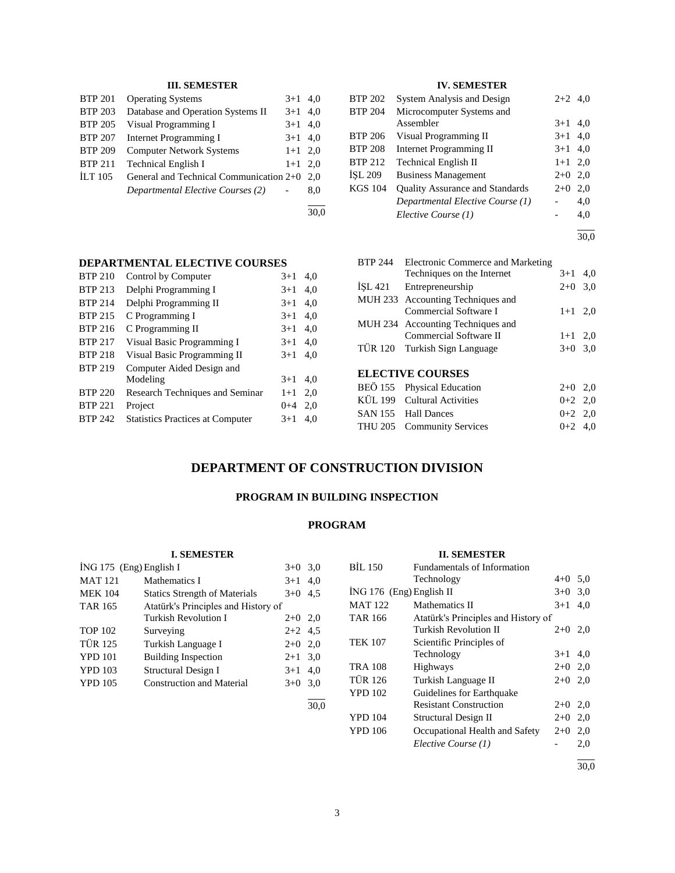# **III. SEMESTER**

| <b>BTP 201</b>   | <b>Operating Systems</b>                | $3+1$ 4,0 |     |
|------------------|-----------------------------------------|-----------|-----|
| <b>BTP 203</b>   | Database and Operation Systems II       | $3+1$     | 4.0 |
| <b>BTP 205</b>   | Visual Programming I                    | $3+1$ 4,0 |     |
| <b>BTP 207</b>   | Internet Programming I                  | $3+1$ 4,0 |     |
| <b>BTP 209</b>   | <b>Computer Network Systems</b>         | $1+1$ 2.0 |     |
| <b>BTP 211</b>   | <b>Technical English I</b>              | $1+1$ 2.0 |     |
| $\text{ILT}$ 105 | General and Technical Communication 2+0 |           | 2.0 |
|                  | Departmental Elective Courses (2)       |           | 8,0 |
|                  |                                         |           |     |

30,0

# **IV. SEMESTER**

| BTP 202        | <b>System Analysis and Design</b>      | $2+2$ 4,0 |     |
|----------------|----------------------------------------|-----------|-----|
| BTP 204        | Microcomputer Systems and              |           |     |
|                | Assembler                              | $3+1$     | 4,0 |
| BTP 206        | Visual Programming II                  | $3+1$ 4,0 |     |
| <b>BTP 208</b> | <b>Internet Programming II</b>         | $3+1$ 4,0 |     |
| <b>BTP 212</b> | <b>Technical English II</b>            | $1+1$ 2,0 |     |
| İSL 209        | <b>Business Management</b>             | $2+0$     | 2,0 |
| KGS 104        | <b>Quality Assurance and Standards</b> | $2+0$     | 2,0 |
|                | Departmental Elective Course (1)       |           | 4,0 |
|                | Elective Course (1)                    |           | 4,0 |
|                |                                        |           |     |

30,0

# **DEPARTMENTAL ELECTIVE COURSES**

| <b>BTP 210</b> | Control by Computer                     | $3+1$   | 4,0 |
|----------------|-----------------------------------------|---------|-----|
| <b>BTP 213</b> | Delphi Programming I                    | $3+1$   | 4,0 |
| <b>BTP 214</b> | Delphi Programming II                   | $3+1$   | 4,0 |
| <b>BTP 215</b> | C Programming I                         | $3+1$   | 4,0 |
| <b>BTP 216</b> | C Programming II                        | $3+1$   | 4,0 |
| <b>BTP 217</b> | Visual Basic Programming I              | $3+1$   | 4,0 |
| <b>BTP 218</b> | Visual Basic Programming II             | $3 + 1$ | 4.0 |
| <b>BTP 219</b> | Computer Aided Design and               |         |     |
|                | Modeling                                | $3+1$   | 4.0 |
| <b>BTP 220</b> | Research Techniques and Seminar         | $1+1$   | 2.0 |
| <b>BTP 221</b> | Project                                 | $0 + 4$ | 2,0 |
| <b>BTP 242</b> | <b>Statistics Practices at Computer</b> | $3+1$   | 4.0 |
|                |                                         |         |     |

| <b>BTP 244</b> | Electronic Commerce and Marketing |           |     |
|----------------|-----------------------------------|-----------|-----|
|                | Techniques on the Internet        | $3+1$     | 4,0 |
|                | ISL 421 Entrepreneurship          | $2+0$ 3,0 |     |
|                | MUH 233 Accounting Techniques and |           |     |
|                | Commercial Software I             | $1+1$ 2,0 |     |
|                | MUH 234 Accounting Techniques and |           |     |
|                | Commercial Software II            | $1+1$ 2,0 |     |
|                | TÜR 120 Turkish Sign Language     | $3+0$ 3.0 |     |
|                |                                   |           |     |
|                | <b>ELECTIVE COURSES</b>           |           |     |
|                | BEÖ 155 Physical Education        | $2+0$ 2,0 |     |
|                | KÜL 199 Cultural Activities       | $0+2$ 2.0 |     |
|                | SAN 155 Hall Dances               | $0+2$ 2.0 |     |

THU 205 Community Services 0+2 4,0

# **DEPARTMENT OF CONSTRUCTION DIVISION**

# **PROGRAM IN BUILDING INSPECTION**

# **PROGRAM**

# **I. SEMESTER**  $i$ NG 175 (Eng) English I  $3+0$  3,0 MAT 121 Mathematics I  $3+1$  4,0 MEK 104 Statics Strength of Materials  $3+0$  4,5 TAR 165 Atatürk's Principles and History of<br>Turkish Revolution I 2+0 2,0 Turkish Revolution I TOP 102 Surveying  $2+2$  4,5 TÜR 125 Turkish Language I 2+0 2,0  $YPD 101$  Building Inspection  $2+1$  3,0  $YPD 103$  Structural Design I  $3+1$  4,0 YPD 105 Construction and Material 3+0 3,0 l

|                            | <b>II. SEMESTER</b>                 |           |      |
|----------------------------|-------------------------------------|-----------|------|
| <b>BIL 150</b>             | <b>Fundamentals of Information</b>  |           |      |
|                            | Technology                          | $4+0$ 5.0 |      |
| $ING 176$ (Eng) English II |                                     | $3+0$     | 3,0  |
| <b>MAT 122</b>             | Mathematics II                      | $3+1$     | 4.0  |
| <b>TAR 166</b>             | Atatürk's Principles and History of |           |      |
|                            | <b>Turkish Revolution II</b>        | $2+0$ 2,0 |      |
| <b>TEK 107</b>             | Scientific Principles of            |           |      |
|                            | Technology                          | $3+1$     | 4,0  |
| <b>TRA 108</b>             | <b>Highways</b>                     | $2+0$ 2,0 |      |
| <b>TÜR 126</b>             | Turkish Language II                 | $2+0$     | 2,0  |
| <b>YPD 102</b>             | Guidelines for Earthquake           |           |      |
|                            | <b>Resistant Construction</b>       | $2+0$     | 2,0  |
| <b>YPD 104</b>             | Structural Design II                | $2+0$     | 2,0  |
| YPD 106                    | Occupational Health and Safety      | $2+0$     | 2,0  |
|                            | Elective Course (1)                 |           | 2,0  |
|                            |                                     |           | 30.0 |

30,0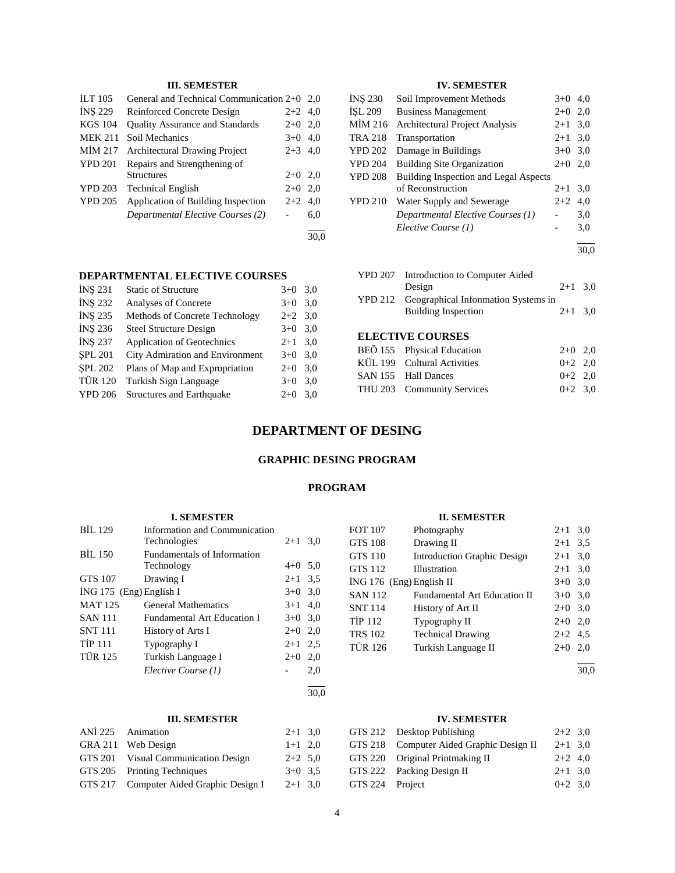# **III. SEMESTER**

| <b>ILT</b> 105 | General and Technical Communication 2+0 |           | 2.0  |
|----------------|-----------------------------------------|-----------|------|
| <b>INS 229</b> | Reinforced Concrete Design              | $2+2$ 4.0 |      |
| <b>KGS 104</b> | <b>Quality Assurance and Standards</b>  | $2+0$     | 2,0  |
| <b>MEK 211</b> | Soil Mechanics                          | $3+0$     | 4.0  |
| MIM 217        | <b>Architectural Drawing Project</b>    | $2 + 3$   | 4.0  |
| <b>YPD 201</b> | Repairs and Strengthening of            |           |      |
|                | Structures                              | $2+0$ 2.0 |      |
| <b>YPD 203</b> | <b>Technical English</b>                | $2+0$     | 2,0  |
| <b>YPD 205</b> | Application of Building Inspection      | $2+2$     | 4.0  |
|                | Departmental Elective Courses (2)       |           | 6,0  |
|                |                                         |           | 30.0 |

#### **DEPARTMENTAL ELECTIVE COURSES**

| <b>INS 231</b> | <b>Static of Structure</b>        | $3+0$     | 3,0 |
|----------------|-----------------------------------|-----------|-----|
| <b>INS 232</b> | Analyses of Concrete              | $3+0$     | 3,0 |
| <b>INS 235</b> | Methods of Concrete Technology    | $2+2$ 3.0 |     |
| <b>INS 236</b> | <b>Steel Structure Design</b>     | $3+0$     | 3,0 |
| <b>INS 237</b> | <b>Application of Geotechnics</b> | $2 + 1$   | 3,0 |
| <b>SPL 201</b> | City Admiration and Environment   | $3+0$ 3.0 |     |
| <b>SPL 202</b> | Plans of Map and Expropriation    | $2+0$     | 3,0 |
| <b>TÜR 120</b> | Turkish Sign Language             | $3+0$     | 3,0 |
| <b>YPD 206</b> | <b>Structures and Earthquake</b>  | $2+0$     | 3,0 |
|                |                                   |           |     |

# **IV. SEMESTER**

| <b>INS 230</b> | Soil Improvement Methods                     | $3+0$     | 4,0 |
|----------------|----------------------------------------------|-----------|-----|
| ISL 209        | <b>Business Management</b>                   | $2+0$     | 2,0 |
| MIM 216        | <b>Architectural Project Analysis</b>        | $2 + 1$   | 3,0 |
| <b>TRA 218</b> | Transportation                               | $2 + 1$   | 3,0 |
| <b>YPD 202</b> | Damage in Buildings                          | $3+0$ 3.0 |     |
| <b>YPD 204</b> | <b>Building Site Organization</b>            | $2+0$     | 2,0 |
| <b>YPD 208</b> | <b>Building Inspection and Legal Aspects</b> |           |     |
|                | of Reconstruction                            | $2+1$     | 3,0 |
| <b>YPD 210</b> | Water Supply and Sewerage                    | $2+2$     | 4,0 |
|                | Departmental Elective Courses (1)            |           | 3,0 |
|                | Elective Course (1)                          |           | 3,0 |
|                |                                              |           |     |

| YPD 207 | Introduction to Computer Aided              |           |  |  |
|---------|---------------------------------------------|-----------|--|--|
|         | Design                                      | $2+1$ 3.0 |  |  |
|         | YPD 212 Geographical Information Systems in |           |  |  |
|         | <b>Building Inspection</b>                  | $2+1$ 3.0 |  |  |
|         |                                             |           |  |  |

# **ELECTIVE COURSES**

| BEÖ 155 Physical Education  | $2+0$ 2.0 |  |
|-----------------------------|-----------|--|
| KÜL 199 Cultural Activities | $0+2$ 2.0 |  |
| SAN 155 Hall Dances         | $0+2$ 2.0 |  |
| THU 203 Community Services  | $0+2$ 3.0 |  |
|                             |           |  |

# **DEPARTMENT OF DESING**

# **GRAPHIC DESING PROGRAM**

# **PROGRAM**

# **I. SEMESTER** BİL 129 Information and Communication Technologies 2+1 3,0 BİL 150 Fundamentals of Information Technology 4+0 5,0 GTS 107 Drawing I  $2+1$  3,5  $i$ NG 175 (Eng) English I  $3+0$  3,0 MAT 125 General Mathematics 3+1 4,0 SAN 111 Fundamental Art Education I 3+0 3,0 SNT 111 History of Arts I  $2+0$  2,0 TİP 111 Typography I  $2+1$  2,5 TÜR 125 Turkish Language I 2+0 2,0 *Elective Course (1)* - 2,0  $\overline{a}$

# **II. SEMESTER**

| <b>FOT 107</b>           | Photography                         | $2+1$     | 3,0 |
|--------------------------|-------------------------------------|-----------|-----|
| <b>GTS 108</b>           | Drawing II                          | $2 + 1$   | 3.5 |
| <b>GTS 110</b>           | Introduction Graphic Design         | $2 + 1$   | 3,0 |
| <b>GTS 112</b>           | Illustration                        | $2+1$ 3,0 |     |
| ING 176 (Eng) English II |                                     | $3+0$     | 3,0 |
| <b>SAN 112</b>           | <b>Fundamental Art Education II</b> | $3+0$     | 3,0 |
| <b>SNT 114</b>           | History of Art II                   | $2+0$ 3,0 |     |
| <b>TIP 112</b>           | Typography II                       | $2+0$     | 2,0 |
| <b>TRS 102</b>           | <b>Technical Drawing</b>            | $2+2$ 4.5 |     |
| <b>TÜR 126</b>           | Turkish Language II                 | $2+0$     | 2,0 |
|                          |                                     |           |     |

30,0

30,0

# **III. SEMESTER**

| ANİ 225 Animation                       | $2+1$ 3,0 |  |
|-----------------------------------------|-----------|--|
| GRA 211 Web Design                      | $1+1$ 2,0 |  |
| GTS 201 Visual Communication Design     | $2+2$ 5,0 |  |
| GTS 205 Printing Techniques             | $3+0$ 3.5 |  |
| GTS 217 Computer Aided Graphic Design I | $2+1$ 3.0 |  |

# **IV. SEMESTER**

|                 | GTS 212 Desktop Publishing               | $2+2$ 3.0 |  |
|-----------------|------------------------------------------|-----------|--|
|                 | GTS 218 Computer Aided Graphic Design II | $2+1$ 3.0 |  |
|                 | GTS 220 Original Printmaking II          | $2+2$ 4,0 |  |
|                 | GTS 222 Packing Design II                | $2+1$ 3,0 |  |
| GTS 224 Project |                                          | $0+2$ 3,0 |  |

30,0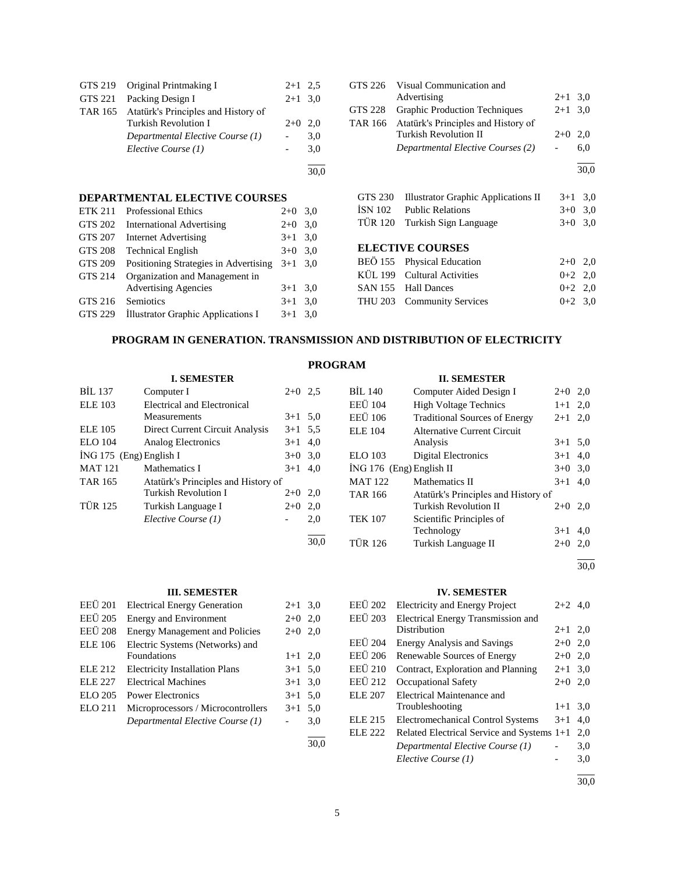|         | GTS 219 Original Printmaking I              | $2+1$ 2.5 |     |
|---------|---------------------------------------------|-----------|-----|
| GTS 221 | Packing Design I                            | $2+1$ 3.0 |     |
|         | TAR 165 Atatürk's Principles and History of |           |     |
|         | Turkish Revolution I                        | $2+0$ 2.0 |     |
|         | Departmental Elective Course (1)            |           | 3,0 |
|         | Elective Course (1)                         |           | 3,0 |
|         |                                             |           |     |
|         |                                             |           |     |

# **DEPARTMENTAL ELECTIVE COURSES**

| <b>ETK 211</b> | <b>Professional Ethics</b>            | $2+0$ | 3,0 |
|----------------|---------------------------------------|-------|-----|
| <b>GTS 202</b> | <b>International Advertising</b>      | $2+0$ | 3,0 |
| <b>GTS 207</b> | <b>Internet Advertising</b>           | $3+1$ | 3,0 |
| <b>GTS 208</b> | <b>Technical English</b>              | $3+0$ | 3,0 |
| <b>GTS 209</b> | Positioning Strategies in Advertising | $3+1$ | 3.0 |
| <b>GTS 214</b> | Organization and Management in        |       |     |
|                | <b>Advertising Agencies</b>           | $3+1$ | 3,0 |
| GTS 216        | Semiotics                             | $3+1$ | 3.0 |
| GTS 229        | Illustrator Graphic Applications I    | $3+1$ | 3.0 |
|                |                                       |       |     |

|         | GTS 226 Visual Communication and            |           |     |
|---------|---------------------------------------------|-----------|-----|
|         | Advertising                                 | $2+1$ 3,0 |     |
| GTS 228 | Graphic Production Techniques               | $2+1$ 3.0 |     |
|         | TAR 166 Atatürk's Principles and History of |           |     |
|         | <b>Turkish Revolution II</b>                | $2+0$     | 2.0 |
|         | Departmental Elective Courses (2)           |           | 6.0 |
|         |                                             |           |     |

| GTS 230 | Illustrator Graphic Applications II | $3+1$ 3.0 |  |
|---------|-------------------------------------|-----------|--|
| ÍSN 102 | <b>Public Relations</b>             | $3+0$ 3.0 |  |
|         | TÜR 120 Turkish Sign Language       | $3+0$ 3.0 |  |

# **ELECTIVE COURSES**

| BEÖ 155 Physical Education  | $2+0$ 2.0 |  |
|-----------------------------|-----------|--|
| KÜL 199 Cultural Activities | $0+2$ 2.0 |  |
| SAN 155 Hall Dances         | $0+2$ 2.0 |  |
| THU 203 Community Services  | $0+2$ 3.0 |  |
|                             |           |  |

# **PROGRAM IN GENERATION. TRANSMISSION AND DISTRIBUTION OF ELECTRICITY**

# **PROGRAM**

|                           | <b>I. SEMESTER</b>                  |           |      |
|---------------------------|-------------------------------------|-----------|------|
| <b>BIL 137</b>            | Computer I                          | $2+0$ 2.5 |      |
| <b>ELE 103</b>            | Electrical and Electronical         |           |      |
|                           | Measurements                        | $3+1$ 5.0 |      |
| <b>ELE</b> 105            | Direct Current Circuit Analysis     | $3+1$ 5.5 |      |
| <b>ELO</b> 104            | <b>Analog Electronics</b>           | $3 + 1$   | 4,0  |
| $ING 175$ (Eng) English I |                                     | $3+0$ 3.0 |      |
| <b>MAT 121</b>            | Mathematics I                       | $3+1$     | 4,0  |
| TAR 165                   | Atatürk's Principles and History of |           |      |
|                           | Turkish Revolution I                | $2+0$ 2,0 |      |
| <b>TÜR 125</b>            | Turkish Language I                  | $2+0$     | 2,0  |
|                           | Elective Course (1)                 |           | 2,0  |
|                           |                                     |           | 30.0 |

#### **III. SEMESTER**

| <b>EEÜ</b> 201 | <b>Electrical Energy Generation</b>   | $2+1$ 3.0 |     |
|----------------|---------------------------------------|-----------|-----|
| <b>EEÜ</b> 205 | <b>Energy and Environment</b>         | $2+0$ 2,0 |     |
| <b>EEÜ</b> 208 | <b>Energy Management and Policies</b> | $2+0$ 2,0 |     |
| <b>ELE 106</b> | Electric Systems (Networks) and       |           |     |
|                | Foundations                           | $1+1$ 2,0 |     |
| ELE 212        | <b>Electricity Installation Plans</b> | $3+1$ 5.0 |     |
| ELE 227        | <b>Electrical Machines</b>            | $3+1$ 3.0 |     |
| ELO 205        | <b>Power Electronics</b>              | $3+1$ 5.0 |     |
| <b>ELO 211</b> | Microprocessors / Microcontrollers    | $3+1$     | 5.0 |
|                | Departmental Elective Course (1)      |           | 3,0 |
|                |                                       |           |     |

# **IV. SEMESTER**

| <b>EEÜ 202</b> | <b>Electricity and Energy Project</b>      | $2+2$ 4.0 |     |
|----------------|--------------------------------------------|-----------|-----|
| <b>EEÜ 203</b> | Electrical Energy Transmission and         |           |     |
|                | Distribution                               | $2+1$ 2.0 |     |
| <b>EEÜ 204</b> | <b>Energy Analysis and Savings</b>         | $2+0$ 2.0 |     |
| <b>EEÜ</b> 206 | Renewable Sources of Energy                | $2+0$     | 2.0 |
| <b>EEÜ 210</b> | Contract, Exploration and Planning         | $2+1$ 3.0 |     |
| EEÜ 212        | Occupational Safety                        | $2+0$     | 2.0 |
| ELE 207        | Electrical Maintenance and                 |           |     |
|                | Troubleshooting                            | $1+1$     | 3,0 |
| <b>ELE 215</b> | <b>Electromechanical Control Systems</b>   | $3+1$     | 4,0 |
| ELE 222        | Related Electrical Service and Systems 1+1 |           | 2,0 |
|                | Departmental Elective Course (1)           |           | 3,0 |
|                | Elective Course (1)                        |           | 3,0 |
|                |                                            |           |     |

30,0

30,0

# **II. SEMESTER**

| <b>BIL 140</b>             | Computer Aided Design I              | $2+0$   | 2,0 |
|----------------------------|--------------------------------------|---------|-----|
| <b>EEÜ 104</b>             | <b>High Voltage Technics</b>         | $1 + 1$ | 2.0 |
| <b>EEÜ</b> 106             | <b>Traditional Sources of Energy</b> | $2 + 1$ | 2.0 |
| <b>ELE 104</b>             | Alternative Current Circuit          |         |     |
|                            | Analysis                             | $3+1$   | 5,0 |
| <b>ELO 103</b>             | <b>Digital Electronics</b>           | $3+1$   | 4.0 |
| $ING 176$ (Eng) English II |                                      | $3+0$   | 3,0 |
| <b>MAT 122</b>             | Mathematics II                       | $3+1$   | 4.0 |
| <b>TAR 166</b>             | Atatürk's Principles and History of  |         |     |
|                            | Turkish Revolution II                | $2+0$   | 2,0 |
| <b>TEK 107</b>             | Scientific Principles of             |         |     |
|                            | Technology                           | $3+1$   | 4.0 |
| <b>TUR 126</b>             | Turkish Language II                  | $2+0$   | 2.0 |

l 30,0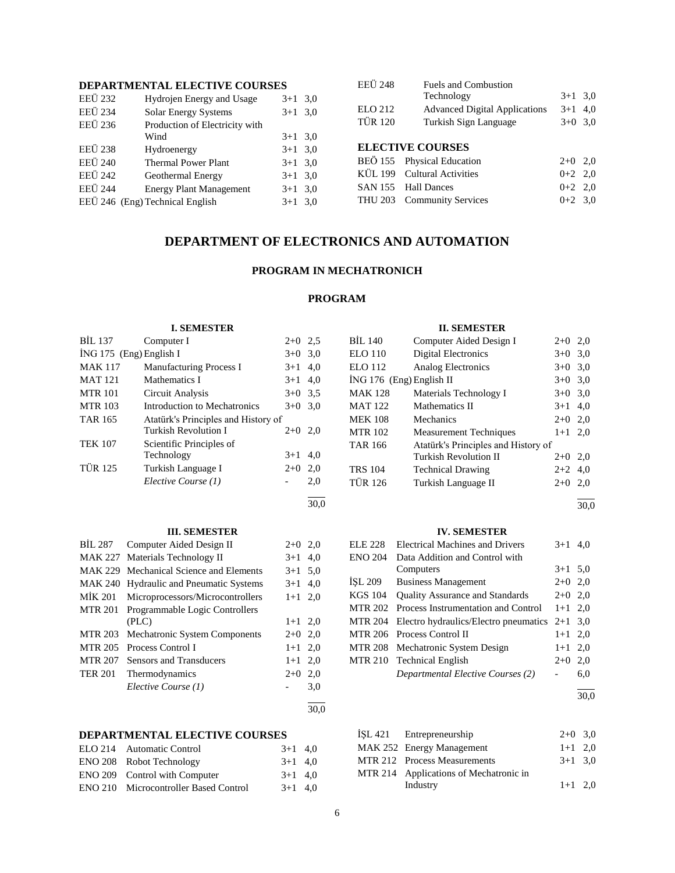# **DEPARTMENTAL ELECTIVE COURSES**

| <b>EEÜ 232</b> | Hydrojen Energy and Usage       | $3 + 1$   | 3,0 |
|----------------|---------------------------------|-----------|-----|
| <b>EEÜ 234</b> | <b>Solar Energy Systems</b>     | $3+1$ 3.0 |     |
| <b>EEÜ 236</b> | Production of Electricity with  |           |     |
|                | Wind                            | $3+1$ 3.0 |     |
| <b>EEÜ 238</b> | Hydroenergy                     | $3+1$ 3.0 |     |
| <b>EEÜ 240</b> | <b>Thermal Power Plant</b>      | $3+1$ 3.0 |     |
| <b>EEÜ 242</b> | Geothermal Energy               | $3+1$ 3.0 |     |
| <b>EEÜ</b> 244 | <b>Energy Plant Management</b>  | $3+1$ 3.0 |     |
|                | EEÜ 246 (Eng) Technical English | $3+1$ 3.0 |     |
|                |                                 |           |     |

| <b>EEÜ 248</b> | Fuels and Combustion                 |           |  |
|----------------|--------------------------------------|-----------|--|
|                | Technology                           | $3+1$ 3.0 |  |
| <b>ELO 212</b> | <b>Advanced Digital Applications</b> | $3+1$ 4,0 |  |
| <b>TÜR 120</b> | Turkish Sign Language                | $3+0$ 3,0 |  |
|                |                                      |           |  |
|                | <b>ELECTIVE COURSES</b>              |           |  |
|                | BEÖ 155 Physical Education           | $2+0$ 2,0 |  |
|                | KÜL 199 Cultural Activities          | $0+2$ 2.0 |  |
|                | SAN 155 Hall Dances                  | $0+2$ 2.0 |  |

THU 203 Community Services 0+2 3,0

# **DEPARTMENT OF ELECTRONICS AND AUTOMATION**

# **PROGRAM IN MECHATRONICH**

# **PROGRAM**

|                | <b>I. SEMESTER</b>                      |           |      |                | <b>II. SEMESTER</b>                    |           |     |
|----------------|-----------------------------------------|-----------|------|----------------|----------------------------------------|-----------|-----|
| <b>BIL 137</b> | Computer I                              | $2+0$ 2.5 |      | <b>BIL 140</b> | Computer Aided Design I                | $2+0$ 2,0 |     |
|                | İNG 175 (Eng) English I                 | $3+0$ 3,0 |      | <b>ELO 110</b> | <b>Digital Electronics</b>             | $3+0$ 3,0 |     |
| <b>MAK 117</b> | Manufacturing Process I                 | $3+1$ 4,0 |      | <b>ELO</b> 112 | Analog Electronics                     | $3+0$ 3,0 |     |
| <b>MAT 121</b> | Mathematics I                           | $3+1$     | 4,0  |                | İNG 176 (Eng) English II               | $3+0$ 3,0 |     |
| <b>MTR 101</b> | Circuit Analysis                        | $3+0$ 3.5 |      | <b>MAK 128</b> | Materials Technology I                 | $3+0$ 3,0 |     |
| <b>MTR 103</b> | Introduction to Mechatronics            | $3+0$ 3,0 |      | <b>MAT 122</b> | Mathematics II                         | $3 + 1$   | 4,0 |
| <b>TAR 165</b> | Atatürk's Principles and History of     |           |      | <b>MEK 108</b> | Mechanics                              | $2+0$ 2,0 |     |
|                | Turkish Revolution I                    | $2+0$ 2,0 |      | <b>MTR 102</b> | <b>Measurement Techniques</b>          | $1+1$ 2,0 |     |
| <b>TEK 107</b> | Scientific Principles of                |           |      | <b>TAR 166</b> | Atatürk's Principles and History of    |           |     |
|                | Technology                              | $3+1$ 4,0 |      |                | <b>Turkish Revolution II</b>           | $2+0$ 2,0 |     |
| <b>TÜR 125</b> | Turkish Language I                      | $2+0$ 2,0 |      | <b>TRS 104</b> | <b>Technical Drawing</b>               | $2+2$ 4,0 |     |
|                | Elective Course (1)                     |           | 2,0  | <b>TÜR 126</b> | Turkish Language II                    | $2+0$ 2,0 |     |
|                |                                         |           | 30,0 |                |                                        |           | 30, |
|                |                                         |           |      |                |                                        |           |     |
|                | <b>III. SEMESTER</b>                    |           |      |                | <b>IV. SEMESTER</b>                    |           |     |
| <b>BIL 287</b> | Computer Aided Design II                | $2+0$ 2,0 |      | <b>ELE 228</b> | <b>Electrical Machines and Drivers</b> | $3+1$ 4,0 |     |
| MAK 227        | Materials Technology II                 | $3+1$ 4,0 |      | <b>ENO 204</b> | Data Addition and Control with         |           |     |
|                | MAK 229 Mechanical Science and Elements | $3+1$ 5,0 |      |                | Computers                              | $3+1$ 5,0 |     |
|                | MAK 240 Hydraulic and Pneumatic Systems | $3+1$ 4,0 |      | ISL 209        | <b>Business Management</b>             | $2+0$ 2,0 |     |
| MİK 201        | Microprocessors/Microcontrollers        | $1+1$ 2,0 |      | <b>KGS 104</b> | Quality Assurance and Standards        | $2+0$ 2,0 |     |
| <b>MTR 201</b> | Programmable Logic Controllers          |           |      | <b>MTR 202</b> | Process Instrumentation and Control    | $1+1$ 2,0 |     |
|                | (PLC)                                   | $1+1$ 2,0 |      | <b>MTR 204</b> | Electro hydraulics/Electro pneumatics  | $2+1$ 3,0 |     |
| <b>MTR 203</b> | Mechatronic System Components           | $2+0$ 2,0 |      | <b>MTR 206</b> | Process Control II                     | $1+1$ 2,0 |     |
| <b>MTR 205</b> | Process Control I                       | $1+1$ 2,0 |      | <b>MTR 208</b> | Mechatronic System Design              | $1+1$ 2,0 |     |
| <b>MTR 207</b> | Sensors and Transducers                 | $1+1$ 2,0 |      | <b>MTR 210</b> | <b>Technical English</b>               | $2+0$ 2,0 |     |
| <b>TER 201</b> | Thermodynamics                          | $2+0$ 2,0 |      |                | Departmental Elective Courses (2)      | $ \,$     | 6,0 |
|                | Elective Course (1)                     |           | 3,0  |                |                                        |           |     |
|                |                                         |           | 30,0 |                |                                        |           | 30, |

# **DEPARTMENTAL ELECTIVE COURSES**

| ELO 214 Automatic Control                    | $3+1$ 4.0 |  |
|----------------------------------------------|-----------|--|
| ENO 208 Robot Technology                     | $3+1$ 4.0 |  |
| ENO 209 Control with Computer                | $3+1$ 4.0 |  |
| <b>ENO 210</b> Microcontroller Based Control | $3+1$ 4.0 |  |
|                                              |           |  |

| MAK 252 Energy Management<br>$1+1$ 2,0<br>MTR 212 Process Measurements<br>$3+1$ 3.0<br>MTR 214 Applications of Mechatronic in<br>$1+1$ 2.0 | ISL 421 Entrepreneurship | $2+0$ 3,0 |  |
|--------------------------------------------------------------------------------------------------------------------------------------------|--------------------------|-----------|--|
|                                                                                                                                            |                          |           |  |
|                                                                                                                                            |                          |           |  |
|                                                                                                                                            |                          |           |  |
|                                                                                                                                            | Industry                 |           |  |

l 30,0

 $\overline{a}$ 30,0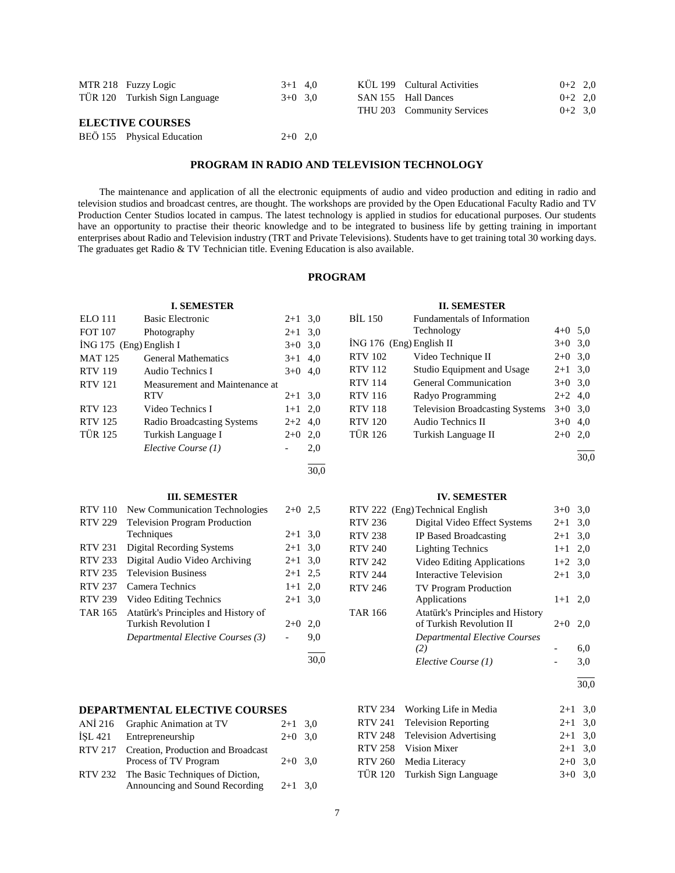| MTR 218 Fuzzy Logic           | $3+1$ 4.0 |  | KUL 199 Cultural Activities | $0+2$ 2,0 |  |
|-------------------------------|-----------|--|-----------------------------|-----------|--|
| TÜR 120 Turkish Sign Language | $3+0$ 3.0 |  | SAN 155 Hall Dances         | $0+2$ 2.0 |  |
|                               |           |  | THU 203 Community Services  | $0+2$ 3.0 |  |
| <b>ELECTIVE COURSES</b>       |           |  |                             |           |  |

| BEÖ 155 Physical Education | $2+0$ 2,0 |  |
|----------------------------|-----------|--|
|                            |           |  |

# **PROGRAM IN RADIO AND TELEVISION TECHNOLOGY**

 The maintenance and application of all the electronic equipments of audio and video production and editing in radio and television studios and broadcast centres, are thought. The workshops are provided by the Open Educational Faculty Radio and TV Production Center Studios located in campus. The latest technology is applied in studios for educational purposes. Our students have an opportunity to practise their theoric knowledge and to be integrated to business life by getting training in important enterprises about Radio and Television industry (TRT and Private Televisions). Students have to get training total 30 working days. The graduates get Radio & TV Technician title. Evening Education is also available.

# **PROGRAM**

l 30,0

# **I. SEMESTER**

| <b>ELO</b> 111          | <b>Basic Electronic</b>        | $2+1$ 3,0 |     |
|-------------------------|--------------------------------|-----------|-----|
| <b>FOT 107</b>          | Photography                    | $2+1$ 3,0 |     |
| İNG 175 (Eng) English I |                                | $3+0$ 3,0 |     |
| <b>MAT 125</b>          | <b>General Mathematics</b>     | $3+1$ 4,0 |     |
| <b>RTV</b> 119          | Audio Technics I               | $3+0$ 4,0 |     |
| <b>RTV 121</b>          | Measurement and Maintenance at |           |     |
|                         | <b>RTV</b>                     | $2+1$ 3,0 |     |
| <b>RTV 123</b>          | Video Technics I               | $1+1$ 2,0 |     |
| <b>RTV 125</b>          | Radio Broadcasting Systems     | $2+2$ 4,0 |     |
| <b>TÜR 125</b>          | Turkish Language I             | $2+0$ 2,0 |     |
|                         | Elective Course (1)            |           | 2,0 |

|                | <b>III. SEMESTER</b>                 |           |      |
|----------------|--------------------------------------|-----------|------|
| <b>RTV</b> 110 | New Communication Technologies       | $2+0$ 2.5 |      |
| <b>RTV 229</b> | <b>Television Program Production</b> |           |      |
|                | Techniques                           | $2+1$ 3.0 |      |
| <b>RTV 231</b> | <b>Digital Recording Systems</b>     | $2 + 1$   | 3,0  |
| <b>RTV 233</b> | Digital Audio Video Archiving        | $2 + 1$   | 3,0  |
| <b>RTV 235</b> | <b>Television Business</b>           | $2 + 1$   | 2.5  |
| RTV 237        | Camera Technics                      | $1+1$     | 2,0  |
| <b>RTV 239</b> | Video Editing Technics               | $2 + 1$   | 3,0  |
| TAR 165        | Atatürk's Principles and History of  |           |      |
|                | Turkish Revolution I                 | $2+0$     | 2,0  |
|                | Departmental Elective Courses (3)    |           | 9,0  |
|                |                                      |           | 30.0 |

#### **DEPARTMENTAL ELECTIVE COURSES** ANIMATION  $G = 1, 1, 2, ...$

|         | ANI $210$ Graphic Animation at $1 \text{V}$ | $2+1$ 3.0 |  |
|---------|---------------------------------------------|-----------|--|
| İSL 421 | Entrepreneurship                            | $2+0$ 3.0 |  |
|         | RTV 217 Creation, Production and Broadcast  |           |  |
|         | Process of TV Program                       | $2+0$ 3.0 |  |
|         | RTV 232 The Basic Techniques of Diction,    |           |  |
|         | Announcing and Sound Recording              | $2+1$ 3.0 |  |
|         |                                             |           |  |

### **II. SEMESTER**

| BİL 150                  | Fundamentals of Information            |           |     |
|--------------------------|----------------------------------------|-----------|-----|
|                          | Technology                             | $4+0$ 5.0 |     |
| İNG 176 (Eng) English II |                                        | $3+0$ 3,0 |     |
| RTV 102                  | Video Technique II                     | $2+0$ 3,0 |     |
| RTV 112                  | Studio Equipment and Usage             | $2+1$ 3,0 |     |
| RTV 114                  | <b>General Communication</b>           | $3+0$ 3,0 |     |
| <b>RTV 116</b>           | Radyo Programming                      | $2+2$ 4,0 |     |
| <b>RTV 118</b>           | <b>Television Broadcasting Systems</b> | $3+0$ 3.0 |     |
| <b>RTV 120</b>           | Audio Technics II                      | $3+0$ 4,0 |     |
| TÜR 126                  | Turkish Language II                    | $2+0$     | 2,0 |
|                          |                                        |           |     |

 $\frac{1}{30.0}$ 

#### **IV. SEMESTER**

|                | RTV 222 (Eng) Technical English      | $3+0$     | 3,0 |
|----------------|--------------------------------------|-----------|-----|
| <b>RTV 236</b> | Digital Video Effect Systems         | $2+1$     | 3,0 |
| <b>RTV 238</b> | IP Based Broadcasting                | $2+1$     | 3,0 |
| <b>RTV 240</b> | <b>Lighting Technics</b>             | $1+1$     | 2.0 |
| <b>RTV 242</b> | Video Editing Applications           | $1+2$ 3,0 |     |
| <b>RTV 244</b> | Interactive Television               | $2 + 1$   | 3,0 |
| <b>RTV 246</b> | <b>TV Program Production</b>         |           |     |
|                | Applications                         | $1+1$     | 2,0 |
| <b>TAR 166</b> | Atatürk's Principles and History     |           |     |
|                | of Turkish Revolution II             | $2+0$     | 2,0 |
|                | <b>Departmental Elective Courses</b> |           |     |
|                | (2)                                  |           | 6,0 |
|                | Elective Course (1)                  |           | 3,0 |
|                |                                      |           |     |

30,0

| RTV 234 Working Life in Media  | $2+1$ 3,0 |  |
|--------------------------------|-----------|--|
| RTV 241 Television Reporting   | $2+1$ 3,0 |  |
| RTV 248 Television Advertising | $2+1$ 3,0 |  |
| RTV 258 Vision Mixer           | $2+1$ 3.0 |  |
| RTV 260 Media Literacy         | $2+0$ 3.0 |  |
| TÜR 120 Turkish Sign Language  | $3+0$ 3.0 |  |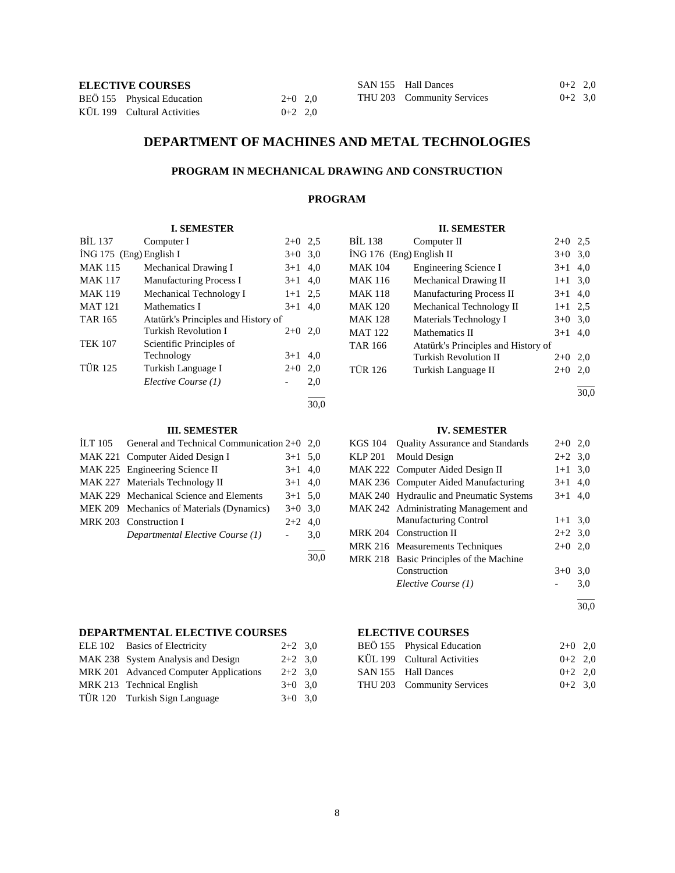| <b>ELECTIVE COURSES</b> |  |
|-------------------------|--|
|-------------------------|--|

| <b>ELECTIVE COURSES</b> |                             |           | SAN 155 Hall Dances | $0+2$ 2,0                  |           |  |
|-------------------------|-----------------------------|-----------|---------------------|----------------------------|-----------|--|
|                         | BEÖ 155 Physical Education  | $2+0$ 2.0 |                     | THU 203 Community Services | $0+2$ 3.0 |  |
|                         | KÜL 199 Cultural Activities | $0+2$ 2.0 |                     |                            |           |  |

# **DEPARTMENT OF MACHINES AND METAL TECHNOLOGIES**

# **PROGRAM IN MECHANICAL DRAWING AND CONSTRUCTION**

# **PROGRAM**

# **I. SEMESTER**

| <b>BIL 137</b>          | Computer I                          | $2+0$ | 2.5  |
|-------------------------|-------------------------------------|-------|------|
| ING 175 (Eng) English I | $3+0$ 3.0                           |       |      |
| <b>MAK 115</b>          | Mechanical Drawing I                | $3+1$ | 4,0  |
| <b>MAK 117</b>          | <b>Manufacturing Process I</b>      | $3+1$ | 4.0  |
| <b>MAK 119</b>          | Mechanical Technology I             | $1+1$ | 2.5  |
| <b>MAT 121</b>          | Mathematics I                       | $3+1$ | 4,0  |
| <b>TAR 165</b>          | Atatürk's Principles and History of |       |      |
|                         | Turkish Revolution I                | $2+0$ | 2,0  |
| <b>TEK 107</b>          | Scientific Principles of            |       |      |
|                         | Technology                          | $3+1$ | 4,0  |
| <b>TÜR 125</b>          | Turkish Language I                  | $2+0$ | 2,0  |
|                         | Elective Course (1)                 |       | 2,0  |
|                         |                                     |       | 30.0 |

#### **III. SEMESTER**

| ILT 105 General and Technical Communication $2+0$ 2,0 |                     |     |
|-------------------------------------------------------|---------------------|-----|
| MAK 221 Computer Aided Design I                       | $3+1$ 5,0           |     |
| MAK 225 Engineering Science II                        | $3+1$ 4,0           |     |
| MAK 227 Materials Technology II                       | $3+1$ 4,0           |     |
| MAK 229 Mechanical Science and Elements               | $3+1$ 5.0           |     |
| MEK 209 Mechanics of Materials (Dynamics)             | $3+0$ 3.0           |     |
| MRK 203 Construction I                                | $2+2$ 4.0           |     |
| Departmental Elective Course (1)                      | $\omega_{\rm{max}}$ | 3,0 |
|                                                       |                     |     |

# **DEPARTMENTAL ELECTIVE COURSES**

| ELE 102 Basics of Electricity          | $2+2$ 3.0 |  |
|----------------------------------------|-----------|--|
| MAK 238 System Analysis and Design     | $2+2$ 3.0 |  |
| MRK 201 Advanced Computer Applications | $2+2$ 3.0 |  |
| MRK 213 Technical English              | $3+0$ 3.0 |  |
| TÜR 120 Turkish Sign Language          | $3+0$ 3.0 |  |

# **II. SEMESTER**

| BİL 138                  | Computer II                         | $2+0$   | 2.5 |
|--------------------------|-------------------------------------|---------|-----|
| ING 176 (Eng) English II |                                     | $3+0$   | 3,0 |
| <b>MAK 104</b>           | <b>Engineering Science I</b>        | $3+1$   | 4,0 |
| <b>MAK 116</b>           | Mechanical Drawing II               | $1 + 1$ | 3,0 |
| <b>MAK 118</b>           | <b>Manufacturing Process II</b>     | $3+1$   | 4,0 |
| <b>MAK 120</b>           | Mechanical Technology II            | $1 + 1$ | 2.5 |
| <b>MAK 128</b>           | Materials Technology I              | $3+0$   | 3,0 |
| <b>MAT 122</b>           | Mathematics II                      | $3+1$   | 4,0 |
| <b>TAR 166</b>           | Atatürk's Principles and History of |         |     |
|                          | Turkish Revolution II               | $2+0$   | 2.0 |
| <b>TÜR 126</b>           | Turkish Language II                 | $2+0$   | 2.0 |
|                          |                                     |         |     |

30,0

#### **IV. SEMESTER**

| KGS 104 Quality Assurance and Standards | $2+0$ 2,0 |     |
|-----------------------------------------|-----------|-----|
| KLP 201 Mould Design                    | $2+2$ 3.0 |     |
| MAK 222 Computer Aided Design II        | $1+1$ 3.0 |     |
| MAK 236 Computer Aided Manufacturing    | $3+1$ 4,0 |     |
| MAK 240 Hydraulic and Pneumatic Systems | $3+1$ 4.0 |     |
| MAK 242 Administrating Management and   |           |     |
| <b>Manufacturing Control</b>            | $1+1$ 3.0 |     |
| MRK 204 Construction II                 | $2+2$ 3.0 |     |
| MRK 216 Measurements Techniques         | $2+0$     | 2.0 |
| MRK 218 Basic Principles of the Machine |           |     |
| Construction                            | $3+0$ 3.0 |     |
| Elective Course (1)                     |           | 3,0 |
|                                         |           |     |

30,0

# **ELECTIVE COURSES**

| BEÖ 155 Physical Education  | $2+0$ 2,0 |  |
|-----------------------------|-----------|--|
| KÜL 199 Cultural Activities | $0+2$ 2.0 |  |
| SAN 155 Hall Dances         | $0+2$ 2.0 |  |
| THU 203 Community Services  | $0+2$ 3.0 |  |

30,0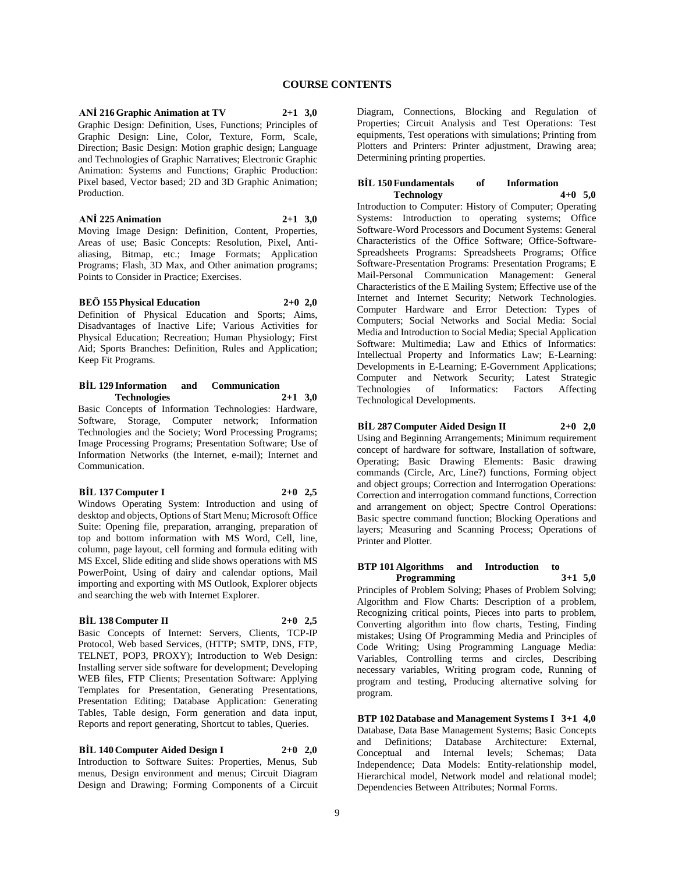**ANİ 216 Graphic Animation at TV 2+1 3,0** Graphic Design: Definition, Uses, Functions; Principles of Graphic Design: Line, Color, Texture, Form, Scale, Direction; Basic Design: Motion graphic design; Language and Technologies of Graphic Narratives; Electronic Graphic Animation: Systems and Functions; Graphic Production: Pixel based, Vector based; 2D and 3D Graphic Animation; Production.

#### **ANİ 225 Animation 2+1 3,0**

Moving Image Design: Definition, Content, Properties, Areas of use; Basic Concepts: Resolution, Pixel, Antialiasing, Bitmap, etc.; Image Formats; Application Programs; Flash, 3D Max, and Other animation programs; Points to Consider in Practice; Exercises.

#### **BEÖ 155 Physical Education 2+0 2,0**

Definition of Physical Education and Sports; Aims, Disadvantages of Inactive Life; Various Activities for Physical Education; Recreation; Human Physiology; First Aid; Sports Branches: Definition, Rules and Application; Keep Fit Programs.

# **BİL 129 Information and Communication Technologies 2+1 3,0**

Basic Concepts of Information Technologies: Hardware, Software, Storage, Computer network; Information Technologies and the Society; Word Processing Programs; Image Processing Programs; Presentation Software; Use of Information Networks (the Internet, e-mail); Internet and Communication.

#### **BİL 137 Computer I 2+0 2,5**

Windows Operating System: Introduction and using of desktop and objects, Options of Start Menu; Microsoft Office Suite: Opening file, preparation, arranging, preparation of top and bottom information with MS Word, Cell, line, column, page layout, cell forming and formula editing with MS Excel, Slide editing and slide shows operations with MS PowerPoint, Using of dairy and calendar options, Mail importing and exporting with MS Outlook, Explorer objects and searching the web with Internet Explorer.

# **BİL 138 Computer II 2+0 2,5**

Basic Concepts of Internet: Servers, Clients, TCP-IP Protocol, Web based Services, (HTTP; SMTP, DNS, FTP, TELNET, POP3, PROXY); Introduction to Web Design: Installing server side software for development; Developing WEB files, FTP Clients; Presentation Software: Applying Templates for Presentation, Generating Presentations, Presentation Editing; Database Application: Generating Tables, Table design, Form generation and data input, Reports and report generating, Shortcut to tables, Queries.

**BİL 140 Computer Aided Design I 2+0 2,0** Introduction to Software Suites: Properties, Menus, Sub menus, Design environment and menus; Circuit Diagram Design and Drawing; Forming Components of a Circuit Diagram, Connections, Blocking and Regulation of Properties; Circuit Analysis and Test Operations: Test equipments, Test operations with simulations; Printing from Plotters and Printers: Printer adjustment, Drawing area; Determining printing properties.

#### **BİL 150 Fundamentals of Information Technology 4+0 5,0**

Introduction to Computer: History of Computer; Operating Systems: Introduction to operating systems; Office Software-Word Processors and Document Systems: General Characteristics of the Office Software; Office-Software-Spreadsheets Programs: Spreadsheets Programs; Office Software-Presentation Programs: Presentation Programs; E Mail-Personal Communication Management: General Characteristics of the E Mailing System; Effective use of the Internet and Internet Security; Network Technologies. Computer Hardware and Error Detection: Types of Computers; Social Networks and Social Media: Social Media and Introduction to Social Media; Special Application Software: Multimedia; Law and Ethics of Informatics: Intellectual Property and Informatics Law; E-Learning: Developments in E-Learning; E-Government Applications; Computer and Network Security; Latest Strategic Technologies of Informatics: Factors Affecting Technological Developments.

# **BİL 287 Computer Aided Design II 2+0 2,0**

Using and Beginning Arrangements; Minimum requirement concept of hardware for software, Installation of software, Operating; Basic Drawing Elements: Basic drawing commands (Circle, Arc, Line?) functions, Forming object and object groups; Correction and Interrogation Operations: Correction and interrogation command functions, Correction and arrangement on object; Spectre Control Operations: Basic spectre command function; Blocking Operations and layers; Measuring and Scanning Process; Operations of Printer and Plotter.

#### **BTP 101 Algorithms and Introduction to Programming**

Principles of Problem Solving; Phases of Problem Solving; Algorithm and Flow Charts: Description of a problem, Recognizing critical points, Pieces into parts to problem, Converting algorithm into flow charts, Testing, Finding mistakes; Using Of Programming Media and Principles of Code Writing; Using Programming Language Media: Variables, Controlling terms and circles, Describing necessary variables, Writing program code, Running of program and testing, Producing alternative solving for program.

**BTP 102 Database and Management Systems I 3+1 4,0** Database, Data Base Management Systems; Basic Concepts and Definitions; Database Architecture: External, Conceptual and Internal levels; Schemas; Data Independence; Data Models: Entity-relationship model, Hierarchical model, Network model and relational model; Dependencies Between Attributes; Normal Forms.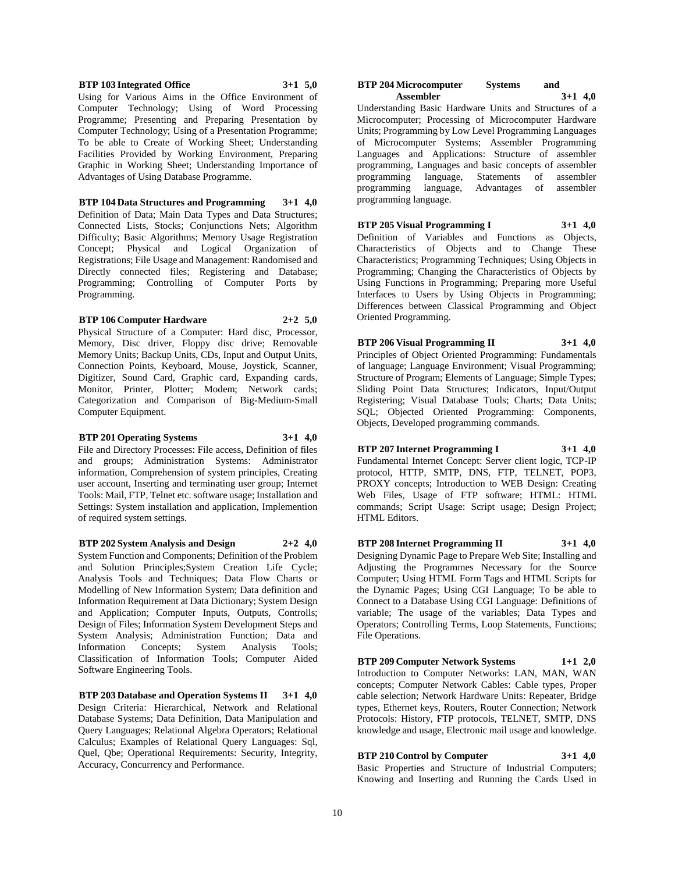#### **BTP 103 Integrated Office 3+1 5,0**

Using for Various Aims in the Office Environment of Computer Technology; Using of Word Processing Programme; Presenting and Preparing Presentation by Computer Technology; Using of a Presentation Programme; To be able to Create of Working Sheet; Understanding Facilities Provided by Working Environment, Preparing Graphic in Working Sheet; Understanding Importance of Advantages of Using Database Programme.

**BTP 104 Data Structures and Programming 3+1 4,0** Definition of Data; Main Data Types and Data Structures; Connected Lists, Stocks; Conjunctions Nets; Algorithm Difficulty; Basic Algorithms; Memory Usage Registration Concept; Physical and Logical Organization of Registrations; File Usage and Management: Randomised and Directly connected files; Registering and Database; Programming; Controlling of Computer Ports by Programming.

#### **BTP 106 Computer Hardware 2+2 5,0**

Physical Structure of a Computer: Hard disc, Processor, Memory, Disc driver, Floppy disc drive; Removable Memory Units; Backup Units, CDs, Input and Output Units, Connection Points, Keyboard, Mouse, Joystick, Scanner, Digitizer, Sound Card, Graphic card, Expanding cards, Monitor, Printer, Plotter; Modem; Network cards; Categorization and Comparison of Big-Medium-Small Computer Equipment.

#### **BTP 201 Operating Systems 3+1 4,0**

File and Directory Processes: File access, Definition of files and groups; Administration Systems: Administrator information, Comprehension of system principles, Creating user account, Inserting and terminating user group; Internet Tools: Mail, FTP, Telnet etc. software usage; Installation and Settings: System installation and application, Implemention of required system settings.

**BTP 202 System Analysis and Design 2+2 4,0** System Function and Components; Definition of the Problem and Solution Principles;System Creation Life Cycle; Analysis Tools and Techniques; Data Flow Charts or Modelling of New Information System; Data definition and Information Requirement at Data Dictionary; System Design and Application; Computer Inputs, Outputs, Controlls; Design of Files; Information System Development Steps and System Analysis; Administration Function; Data and Information Concepts; System Analysis Tools; Classification of Information Tools; Computer Aided Software Engineering Tools.

**BTP 203 Database and Operation Systems II 3+1 4,0** Design Criteria: Hierarchical, Network and Relational Database Systems; Data Definition, Data Manipulation and Query Languages; Relational Algebra Operators; Relational Calculus; Examples of Relational Query Languages: Sql, Quel, Qbe; Operational Requirements: Security, Integrity, Accuracy, Concurrency and Performance.

#### **BTP 204 Microcomputer Systems and Assembler 3+1 4,0**

Understanding Basic Hardware Units and Structures of a Microcomputer; Processing of Microcomputer Hardware Units; Programming by Low Level Programming Languages of Microcomputer Systems; Assembler Programming Languages and Applications: Structure of assembler programming, Languages and basic concepts of assembler programming language, Statements of assembler programming language, Advantages of assembler programming language.

**BTP 205 Visual Programming I 3+1 4,0** Definition of Variables and Functions as Objects, Characteristics of Objects and to Change These Characteristics; Programming Techniques; Using Objects in Programming; Changing the Characteristics of Objects by Using Functions in Programming; Preparing more Useful Interfaces to Users by Using Objects in Programming; Differences between Classical Programming and Object Oriented Programming.

**BTP 206 Visual Programming II 3+1 4,0** Principles of Object Oriented Programming: Fundamentals of language; Language Environment; Visual Programming; Structure of Program; Elements of Language; Simple Types; Sliding Point Data Structures; Indicators, Input/Output Registering; Visual Database Tools; Charts; Data Units; SQL; Objected Oriented Programming: Components, Objects, Developed programming commands.

**BTP 207 Internet Programming I 3+1 4,0** Fundamental Internet Concept: Server client logic, TCP-IP protocol, HTTP, SMTP, DNS, FTP, TELNET, POP3, PROXY concepts; Introduction to WEB Design: Creating Web Files, Usage of FTP software; HTML: HTML commands; Script Usage: Script usage; Design Project; HTML Editors.

**BTP 208 Internet Programming II 3+1 4,0** Designing Dynamic Page to Prepare Web Site; Installing and Adjusting the Programmes Necessary for the Source Computer; Using HTML Form Tags and HTML Scripts for the Dynamic Pages; Using CGI Language; To be able to Connect to a Database Using CGI Language: Definitions of variable; The usage of the variables; Data Types and Operators; Controlling Terms, Loop Statements, Functions; File Operations.

**BTP 209 Computer Network Systems 1+1 2,0** Introduction to Computer Networks: LAN, MAN, WAN concepts; Computer Network Cables: Cable types, Proper cable selection; Network Hardware Units: Repeater, Bridge types, Ethernet keys, Routers, Router Connection; Network Protocols: History, FTP protocols, TELNET, SMTP, DNS knowledge and usage, Electronic mail usage and knowledge.

**BTP 210 Control by Computer 3+1 4,0** Basic Properties and Structure of Industrial Computers; Knowing and Inserting and Running the Cards Used in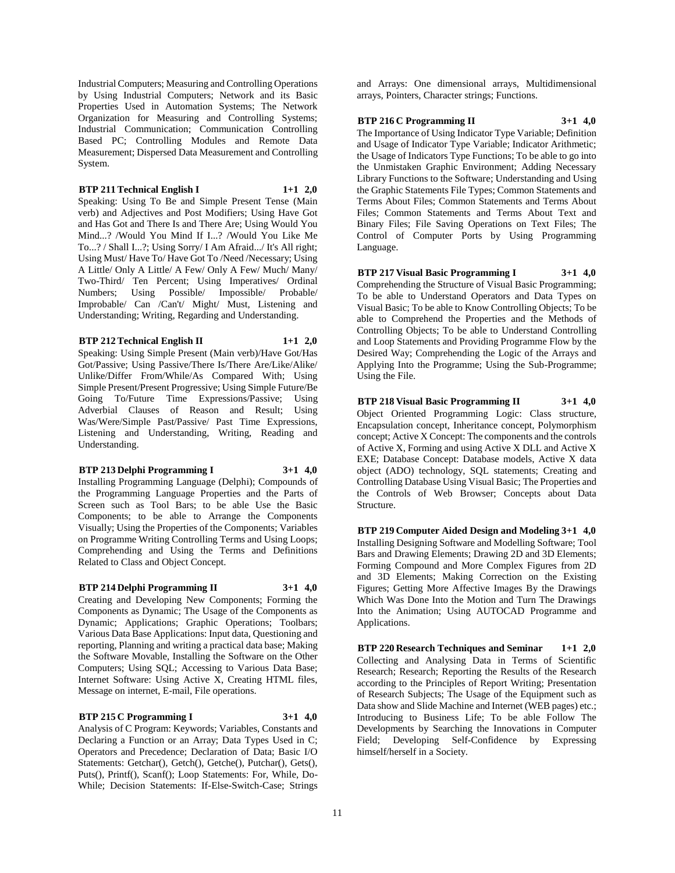Industrial Computers; Measuring and Controlling Operations by Using Industrial Computers; Network and its Basic Properties Used in Automation Systems; The Network Organization for Measuring and Controlling Systems; Industrial Communication; Communication Controlling Based PC; Controlling Modules and Remote Data Measurement; Dispersed Data Measurement and Controlling System.

# **BTP 211 Technical English I 1+1 2,0**

Speaking: Using To Be and Simple Present Tense (Main verb) and Adjectives and Post Modifiers; Using Have Got and Has Got and There Is and There Are; Using Would You Mind...? /Would You Mind If I...? /Would You Like Me To...? / Shall I...?; Using Sorry/ I Am Afraid.../ It's All right; Using Must/ Have To/ Have Got To /Need /Necessary; Using A Little/ Only A Little/ A Few/ Only A Few/ Much/ Many/ Two-Third/ Ten Percent; Using Imperatives/ Ordinal Numbers; Using Possible/ Impossible/ Probable/ Improbable/ Can /Can't/ Might/ Must, Listening and Understanding; Writing, Regarding and Understanding.

**BTP 212 Technical English II 1+1 2,0**

Speaking: Using Simple Present (Main verb)/Have Got/Has Got/Passive; Using Passive/There Is/There Are/Like/Alike/ Unlike/Differ From/While/As Compared With; Using Simple Present/Present Progressive; Using Simple Future/Be Going To/Future Time Expressions/Passive; Using Adverbial Clauses of Reason and Result; Using Was/Were/Simple Past/Passive/ Past Time Expressions, Listening and Understanding, Writing, Reading and Understanding.

# **BTP 213 Delphi Programming I 3+1 4,0**

Installing Programming Language (Delphi); Compounds of the Programming Language Properties and the Parts of Screen such as Tool Bars; to be able Use the Basic Components; to be able to Arrange the Components Visually; Using the Properties of the Components; Variables on Programme Writing Controlling Terms and Using Loops; Comprehending and Using the Terms and Definitions Related to Class and Object Concept.

### **BTP 214 Delphi Programming II 3+1 4,0**

Creating and Developing New Components; Forming the Components as Dynamic; The Usage of the Components as Dynamic; Applications; Graphic Operations; Toolbars; Various Data Base Applications: Input data, Questioning and reporting, Planning and writing a practical data base; Making the Software Movable, Installing the Software on the Other Computers; Using SQL; Accessing to Various Data Base; Internet Software: Using Active X, Creating HTML files,

#### **BTP 215 C Programming I 3+1 4,0**

Message on internet, E-mail, File operations.

Analysis of C Program: Keywords; Variables, Constants and Declaring a Function or an Array; Data Types Used in C; Operators and Precedence; Declaration of Data; Basic I/O Statements: Getchar(), Getch(), Getche(), Putchar(), Gets(), Puts(), Printf(), Scanf(); Loop Statements: For, While, Do-While; Decision Statements: If-Else-Switch-Case; Strings

and Arrays: One dimensional arrays, Multidimensional arrays, Pointers, Character strings; Functions.

# **BTP 216 C Programming II 3+1 4,0**

The Importance of Using Indicator Type Variable; Definition and Usage of Indicator Type Variable; Indicator Arithmetic; the Usage of Indicators Type Functions; To be able to go into the Unmistaken Graphic Environment; Adding Necessary Library Functions to the Software; Understanding and Using the Graphic Statements File Types; Common Statements and Terms About Files; Common Statements and Terms About Files; Common Statements and Terms About Text and Binary Files; File Saving Operations on Text Files; The Control of Computer Ports by Using Programming Language.

**BTP 217 Visual Basic Programming I 3+1 4,0** Comprehending the Structure of Visual Basic Programming; To be able to Understand Operators and Data Types on Visual Basic; To be able to Know Controlling Objects; To be able to Comprehend the Properties and the Methods of Controlling Objects; To be able to Understand Controlling and Loop Statements and Providing Programme Flow by the Desired Way; Comprehending the Logic of the Arrays and Applying Into the Programme; Using the Sub-Programme; Using the File.

**BTP 218 Visual Basic Programming II 3+1 4,0** Object Oriented Programming Logic: Class structure, Encapsulation concept, Inheritance concept, Polymorphism concept; Active X Concept: The components and the controls of Active X, Forming and using Active X DLL and Active X EXE; Database Concept: Database models, Active X data object (ADO) technology, SQL statements; Creating and Controlling Database Using Visual Basic; The Properties and the Controls of Web Browser; Concepts about Data Structure.

**BTP 219 Computer Aided Design and Modeling 3+1 4,0** Installing Designing Software and Modelling Software; Tool Bars and Drawing Elements; Drawing 2D and 3D Elements; Forming Compound and More Complex Figures from 2D and 3D Elements; Making Correction on the Existing Figures; Getting More Affective Images By the Drawings Which Was Done Into the Motion and Turn The Drawings Into the Animation; Using AUTOCAD Programme and Applications.

**BTP 220 Research Techniques and Seminar 1+1 2,0** Collecting and Analysing Data in Terms of Scientific Research; Research; Reporting the Results of the Research according to the Principles of Report Writing; Presentation of Research Subjects; The Usage of the Equipment such as Data show and Slide Machine and Internet (WEB pages) etc.; Introducing to Business Life; To be able Follow The Developments by Searching the Innovations in Computer Field; Developing Self-Confidence by Expressing himself/herself in a Society.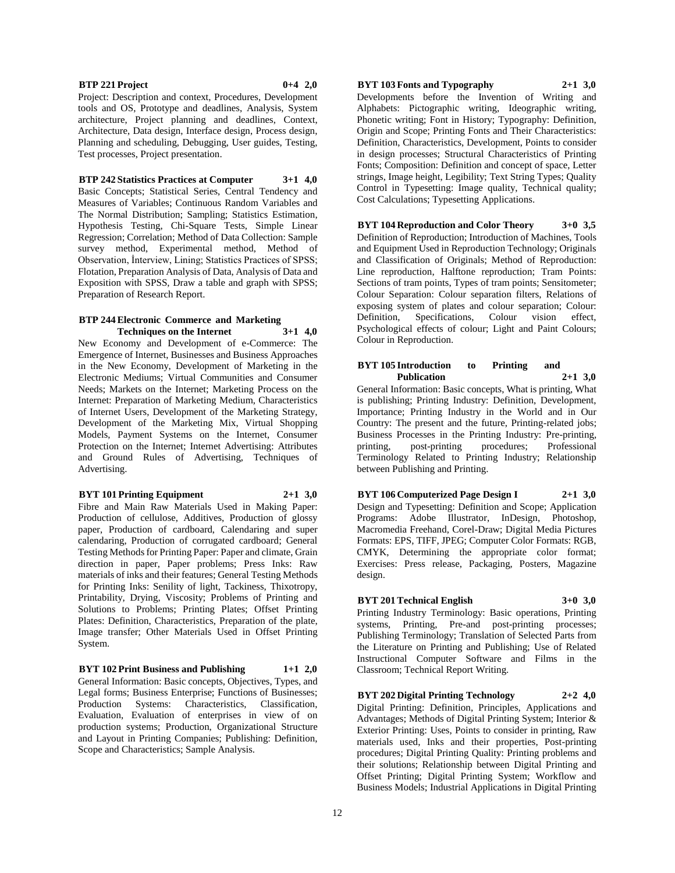#### **BTP 221 Project 0+4 2,0**

Project: Description and context, Procedures, Development tools and OS, Prototype and deadlines, Analysis, System architecture, Project planning and deadlines, Context, Architecture, Data design, Interface design, Process design, Planning and scheduling, Debugging, User guides, Testing, Test processes, Project presentation.

#### **BTP 242 Statistics Practices at Computer 3+1 4,0**

Basic Concepts; Statistical Series, Central Tendency and Measures of Variables; Continuous Random Variables and The Normal Distribution; Sampling; Statistics Estimation, Hypothesis Testing, Chi-Square Tests, Simple Linear Regression; Correlation; Method of Data Collection: Sample survey method, Experimental method, Method of Observation, İnterview, Lining; Statistics Practices of SPSS; Flotation, Preparation Analysis of Data, Analysis of Data and Exposition with SPSS, Draw a table and graph with SPSS; Preparation of Research Report.

#### **BTP 244 Electronic Commerce and Marketing Techniques on the Internet 3+1 4,0**

New Economy and Development of e-Commerce: The Emergence of Internet, Businesses and Business Approaches in the New Economy, Development of Marketing in the Electronic Mediums; Virtual Communities and Consumer Needs; Markets on the Internet; Marketing Process on the Internet: Preparation of Marketing Medium, Characteristics of Internet Users, Development of the Marketing Strategy, Development of the Marketing Mix, Virtual Shopping Models, Payment Systems on the Internet, Consumer Protection on the Internet; Internet Advertising: Attributes and Ground Rules of Advertising, Techniques of Advertising.

#### **BYT 101 Printing Equipment 2+1 3,0**

Fibre and Main Raw Materials Used in Making Paper: Production of cellulose, Additives, Production of glossy paper, Production of cardboard, Calendaring and super calendaring, Production of corrugated cardboard; General Testing Methods for Printing Paper: Paper and climate, Grain direction in paper, Paper problems; Press Inks: Raw materials of inks and their features; General Testing Methods for Printing Inks: Senility of light, Tackiness, Thixotropy, Printability, Drying, Viscosity; Problems of Printing and Solutions to Problems; Printing Plates; Offset Printing Plates: Definition, Characteristics, Preparation of the plate, Image transfer; Other Materials Used in Offset Printing System.

**BYT 102 Print Business and Publishing 1+1 2,0** General Information: Basic concepts, Objectives, Types, and Legal forms; Business Enterprise; Functions of Businesses; Production Systems: Characteristics, Classification, Evaluation, Evaluation of enterprises in view of on production systems; Production, Organizational Structure and Layout in Printing Companies; Publishing: Definition, Scope and Characteristics; Sample Analysis.

# **BYT 103 Fonts and Typography 2+1 3,0**

Developments before the Invention of Writing and Alphabets: Pictographic writing, Ideographic writing, Phonetic writing; Font in History; Typography: Definition, Origin and Scope; Printing Fonts and Their Characteristics: Definition, Characteristics, Development, Points to consider in design processes; Structural Characteristics of Printing Fonts; Composition: Definition and concept of space, Letter strings, Image height, Legibility; Text String Types; Quality Control in Typesetting: Image quality, Technical quality; Cost Calculations; Typesetting Applications.

**BYT 104 Reproduction and Color Theory 3+0 3,5** Definition of Reproduction; Introduction of Machines, Tools and Equipment Used in Reproduction Technology; Originals and Classification of Originals; Method of Reproduction: Line reproduction, Halftone reproduction; Tram Points: Sections of tram points, Types of tram points; Sensitometer; Colour Separation: Colour separation filters, Relations of exposing system of plates and colour separation; Colour: Definition, Specifications, Colour vision effect, Psychological effects of colour; Light and Paint Colours; Colour in Reproduction.

#### **BYT 105 Introduction to Printing and Publication 2+1 3,0**

General Information: Basic concepts, What is printing, What is publishing; Printing Industry: Definition, Development, Importance; Printing Industry in the World and in Our Country: The present and the future, Printing-related jobs; Business Processes in the Printing Industry: Pre-printing, printing, post-printing procedures; Professional Terminology Related to Printing Industry; Relationship between Publishing and Printing.

# **BYT 106 Computerized Page Design I 2+1 3,0**

Design and Typesetting: Definition and Scope; Application Programs: Adobe Illustrator, InDesign, Photoshop, Macromedia Freehand, Corel-Draw; Digital Media Pictures Formats: EPS, TIFF, JPEG; Computer Color Formats: RGB, CMYK, Determining the appropriate color format; Exercises: Press release, Packaging, Posters, Magazine design.

# **BYT 201 Technical English 3+0 3,0**

Printing Industry Terminology: Basic operations, Printing systems, Printing, Pre-and post-printing processes; Publishing Terminology; Translation of Selected Parts from the Literature on Printing and Publishing; Use of Related Instructional Computer Software and Films in the Classroom; Technical Report Writing.

**BYT 202 Digital Printing Technology 2+2 4,0** Digital Printing: Definition, Principles, Applications and Advantages; Methods of Digital Printing System; Interior & Exterior Printing: Uses, Points to consider in printing, Raw materials used, Inks and their properties, Post-printing procedures; Digital Printing Quality: Printing problems and their solutions; Relationship between Digital Printing and Offset Printing; Digital Printing System; Workflow and Business Models; Industrial Applications in Digital Printing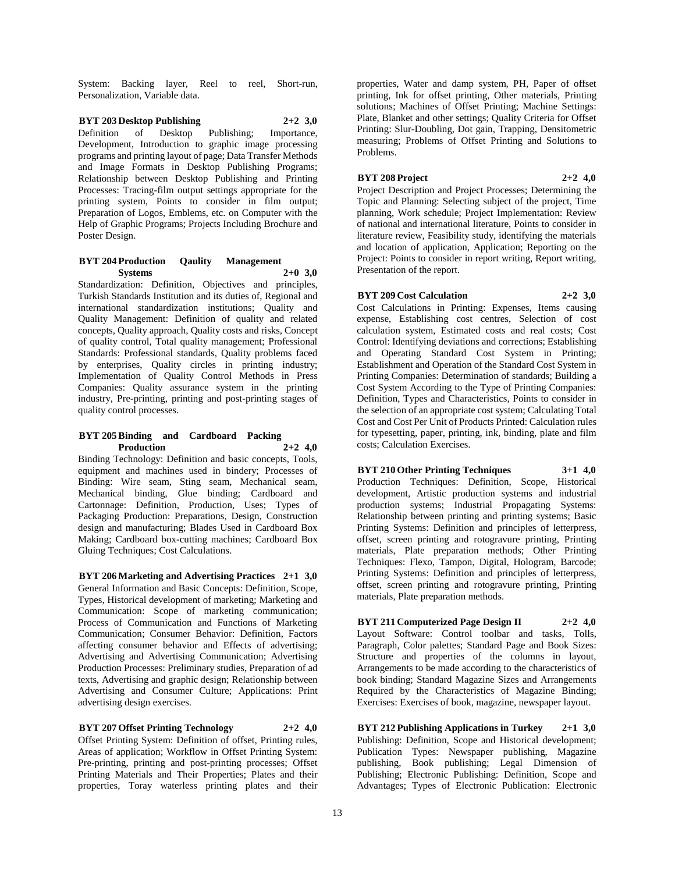System: Backing layer, Reel to reel, Short-run, Personalization, Variable data.

**BYT 203 Desktop Publishing 2+2 3,0** Definition of Desktop Publishing; Importance, Development, Introduction to graphic image processing programs and printing layout of page; Data Transfer Methods and Image Formats in Desktop Publishing Programs; Relationship between Desktop Publishing and Printing Processes: Tracing-film output settings appropriate for the printing system, Points to consider in film output; Preparation of Logos, Emblems, etc. on Computer with the Help of Graphic Programs; Projects Including Brochure and Poster Design.

#### **BYT 204 Production Qaulity Management Systems 2+0 3,0**

Standardization: Definition, Objectives and principles, Turkish Standards Institution and its duties of, Regional and international standardization institutions; Quality and Quality Management: Definition of quality and related concepts, Quality approach, Quality costs and risks, Concept of quality control, Total quality management; Professional Standards: Professional standards, Quality problems faced by enterprises, Quality circles in printing industry; Implementation of Quality Control Methods in Press Companies: Quality assurance system in the printing industry, Pre-printing, printing and post-printing stages of quality control processes.

#### **BYT 205 Binding and Cardboard Packing Production 2+2 4,0**

Binding Technology: Definition and basic concepts, Tools, equipment and machines used in bindery; Processes of Binding: Wire seam, Sting seam, Mechanical seam, Mechanical binding, Glue binding; Cardboard and Cartonnage: Definition, Production, Uses; Types of Packaging Production: Preparations, Design, Construction design and manufacturing; Blades Used in Cardboard Box Making; Cardboard box-cutting machines; Cardboard Box Gluing Techniques; Cost Calculations.

**BYT 206 Marketing and Advertising Practices 2+1 3,0** General Information and Basic Concepts: Definition, Scope, Types, Historical development of marketing; Marketing and Communication: Scope of marketing communication; Process of Communication and Functions of Marketing Communication; Consumer Behavior: Definition, Factors affecting consumer behavior and Effects of advertising; Advertising and Advertising Communication; Advertising Production Processes: Preliminary studies, Preparation of ad texts, Advertising and graphic design; Relationship between Advertising and Consumer Culture; Applications: Print advertising design exercises.

**BYT 207 Offset Printing Technology 2+2 4,0** Offset Printing System: Definition of offset, Printing rules, Areas of application; Workflow in Offset Printing System: Pre-printing, printing and post-printing processes; Offset Printing Materials and Their Properties; Plates and their properties, Toray waterless printing plates and their

properties, Water and damp system, PH, Paper of offset printing, Ink for offset printing, Other materials, Printing solutions; Machines of Offset Printing; Machine Settings: Plate, Blanket and other settings; Quality Criteria for Offset Printing: Slur-Doubling, Dot gain, Trapping, Densitometric measuring; Problems of Offset Printing and Solutions to Problems.

# **BYT 208 Project 2+2 4,0**

Project Description and Project Processes; Determining the Topic and Planning: Selecting subject of the project, Time planning, Work schedule; Project Implementation: Review of national and international literature, Points to consider in literature review, Feasibility study, identifying the materials and location of application, Application; Reporting on the Project: Points to consider in report writing, Report writing, Presentation of the report.

# **BYT 209 Cost Calculation 2+2 3,0**

Cost Calculations in Printing: Expenses, Items causing expense, Establishing cost centres, Selection of cost calculation system, Estimated costs and real costs; Cost Control: Identifying deviations and corrections; Establishing and Operating Standard Cost System in Printing; Establishment and Operation of the Standard Cost System in Printing Companies: Determination of standards; Building a Cost System According to the Type of Printing Companies: Definition, Types and Characteristics, Points to consider in the selection of an appropriate cost system; Calculating Total Cost and Cost Per Unit of Products Printed: Calculation rules for typesetting, paper, printing, ink, binding, plate and film costs; Calculation Exercises.

**BYT 210 Other Printing Techniques 3+1 4,0** Production Techniques: Definition, Scope, Historical development, Artistic production systems and industrial production systems; Industrial Propagating Systems: Relationship between printing and printing systems; Basic Printing Systems: Definition and principles of letterpress, offset, screen printing and rotogravure printing, Printing materials, Plate preparation methods; Other Printing Techniques: Flexo, Tampon, Digital, Hologram, Barcode; Printing Systems: Definition and principles of letterpress, offset, screen printing and rotogravure printing, Printing materials, Plate preparation methods.

**BYT 211 Computerized Page Design II 2+2 4,0** Layout Software: Control toolbar and tasks, Tolls, Paragraph, Color palettes; Standard Page and Book Sizes: Structure and properties of the columns in layout, Arrangements to be made according to the characteristics of book binding; Standard Magazine Sizes and Arrangements Required by the Characteristics of Magazine Binding; Exercises: Exercises of book, magazine, newspaper layout.

**BYT 212 Publishing Applications in Turkey 2+1 3,0** Publishing: Definition, Scope and Historical development; Publication Types: Newspaper publishing, Magazine publishing, Book publishing; Legal Dimension of Publishing; Electronic Publishing: Definition, Scope and Advantages; Types of Electronic Publication: Electronic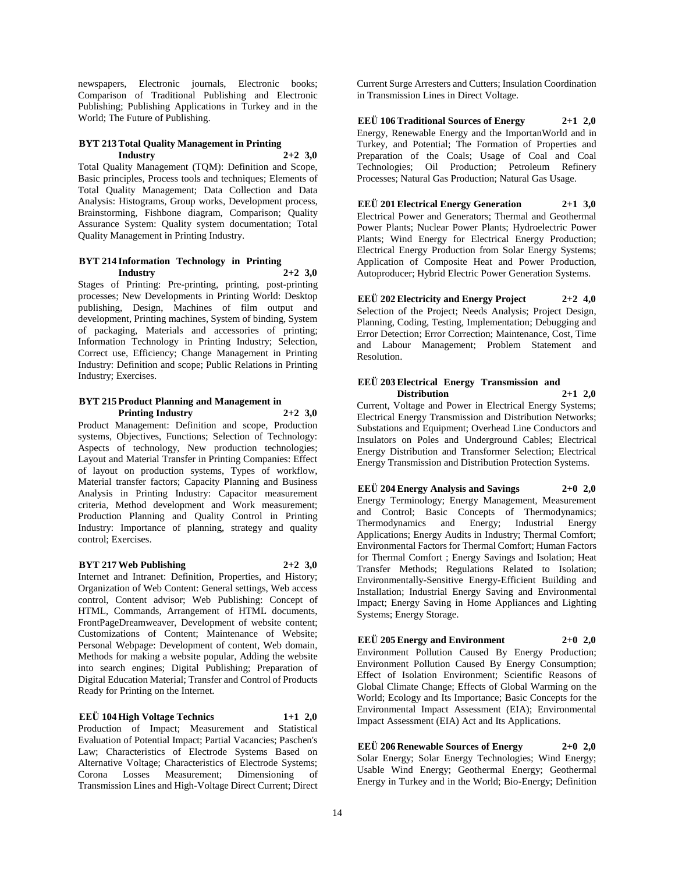newspapers, Electronic journals, Electronic books; Comparison of Traditional Publishing and Electronic Publishing; Publishing Applications in Turkey and in the World; The Future of Publishing.

#### **BYT 213 Total Quality Management in Printing Industry 2+2 3,0**

Total Quality Management (TQM): Definition and Scope, Basic principles, Process tools and techniques; Elements of Total Quality Management; Data Collection and Data Analysis: Histograms, Group works, Development process, Brainstorming, Fishbone diagram, Comparison; Quality Assurance System: Quality system documentation; Total Quality Management in Printing Industry.

# **BYT 214 Information Technology in Printing Industry 2+2 3,0**

Stages of Printing: Pre-printing, printing, post-printing processes; New Developments in Printing World: Desktop publishing, Design, Machines of film output and development, Printing machines, System of binding, System of packaging, Materials and accessories of printing; Information Technology in Printing Industry; Selection, Correct use, Efficiency; Change Management in Printing Industry: Definition and scope; Public Relations in Printing Industry; Exercises.

#### **BYT 215 Product Planning and Management in Printing Industry 2+2 3,0**

Product Management: Definition and scope, Production systems, Objectives, Functions; Selection of Technology: Aspects of technology, New production technologies; Layout and Material Transfer in Printing Companies: Effect of layout on production systems, Types of workflow, Material transfer factors; Capacity Planning and Business Analysis in Printing Industry: Capacitor measurement criteria, Method development and Work measurement; Production Planning and Quality Control in Printing Industry: Importance of planning, strategy and quality control; Exercises.

# **BYT 217 Web Publishing 2+2 3,0**

Internet and Intranet: Definition, Properties, and History; Organization of Web Content: General settings, Web access control, Content advisor; Web Publishing: Concept of HTML, Commands, Arrangement of HTML documents, FrontPageDreamweaver, Development of website content; Customizations of Content; Maintenance of Website; Personal Webpage: Development of content, Web domain, Methods for making a website popular, Adding the website into search engines; Digital Publishing; Preparation of Digital Education Material; Transfer and Control of Products Ready for Printing on the Internet.

# **EEÜ 104 High Voltage Technics 1+1 2,0**

Production of Impact; Measurement and Statistical Evaluation of Potential Impact; Partial Vacancies; Paschen's Law; Characteristics of Electrode Systems Based on Alternative Voltage; Characteristics of Electrode Systems; Corona Losses Measurement; Dimensioning of Transmission Lines and High-Voltage Direct Current; Direct

Current Surge Arresters and Cutters; Insulation Coordination in Transmission Lines in Direct Voltage.

# **EEÜ 106 Traditional Sources of Energy 2+1 2,0**

Energy, Renewable Energy and the ImportanWorld and in Turkey, and Potential; The Formation of Properties and Preparation of the Coals; Usage of Coal and Coal Technologies; Oil Production; Petroleum Refinery Processes; Natural Gas Production; Natural Gas Usage.

# **EEÜ 201 Electrical Energy Generation 2+1 3,0**

Electrical Power and Generators; Thermal and Geothermal Power Plants; Nuclear Power Plants; Hydroelectric Power Plants; Wind Energy for Electrical Energy Production; Electrical Energy Production from Solar Energy Systems; Application of Composite Heat and Power Production, Autoproducer; Hybrid Electric Power Generation Systems.

**EEÜ 202 Electricity and Energy Project 2+2 4,0** Selection of the Project; Needs Analysis; Project Design, Planning, Coding, Testing, Implementation; Debugging and Error Detection; Error Correction; Maintenance, Cost, Time and Labour Management; Problem Statement and Resolution.

# **EEÜ 203 Electrical Energy Transmission and Distribution 2+1 2,0**

Current, Voltage and Power in Electrical Energy Systems; Electrical Energy Transmission and Distribution Networks; Substations and Equipment; Overhead Line Conductors and Insulators on Poles and Underground Cables; Electrical Energy Distribution and Transformer Selection; Electrical Energy Transmission and Distribution Protection Systems.

#### **EEÜ 204 Energy Analysis and Savings 2+0 2,0** Energy Terminology; Energy Management, Measurement

and Control; Basic Concepts of Thermodynamics; Thermodynamics and Energy; Industrial Energy Applications; Energy Audits in Industry; Thermal Comfort; Environmental Factors for Thermal Comfort; Human Factors for Thermal Comfort ; Energy Savings and Isolation; Heat Transfer Methods; Regulations Related to Isolation; Environmentally-Sensitive Energy-Efficient Building and Installation; Industrial Energy Saving and Environmental Impact; Energy Saving in Home Appliances and Lighting Systems; Energy Storage.

# **EEÜ 205 Energy and Environment 2+0 2,0** Environment Pollution Caused By Energy Production;

Environment Pollution Caused By Energy Consumption; Effect of Isolation Environment; Scientific Reasons of Global Climate Change; Effects of Global Warming on the World; Ecology and Its Importance; Basic Concepts for the Environmental Impact Assessment (EIA); Environmental Impact Assessment (EIA) Act and Its Applications.

**EEÜ 206 Renewable Sources of Energy 2+0 2,0** Solar Energy; Solar Energy Technologies; Wind Energy; Usable Wind Energy; Geothermal Energy; Geothermal Energy in Turkey and in the World; Bio-Energy; Definition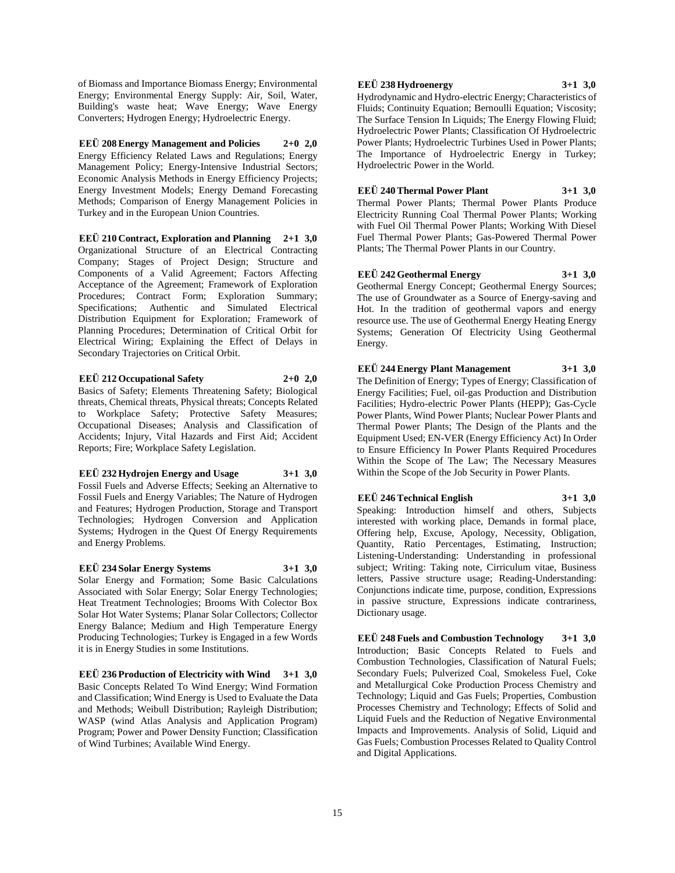of Biomass and Importance Biomass Energy; Environmental Energy; Environmental Energy Supply: Air, Soil, Water, Building's waste heat; Wave Energy; Wave Energy Converters; Hydrogen Energy; Hydroelectric Energy.

**EEÜ 208 Energy Management and Policies 2+0 2,0** Energy Efficiency Related Laws and Regulations; Energy Management Policy; Energy-Intensive Industrial Sectors; Economic Analysis Methods in Energy Efficiency Projects; Energy Investment Models; Energy Demand Forecasting Methods; Comparison of Energy Management Policies in Turkey and in the European Union Countries.

**EEÜ 210 Contract, Exploration and Planning 2+1 3,0** Organizational Structure of an Electrical Contracting Company; Stages of Project Design; Structure and Components of a Valid Agreement; Factors Affecting Acceptance of the Agreement; Framework of Exploration Procedures; Contract Form; Exploration Summary; Specifications; Authentic and Simulated Electrical Distribution Equipment for Exploration; Framework of Planning Procedures; Determination of Critical Orbit for Electrical Wiring; Explaining the Effect of Delays in Secondary Trajectories on Critical Orbit.

**EEÜ 212 Occupational Safety 2+0 2,0** Basics of Safety; Elements Threatening Safety; Biological threats, Chemical threats, Physical threats; Concepts Related to Workplace Safety; Protective Safety Measures; Occupational Diseases; Analysis and Classification of Accidents; Injury, Vital Hazards and First Aid; Accident Reports; Fire; Workplace Safety Legislation.

**EEÜ 232 Hydrojen Energy and Usage 3+1 3,0** Fossil Fuels and Adverse Effects; Seeking an Alternative to Fossil Fuels and Energy Variables; The Nature of Hydrogen and Features; Hydrogen Production, Storage and Transport Technologies; Hydrogen Conversion and Application Systems; Hydrogen in the Quest Of Energy Requirements and Energy Problems.

**EEÜ 234 Solar Energy Systems 3+1 3,0** Solar Energy and Formation; Some Basic Calculations Associated with Solar Energy; Solar Energy Technologies; Heat Treatment Technologies; Brooms With Colector Box Solar Hot Water Systems; Planar Solar Collectors; Collector Energy Balance; Medium and High Temperature Energy Producing Technologies; Turkey is Engaged in a few Words it is in Energy Studies in some Institutions.

**EEÜ 236 Production of Electricity with Wind 3+1 3,0** Basic Concepts Related To Wind Energy; Wind Formation and Classification; Wind Energy is Used to Evaluate the Data and Methods; Weibull Distribution; Rayleigh Distribution; WASP (wind Atlas Analysis and Application Program) Program; Power and Power Density Function; Classification of Wind Turbines; Available Wind Energy.

### **EEÜ 238 Hydroenergy 3+1 3,0**

Hydrodynamic and Hydro-electric Energy; Characteristics of Fluids; Continuity Equation; Bernoulli Equation; Viscosity; The Surface Tension In Liquids; The Energy Flowing Fluid: Hydroelectric Power Plants; Classification Of Hydroelectric Power Plants; Hydroelectric Turbines Used in Power Plants; The Importance of Hydroelectric Energy in Turkey; Hydroelectric Power in the World.

# **EEÜ 240 Thermal Power Plant 3+1 3,0**

Thermal Power Plants; Thermal Power Plants Produce Electricity Running Coal Thermal Power Plants; Working with Fuel Oil Thermal Power Plants; Working With Diesel Fuel Thermal Power Plants; Gas-Powered Thermal Power Plants; The Thermal Power Plants in our Country.

# **EEÜ 242 Geothermal Energy 3+1 3,0**

Geothermal Energy Concept; Geothermal Energy Sources; The use of Groundwater as a Source of Energy-saving and Hot. In the tradition of geothermal vapors and energy resource use. The use of Geothermal Energy Heating Energy Systems; Generation Of Electricity Using Geothermal Energy.

# **EEÜ 244 Energy Plant Management 3+1 3,0**

The Definition of Energy; Types of Energy; Classification of Energy Facilities; Fuel, oil-gas Production and Distribution Facilities; Hydro-electric Power Plants (HEPP); Gas-Cycle Power Plants, Wind Power Plants; Nuclear Power Plants and Thermal Power Plants; The Design of the Plants and the Equipment Used; EN-VER (Energy Efficiency Act) In Order to Ensure Efficiency In Power Plants Required Procedures Within the Scope of The Law; The Necessary Measures Within the Scope of the Job Security in Power Plants.

# **EEÜ 246 Technical English 3+1 3,0**

Speaking: Introduction himself and others, Subjects interested with working place, Demands in formal place, Offering help, Excuse, Apology, Necessity, Obligation, Quantity, Ratio Percentages, Estimating, Instruction; Listening-Understanding: Understanding in professional subject; Writing: Taking note, Cirriculum vitae, Business letters, Passive structure usage; Reading-Understanding: Conjunctions indicate time, purpose, condition, Expressions in passive structure, Expressions indicate contrariness, Dictionary usage.

**EEÜ 248 Fuels and Combustion Technology 3+1 3,0** Introduction; Basic Concepts Related to Fuels and Combustion Technologies, Classification of Natural Fuels; Secondary Fuels; Pulverized Coal, Smokeless Fuel, Coke and Metallurgical Coke Production Process Chemistry and Technology; Liquid and Gas Fuels; Properties, Combustion Processes Chemistry and Technology; Effects of Solid and Liquid Fuels and the Reduction of Negative Environmental Impacts and Improvements. Analysis of Solid, Liquid and Gas Fuels; Combustion Processes Related to Quality Control and Digital Applications.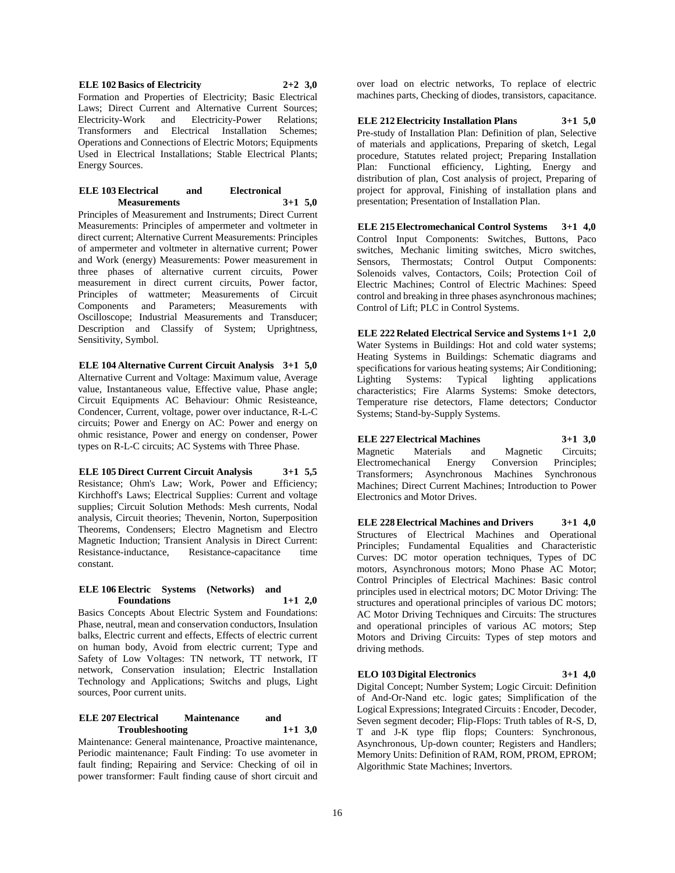**ELE 102 Basics of Electricity 2+2 3,0** Formation and Properties of Electricity; Basic Electrical Laws; Direct Current and Alternative Current Sources; Electricity-Work and Electricity-Power Relations; Transformers and Electrical Installation Schemes; Operations and Connections of Electric Motors; Equipments Used in Electrical Installations; Stable Electrical Plants; Energy Sources.

#### **ELE 103 Electrical and Electronical Measurements 3+1 5,0**

Principles of Measurement and Instruments; Direct Current Measurements: Principles of ampermeter and voltmeter in direct current; Alternative Current Measurements: Principles of ampermeter and voltmeter in alternative current; Power and Work (energy) Measurements: Power measurement in three phases of alternative current circuits, Power measurement in direct current circuits, Power factor, Principles of wattmeter; Measurements of Circuit Components and Parameters; Measurements with Oscilloscope; Industrial Measurements and Transducer; Description and Classify of System; Uprightness, Sensitivity, Symbol.

**ELE 104 Alternative Current Circuit Analysis 3+1 5,0** Alternative Current and Voltage: Maximum value, Average value, Instantaneous value, Effective value, Phase angle; Circuit Equipments AC Behaviour: Ohmic Resisteance, Condencer, Current, voltage, power over inductance, R-L-C circuits; Power and Energy on AC: Power and energy on ohmic resistance, Power and energy on condenser, Power types on R-L-C circuits; AC Systems with Three Phase.

**ELE 105 Direct Current Circuit Analysis 3+1 5,5** Resistance; Ohm's Law; Work, Power and Efficiency; Kirchhoff's Laws; Electrical Supplies: Current and voltage supplies; Circuit Solution Methods: Mesh currents, Nodal analysis, Circuit theories; Thevenin, Norton, Superposition Theorems, Condensers; Electro Magnetism and Electro Magnetic Induction; Transient Analysis in Direct Current: Resistance-inductance, Resistance-capacitance time constant.

#### **ELE 106 Electric Systems (Networks) and Foundations 1+1 2,0**

Basics Concepts About Electric System and Foundations: Phase, neutral, mean and conservation conductors, Insulation balks, Electric current and effects, Effects of electric current on human body, Avoid from electric current; Type and Safety of Low Voltages: TN network, TT network, IT network, Conservation insulation; Electric Installation Technology and Applications; Switchs and plugs, Light sources, Poor current units.

#### **ELE 207 Electrical Maintenance and Troubleshooting 1+1 3,0**

Maintenance: General maintenance, Proactive maintenance, Periodic maintenance; Fault Finding: To use avometer in fault finding; Repairing and Service: Checking of oil in power transformer: Fault finding cause of short circuit and

over load on electric networks, To replace of electric machines parts, Checking of diodes, transistors, capacitance.

**ELE 212 Electricity Installation Plans 3+1 5,0** Pre-study of Installation Plan: Definition of plan, Selective of materials and applications, Preparing of sketch, Legal procedure, Statutes related project; Preparing Installation Plan: Functional efficiency, Lighting, Energy and distribution of plan, Cost analysis of project, Preparing of project for approval, Finishing of installation plans and presentation; Presentation of Installation Plan.

**ELE 215 Electromechanical Control Systems 3+1 4,0** Control Input Components: Switches, Buttons, Paco switches, Mechanic limiting switches, Micro switches, Sensors, Thermostats; Control Output Components: Solenoids valves, Contactors, Coils; Protection Coil of Electric Machines; Control of Electric Machines: Speed control and breaking in three phases asynchronous machines; Control of Lift; PLC in Control Systems.

**ELE 222 Related Electrical Service and Systems 1+1 2,0** Water Systems in Buildings: Hot and cold water systems; Heating Systems in Buildings: Schematic diagrams and specifications for various heating systems; Air Conditioning; Lighting Systems: Typical lighting applications characteristics; Fire Alarms Systems: Smoke detectors, Temperature rise detectors, Flame detectors; Conductor Systems; Stand-by-Supply Systems.

#### **ELE 227 Electrical Machines 3+1 3,0** Magnetic Materials and Magnetic Circuits; Electromechanical Energy Conversion Principles; Transformers; Asynchronous Machines Synchronous Machines; Direct Current Machines; Introduction to Power

Electronics and Motor Drives.

**ELE 228 Electrical Machines and Drivers 3+1 4,0** Structures of Electrical Machines and Operational Principles; Fundamental Equalities and Characteristic Curves: DC motor operation techniques, Types of DC motors, Asynchronous motors; Mono Phase AC Motor; Control Principles of Electrical Machines: Basic control principles used in electrical motors; DC Motor Driving: The structures and operational principles of various DC motors; AC Motor Driving Techniques and Circuits: The structures and operational principles of various AC motors; Step Motors and Driving Circuits: Types of step motors and driving methods.

# **ELO 103 Digital Electronics 3+1 4,0**

Digital Concept; Number System; Logic Circuit: Definition of And-Or-Nand etc. logic gates; Simplification of the Logical Expressions; Integrated Circuits : Encoder, Decoder, Seven segment decoder; Flip-Flops: Truth tables of R-S, D, T and J-K type flip flops; Counters: Synchronous, Asynchronous, Up-down counter; Registers and Handlers; Memory Units: Definition of RAM, ROM, PROM, EPROM; Algorithmic State Machines; Invertors.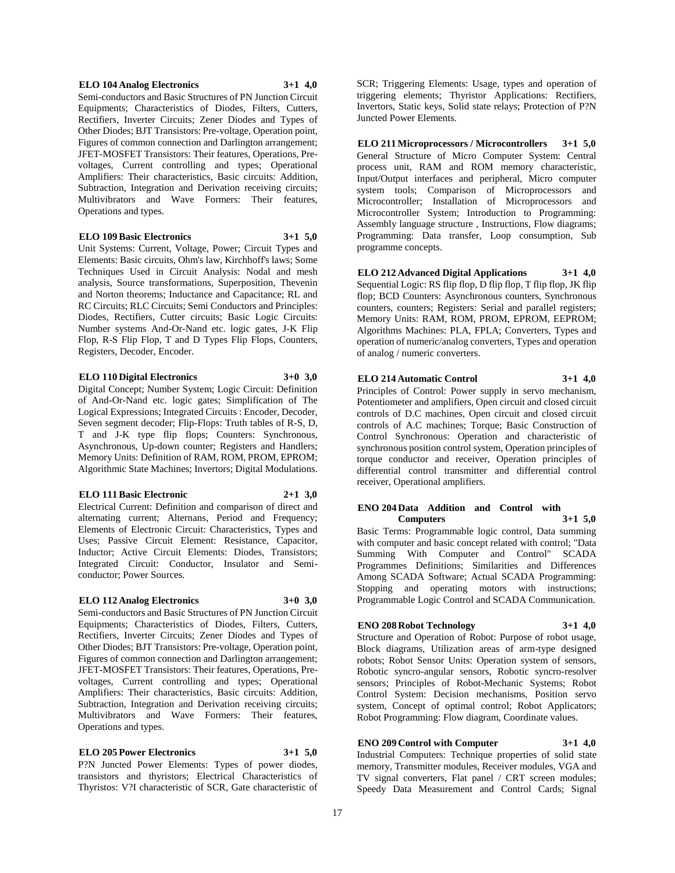#### **ELO 104 Analog Electronics 3+1 4,0**

Semi-conductors and Basic Structures of PN Junction Circuit Equipments; Characteristics of Diodes, Filters, Cutters, Rectifiers, Inverter Circuits; Zener Diodes and Types of Other Diodes; BJT Transistors: Pre-voltage, Operation point, Figures of common connection and Darlington arrangement; JFET-MOSFET Transistors: Their features, Operations, Prevoltages, Current controlling and types; Operational Amplifiers: Their characteristics, Basic circuits: Addition, Subtraction, Integration and Derivation receiving circuits; Multivibrators and Wave Formers: Their features, Operations and types.

#### **ELO 109 Basic Electronics 3+1 5,0**

Unit Systems: Current, Voltage, Power; Circuit Types and Elements: Basic circuits, Ohm's law, Kirchhoff's laws; Some Techniques Used in Circuit Analysis: Nodal and mesh analysis, Source transformations, Superposition, Thevenin and Norton theorems; Inductance and Capacitance; RL and RC Circuits; RLC Circuits; Semi Conductors and Principles: Diodes, Rectifiers, Cutter circuits; Basic Logic Circuits: Number systems And-Or-Nand etc. logic gates, J-K Flip Flop, R-S Flip Flop, T and D Types Flip Flops, Counters, Registers, Decoder, Encoder.

#### **ELO 110 Digital Electronics 3+0 3,0**

Digital Concept; Number System; Logic Circuit: Definition of And-Or-Nand etc. logic gates; Simplification of The Logical Expressions; Integrated Circuits : Encoder, Decoder, Seven segment decoder; Flip-Flops: Truth tables of R-S, D, T and J-K type flip flops; Counters: Synchronous, Asynchronous, Up-down counter; Registers and Handlers; Memory Units: Definition of RAM, ROM, PROM, EPROM; Algorithmic State Machines; Invertors; Digital Modulations.

#### **ELO 111 Basic Electronic 2+1 3,0**

Electrical Current: Definition and comparison of direct and alternating current; Alternans, Period and Frequency; Elements of Electronic Circuit: Characteristics, Types and Uses; Passive Circuit Element: Resistance, Capacitor, Inductor; Active Circuit Elements: Diodes, Transistors; Integrated Circuit: Conductor, Insulator and Semiconductor; Power Sources.

#### **ELO 112 Analog Electronics 3+0 3,0**

Semi-conductors and Basic Structures of PN Junction Circuit Equipments; Characteristics of Diodes, Filters, Cutters, Rectifiers, Inverter Circuits; Zener Diodes and Types of Other Diodes; BJT Transistors: Pre-voltage, Operation point, Figures of common connection and Darlington arrangement; JFET-MOSFET Transistors: Their features, Operations, Prevoltages, Current controlling and types; Operational Amplifiers: Their characteristics, Basic circuits: Addition, Subtraction, Integration and Derivation receiving circuits; Multivibrators and Wave Formers: Their features, Operations and types.

# **ELO 205 Power Electronics 3+1 5,0**

P?N Juncted Power Elements: Types of power diodes, transistors and thyristors; Electrical Characteristics of Thyristos: V?I characteristic of SCR, Gate characteristic of

SCR; Triggering Elements: Usage, types and operation of triggering elements; Thyristor Applications: Rectifiers, Invertors, Static keys, Solid state relays; Protection of P?N Juncted Power Elements.

**ELO 211 Microprocessors / Microcontrollers 3+1 5,0** General Structure of Micro Computer System: Central process unit, RAM and ROM memory characteristic, Input/Output interfaces and peripheral, Micro computer system tools; Comparison of Microprocessors and Microcontroller; Installation of Microprocessors and Microcontroller System; Introduction to Programming: Assembly language structure , Instructions, Flow diagrams; Programming: Data transfer, Loop consumption, Sub programme concepts.

**ELO 212 Advanced Digital Applications 3+1 4,0** Sequential Logic: RS flip flop, D flip flop, T flip flop, JK flip flop; BCD Counters: Asynchronous counters, Synchronous counters, counters; Registers: Serial and parallel registers; Memory Units: RAM, ROM, PROM, EPROM, EEPROM; Algorithms Machines: PLA, FPLA; Converters, Types and operation of numeric/analog converters, Types and operation of analog / numeric converters.

# **ELO 214 Automatic Control 3+1 4,0**

Principles of Control: Power supply in servo mechanism, Potentiometer and amplifiers, Open circuit and closed circuit controls of D.C machines, Open circuit and closed circuit controls of A.C machines; Torque; Basic Construction of Control Synchronous: Operation and characteristic of synchronous position control system, Operation principles of torque conductor and receiver, Operation principles of differential control transmitter and differential control receiver, Operational amplifiers.

### **ENO 204 Data Addition and Control with Computers 3+1 5,0**

Basic Terms: Programmable logic control, Data summing with computer and basic concept related with control; "Data Summing With Computer and Control" SCADA Programmes Definitions; Similarities and Differences Among SCADA Software; Actual SCADA Programming: Stopping and operating motors with instructions; Programmable Logic Control and SCADA Communication.

#### **ENO 208 Robot Technology 3+1 4,0**

Structure and Operation of Robot: Purpose of robot usage, Block diagrams, Utilization areas of arm-type designed robots; Robot Sensor Units: Operation system of sensors, Robotic syncro-angular sensors, Robotic syncro-resolver sensors; Principles of Robot-Mechanic Systems; Robot Control System: Decision mechanisms, Position servo system, Concept of optimal control; Robot Applicators; Robot Programming: Flow diagram, Coordinate values.

# **ENO 209 Control with Computer 3+1 4,0**

Industrial Computers: Technique properties of solid state memory, Transmitter modules, Receiver modules, VGA and TV signal converters, Flat panel / CRT screen modules; Speedy Data Measurement and Control Cards; Signal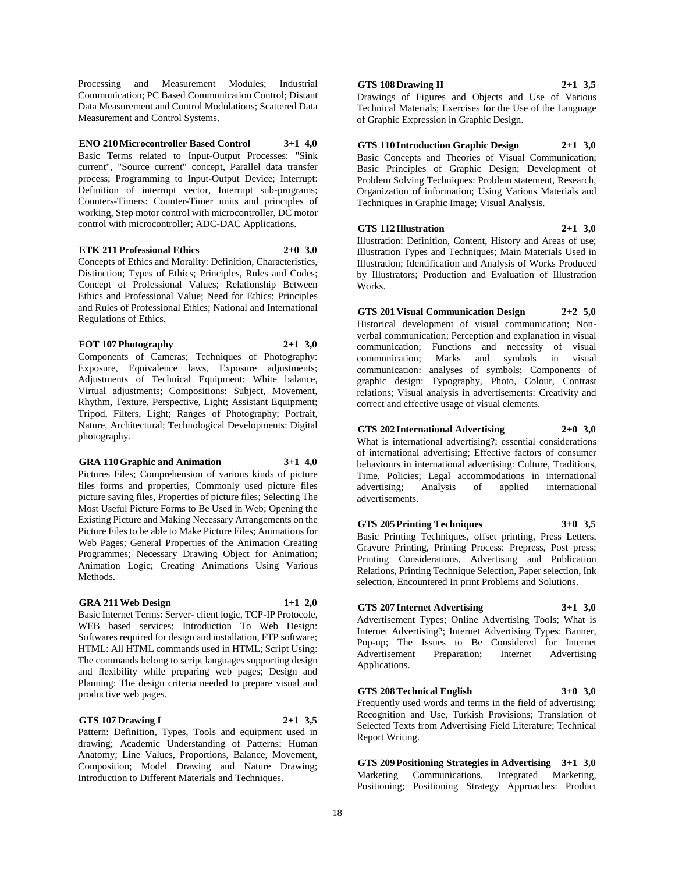Processing and Measurement Modules; Industrial Communication; PC Based Communication Control; Distant Data Measurement and Control Modulations; Scattered Data Measurement and Control Systems.

**ENO 210 Microcontroller Based Control 3+1 4,0** Basic Terms related to Input-Output Processes: "Sink current", "Source current" concept, Parallel data transfer process; Programming to Input-Output Device; Interrupt: Definition of interrupt vector, Interrupt sub-programs; Counters-Timers: Counter-Timer units and principles of working, Step motor control with microcontroller, DC motor control with microcontroller; ADC-DAC Applications.

#### **ETK 211 Professional Ethics 2+0 3,0**

Concepts of Ethics and Morality: Definition, Characteristics, Distinction; Types of Ethics; Principles, Rules and Codes; Concept of Professional Values; Relationship Between Ethics and Professional Value; Need for Ethics; Principles and Rules of Professional Ethics; National and International Regulations of Ethics.

#### **FOT 107 Photography 2+1 3,0**

Components of Cameras; Techniques of Photography: Exposure, Equivalence laws, Exposure adjustments; Adjustments of Technical Equipment: White balance, Virtual adjustments; Compositions: Subject, Movement, Rhythm, Texture, Perspective, Light; Assistant Equipment; Tripod, Filters, Light; Ranges of Photography; Portrait, Nature, Architectural; Technological Developments: Digital photography.

#### **GRA 110 Graphic and Animation 3+1 4,0**

Pictures Files; Comprehension of various kinds of picture files forms and properties, Commonly used picture files picture saving files, Properties of picture files; Selecting The Most Useful Picture Forms to Be Used in Web; Opening the Existing Picture and Making Necessary Arrangements on the Picture Files to be able to Make Picture Files; Animations for Web Pages; General Properties of the Animation Creating Programmes; Necessary Drawing Object for Animation; Animation Logic; Creating Animations Using Various Methods.

#### **GRA 211 Web Design 1+1 2,0**

Basic Internet Terms: Server- client logic, TCP-IP Protocole, WEB based services; Introduction To Web Design: Softwares required for design and installation, FTP software; HTML: All HTML commands used in HTML; Script Using: The commands belong to script languages supporting design and flexibility while preparing web pages; Design and Planning: The design criteria needed to prepare visual and productive web pages.

#### **GTS 107 Drawing I 2+1 3,5**

Pattern: Definition, Types, Tools and equipment used in drawing; Academic Understanding of Patterns; Human Anatomy; Line Values, Proportions, Balance, Movement, Composition; Model Drawing and Nature Drawing; Introduction to Different Materials and Techniques.

#### **GTS 108 Drawing II 2+1 3,5**

Drawings of Figures and Objects and Use of Various Technical Materials; Exercises for the Use of the Language of Graphic Expression in Graphic Design.

**GTS 110 Introduction Graphic Design 2+1 3,0** Basic Concepts and Theories of Visual Communication; Basic Principles of Graphic Design; Development of Problem Solving Techniques: Problem statement, Research, Organization of information; Using Various Materials and Techniques in Graphic Image; Visual Analysis.

**GTS 112 Illustration 2+1 3,0** Illustration: Definition, Content, History and Areas of use; Illustration Types and Techniques; Main Materials Used in Illustration; Identification and Analysis of Works Produced by Illustrators; Production and Evaluation of Illustration Works.

**GTS 201 Visual Communication Design 2+2 5,0** Historical development of visual communication; Nonverbal communication; Perception and explanation in visual communication; Functions and necessity of visual communication; Marks and symbols in visual communication: analyses of symbols; Components of graphic design: Typography, Photo, Colour, Contrast relations; Visual analysis in advertisements: Creativity and correct and effective usage of visual elements.

**GTS 202 International Advertising 2+0 3,0**

What is international advertising?; essential considerations of international advertising; Effective factors of consumer behaviours in international advertising: Culture, Traditions, Time, Policies; Legal accommodations in international advertising; Analysis of applied international advertisements.

**GTS 205 Printing Techniques 3+0 3,5** Basic Printing Techniques, offset printing, Press Letters, Gravure Printing, Printing Process: Prepress, Post press; Printing Considerations, Advertising and Publication Relations, Printing Technique Selection, Paper selection, Ink selection, Encountered In print Problems and Solutions.

# **GTS 207 Internet Advertising 3+1 3,0**

Advertisement Types; Online Advertising Tools; What is Internet Advertising?; Internet Advertising Types: Banner, Pop-up; The Issues to Be Considered for Internet Advertisement Preparation; Internet Advertising Applications.

**GTS 208 Technical English 3+0 3,0**

Frequently used words and terms in the field of advertising; Recognition and Use, Turkish Provisions; Translation of Selected Texts from Advertising Field Literature; Technical Report Writing.

**GTS 209 Positioning Strategies in Advertising 3+1 3,0** Marketing Communications, Integrated Marketing, Positioning; Positioning Strategy Approaches: Product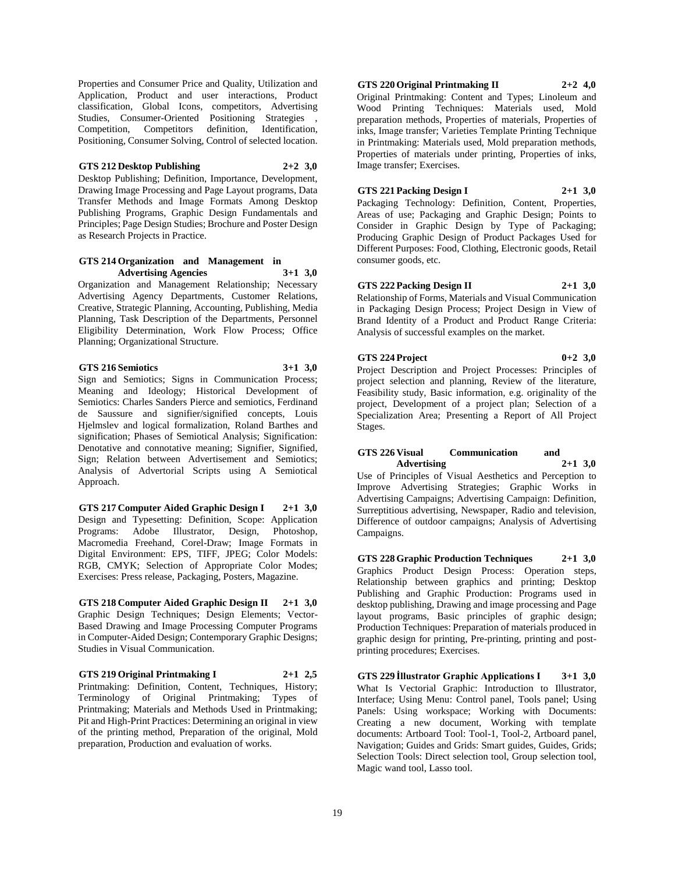Properties and Consumer Price and Quality, Utilization and Application, Product and user interactions, Product classification, Global Icons, competitors, Advertising Studies, Consumer-Oriented Positioning Strategies , Competition, Competitors definition, Identification, Positioning, Consumer Solving, Control of selected location.

# **GTS 212 Desktop Publishing 2+2 3,0**

Desktop Publishing; Definition, Importance, Development, Drawing Image Processing and Page Layout programs, Data Transfer Methods and Image Formats Among Desktop Publishing Programs, Graphic Design Fundamentals and Principles; Page Design Studies; Brochure and Poster Design as Research Projects in Practice.

# **GTS 214 Organization and Management in Advertising Agencies 3+1 3,0**

Organization and Management Relationship; Necessary Advertising Agency Departments, Customer Relations, Creative, Strategic Planning, Accounting, Publishing, Media Planning, Task Description of the Departments, Personnel Eligibility Determination, Work Flow Process; Office Planning; Organizational Structure.

#### **GTS 216 Semiotics 3+1 3,0**

Sign and Semiotics; Signs in Communication Process; Meaning and Ideology; Historical Development of Semiotics: Charles Sanders Pierce and semiotics, Ferdinand de Saussure and signifier/signified concepts, Louis Hjelmslev and logical formalization, Roland Barthes and signification; Phases of Semiotical Analysis; Signification: Denotative and connotative meaning; Signifier, Signified, Sign; Relation between Advertisement and Semiotics; Analysis of Advertorial Scripts using A Semiotical Approach.

**GTS 217 Computer Aided Graphic Design I 2+1 3,0** Design and Typesetting: Definition, Scope: Application Programs: Adobe Illustrator, Design, Photoshop, Macromedia Freehand, Corel-Draw; Image Formats in Digital Environment: EPS, TIFF, JPEG; Color Models: RGB, CMYK; Selection of Appropriate Color Modes; Exercises: Press release, Packaging, Posters, Magazine.

**GTS 218 Computer Aided Graphic Design II 2+1 3,0** Graphic Design Techniques; Design Elements; Vector-Based Drawing and Image Processing Computer Programs in Computer-Aided Design; Contemporary Graphic Designs; Studies in Visual Communication.

**GTS 219 Original Printmaking I 2+1 2,5** Printmaking: Definition, Content, Techniques, History; Terminology of Original Printmaking; Types of Printmaking; Materials and Methods Used in Printmaking; Pit and High-Print Practices: Determining an original in view of the printing method, Preparation of the original, Mold preparation, Production and evaluation of works.

# **GTS 220 Original Printmaking II 2+2 4,0**

Original Printmaking: Content and Types; Linoleum and Wood Printing Techniques: Materials used, Mold preparation methods, Properties of materials, Properties of inks, Image transfer; Varieties Template Printing Technique in Printmaking: Materials used, Mold preparation methods, Properties of materials under printing, Properties of inks, Image transfer; Exercises.

### **GTS 221 Packing Design I 2+1 3,0**

Packaging Technology: Definition, Content, Properties, Areas of use; Packaging and Graphic Design; Points to Consider in Graphic Design by Type of Packaging; Producing Graphic Design of Product Packages Used for Different Purposes: Food, Clothing, Electronic goods, Retail consumer goods, etc.

#### **GTS 222 Packing Design II 2+1 3,0**

Relationship of Forms, Materials and Visual Communication in Packaging Design Process; Project Design in View of Brand Identity of a Product and Product Range Criteria: Analysis of successful examples on the market.

# **GTS 224 Project 0+2 3,0**

Project Description and Project Processes: Principles of project selection and planning, Review of the literature, Feasibility study, Basic information, e.g. originality of the project, Development of a project plan; Selection of a Specialization Area; Presenting a Report of All Project Stages.

### **GTS 226 Visual Communication and Advertising 2+1 3,0**

Use of Principles of Visual Aesthetics and Perception to Improve Advertising Strategies; Graphic Works in Advertising Campaigns; Advertising Campaign: Definition, Surreptitious advertising, Newspaper, Radio and television, Difference of outdoor campaigns; Analysis of Advertising Campaigns.

**GTS 228 Graphic Production Techniques 2+1 3,0** Graphics Product Design Process: Operation steps, Relationship between graphics and printing; Desktop Publishing and Graphic Production: Programs used in desktop publishing, Drawing and image processing and Page layout programs, Basic principles of graphic design; Production Techniques: Preparation of materials produced in graphic design for printing, Pre-printing, printing and postprinting procedures; Exercises.

**GTS 229 İllustrator Graphic Applications I 3+1 3,0** What Is Vectorial Graphic: Introduction to Illustrator, Interface; Using Menu: Control panel, Tools panel; Using Panels: Using workspace; Working with Documents: Creating a new document, Working with template documents: Artboard Tool: Tool-1, Tool-2, Artboard panel, Navigation; Guides and Grids: Smart guides, Guides, Grids; Selection Tools: Direct selection tool, Group selection tool, Magic wand tool, Lasso tool.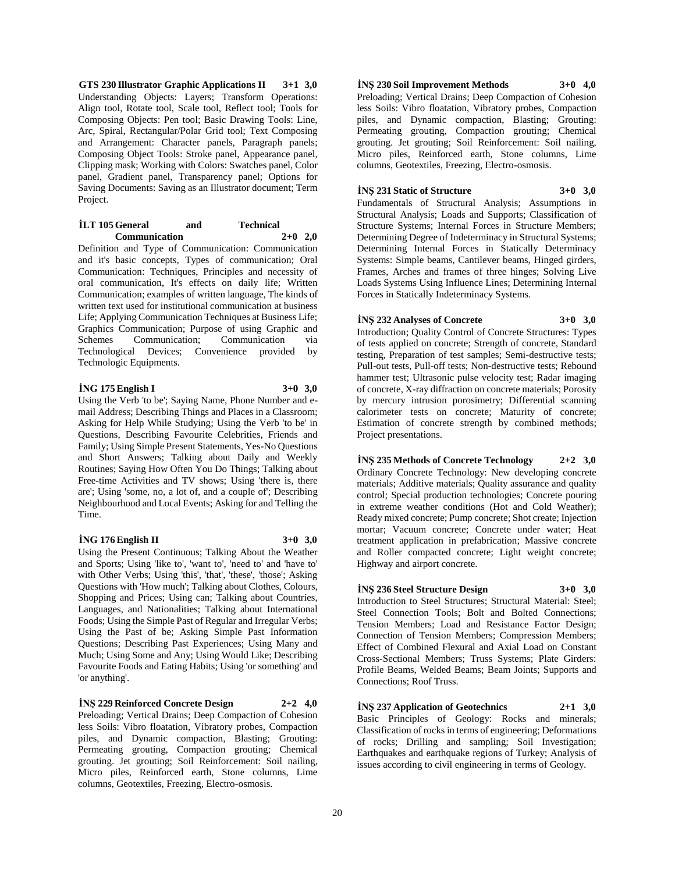**GTS 230 Illustrator Graphic Applications II 3+1 3,0** Understanding Objects: Layers; Transform Operations: Align tool, Rotate tool, Scale tool, Reflect tool; Tools for Composing Objects: Pen tool; Basic Drawing Tools: Line, Arc, Spiral, Rectangular/Polar Grid tool; Text Composing and Arrangement: Character panels, Paragraph panels; Composing Object Tools: Stroke panel, Appearance panel, Clipping mask; Working with Colors: Swatches panel, Color panel, Gradient panel, Transparency panel; Options for Saving Documents: Saving as an Illustrator document; Term Project.

#### **İLT 105 General and Technical Communication 2+0 2,0**

Definition and Type of Communication: Communication and it's basic concepts, Types of communication; Oral Communication: Techniques, Principles and necessity of oral communication, It's effects on daily life; Written Communication; examples of written language, The kinds of written text used for institutional communication at business Life; Applying Communication Techniques at Business Life; Graphics Communication; Purpose of using Graphic and Schemes Communication; Communication via Technological Devices; Convenience provided by Technologic Equipments.

# **İNG 175 English I 3+0 3,0**

Using the Verb 'to be'; Saying Name, Phone Number and email Address; Describing Things and Places in a Classroom; Asking for Help While Studying; Using the Verb 'to be' in Questions, Describing Favourite Celebrities, Friends and Family; Using Simple Present Statements, Yes-No Questions and Short Answers; Talking about Daily and Weekly Routines; Saying How Often You Do Things; Talking about Free-time Activities and TV shows; Using 'there is, there are'; Using 'some, no, a lot of, and a couple of'; Describing Neighbourhood and Local Events; Asking for and Telling the Time.

# **İNG 176 English II 3+0 3,0**

Using the Present Continuous; Talking About the Weather and Sports; Using 'like to', 'want to', 'need to' and 'have to' with Other Verbs; Using 'this', 'that', 'these', 'those'; Asking Questions with 'How much'; Talking about Clothes, Colours, Shopping and Prices; Using can; Talking about Countries, Languages, and Nationalities; Talking about International Foods; Using the Simple Past of Regular and Irregular Verbs; Using the Past of be; Asking Simple Past Information Questions; Describing Past Experiences; Using Many and Much; Using Some and Any; Using Would Like; Describing Favourite Foods and Eating Habits; Using 'or something' and 'or anything'.

**İNŞ 229 Reinforced Concrete Design 2+2 4,0** Preloading; Vertical Drains; Deep Compaction of Cohesion less Soils: Vibro floatation, Vibratory probes, Compaction piles, and Dynamic compaction, Blasting; Grouting: Permeating grouting, Compaction grouting; Chemical grouting. Jet grouting; Soil Reinforcement: Soil nailing, Micro piles, Reinforced earth, Stone columns, Lime columns, Geotextiles, Freezing, Electro-osmosis.

# **İNŞ 230 Soil Improvement Methods 3+0 4,0**

Preloading; Vertical Drains; Deep Compaction of Cohesion less Soils: Vibro floatation, Vibratory probes, Compaction piles, and Dynamic compaction, Blasting; Grouting: Permeating grouting, Compaction grouting; Chemical grouting. Jet grouting; Soil Reinforcement: Soil nailing, Micro piles, Reinforced earth, Stone columns, Lime columns, Geotextiles, Freezing, Electro-osmosis.

### **İNŞ 231 Static of Structure 3+0 3,0**

Fundamentals of Structural Analysis; Assumptions in Structural Analysis; Loads and Supports; Classification of Structure Systems; Internal Forces in Structure Members; Determining Degree of Indeterminacy in Structural Systems; Determining Internal Forces in Statically Determinacy Systems: Simple beams, Cantilever beams, Hinged girders, Frames, Arches and frames of three hinges; Solving Live Loads Systems Using Influence Lines; Determining Internal Forces in Statically Indeterminacy Systems.

# **İNŞ 232 Analyses of Concrete 3+0 3,0**

Introduction; Quality Control of Concrete Structures: Types of tests applied on concrete; Strength of concrete, Standard testing, Preparation of test samples; Semi-destructive tests; Pull-out tests, Pull-off tests; Non-destructive tests; Rebound hammer test; Ultrasonic pulse velocity test; Radar imaging of concrete, X-ray diffraction on concrete materials; Porosity by mercury intrusion porosimetry; Differential scanning calorimeter tests on concrete; Maturity of concrete; Estimation of concrete strength by combined methods; Project presentations.

**İNŞ 235 Methods of Concrete Technology 2+2 3,0** Ordinary Concrete Technology: New developing concrete materials; Additive materials; Quality assurance and quality control; Special production technologies; Concrete pouring in extreme weather conditions (Hot and Cold Weather); Ready mixed concrete; Pump concrete; Shot create; Injection mortar; Vacuum concrete; Concrete under water; Heat treatment application in prefabrication; Massive concrete and Roller compacted concrete; Light weight concrete; Highway and airport concrete.

**İNŞ 236 Steel Structure Design 3+0 3,0** Introduction to Steel Structures; Structural Material: Steel; Steel Connection Tools; Bolt and Bolted Connections; Tension Members; Load and Resistance Factor Design; Connection of Tension Members; Compression Members; Effect of Combined Flexural and Axial Load on Constant Cross-Sectional Members; Truss Systems; Plate Girders: Profile Beams, Welded Beams; Beam Joints; Supports and Connections; Roof Truss.

**İNŞ 237 Application of Geotechnics 2+1 3,0** Basic Principles of Geology: Rocks and minerals; Classification of rocks in terms of engineering; Deformations of rocks; Drilling and sampling; Soil Investigation; Earthquakes and earthquake regions of Turkey; Analysis of issues according to civil engineering in terms of Geology.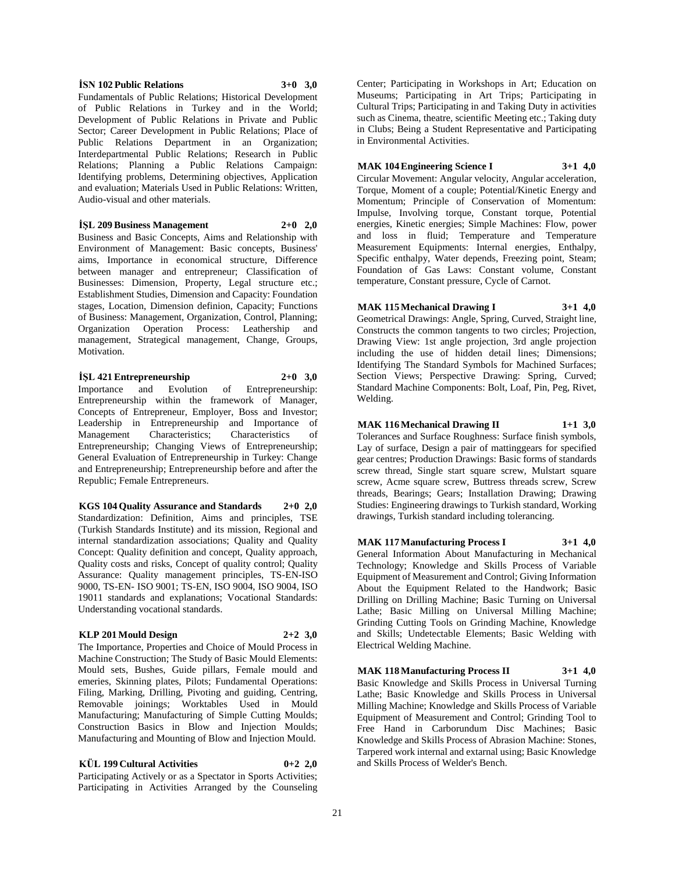# 21

#### **İSN 102 Public Relations 3+0 3,0**

Fundamentals of Public Relations; Historical Development of Public Relations in Turkey and in the World; Development of Public Relations in Private and Public Sector; Career Development in Public Relations; Place of Public Relations Department in an Organization; Interdepartmental Public Relations; Research in Public Relations; Planning a Public Relations Campaign: Identifying problems, Determining objectives, Application and evaluation; Materials Used in Public Relations: Written, Audio-visual and other materials.

**İŞL 209 Business Management 2+0 2,0**

Business and Basic Concepts, Aims and Relationship with Environment of Management: Basic concepts, Business' aims, Importance in economical structure, Difference between manager and entrepreneur; Classification of Businesses: Dimension, Property, Legal structure etc.; Establishment Studies, Dimension and Capacity: Foundation stages, Location, Dimension definion, Capacity; Functions of Business: Management, Organization, Control, Planning; Organization Operation Process: Leathership and management, Strategical management, Change, Groups, Motivation.

**İŞL 421 Entrepreneurship 2+0 3,0** Importance and Evolution of Entrepreneurship: Entrepreneurship within the framework of Manager, Concepts of Entrepreneur, Employer, Boss and Investor; Leadership in Entrepreneurship and Importance of Characteristics; Characteristics of Entrepreneurship; Changing Views of Entrepreneurship; General Evaluation of Entrepreneurship in Turkey: Change and Entrepreneurship; Entrepreneurship before and after the Republic; Female Entrepreneurs.

**KGS 104 Quality Assurance and Standards 2+0 2,0** Standardization: Definition, Aims and principles, TSE (Turkish Standards Institute) and its mission, Regional and internal standardization associations; Quality and Quality Concept: Quality definition and concept, Quality approach, Quality costs and risks, Concept of quality control; Quality Assurance: Quality management principles, TS-EN-ISO 9000, TS-EN- ISO 9001; TS-EN, ISO 9004, ISO 9004, ISO 19011 standards and explanations; Vocational Standards: Understanding vocational standards.

#### **KLP 201 Mould Design 2+2 3,0**

The Importance, Properties and Choice of Mould Process in Machine Construction; The Study of Basic Mould Elements: Mould sets, Bushes, Guide pillars, Female mould and emeries, Skinning plates, Pilots; Fundamental Operations: Filing, Marking, Drilling, Pivoting and guiding, Centring, Removable joinings; Worktables Used in Mould Manufacturing; Manufacturing of Simple Cutting Moulds; Construction Basics in Blow and Injection Moulds; Manufacturing and Mounting of Blow and Injection Mould.

# **KÜL 199 Cultural Activities 0+2 2,0**

Participating Actively or as a Spectator in Sports Activities; Participating in Activities Arranged by the Counseling

Center; Participating in Workshops in Art; Education on Museums; Participating in Art Trips; Participating in Cultural Trips; Participating in and Taking Duty in activities such as Cinema, theatre, scientific Meeting etc.; Taking duty in Clubs; Being a Student Representative and Participating in Environmental Activities.

# **MAK 104 Engineering Science I 3+1 4,0**

Circular Movement: Angular velocity, Angular acceleration, Torque, Moment of a couple: Potential/Kinetic Energy and Momentum; Principle of Conservation of Momentum: Impulse, Involving torque, Constant torque, Potential energies, Kinetic energies; Simple Machines: Flow, power and loss in fluid; Temperature and Temperature Measurement Equipments: Internal energies, Enthalpy, Specific enthalpy, Water depends, Freezing point, Steam; Foundation of Gas Laws: Constant volume, Constant temperature, Constant pressure, Cycle of Carnot.

**MAK 115 Mechanical Drawing I 3+1 4,0**

Geometrical Drawings: Angle, Spring, Curved, Straight line, Constructs the common tangents to two circles; Projection, Drawing View: 1st angle projection, 3rd angle projection including the use of hidden detail lines; Dimensions; Identifying The Standard Symbols for Machined Surfaces; Section Views; Perspective Drawing: Spring, Curved; Standard Machine Components: Bolt, Loaf, Pin, Peg, Rivet, Welding.

# **MAK 116 Mechanical Drawing II 1+1 3,0**

Tolerances and Surface Roughness: Surface finish symbols, Lay of surface, Design a pair of mattinggears for specified gear centres; Production Drawings: Basic forms of standards screw thread, Single start square screw, Mulstart square screw, Acme square screw, Buttress threads screw, Screw threads, Bearings; Gears; Installation Drawing; Drawing Studies: Engineering drawings to Turkish standard, Working drawings, Turkish standard including tolerancing.

**MAK 117 Manufacturing Process I 3+1 4,0** General Information About Manufacturing in Mechanical Technology; Knowledge and Skills Process of Variable Equipment of Measurement and Control; Giving Information About the Equipment Related to the Handwork; Basic Drilling on Drilling Machine; Basic Turning on Universal Lathe; Basic Milling on Universal Milling Machine; Grinding Cutting Tools on Grinding Machine, Knowledge and Skills; Undetectable Elements; Basic Welding with Electrical Welding Machine.

**MAK 118 Manufacturing Process II 3+1 4,0** Basic Knowledge and Skills Process in Universal Turning Lathe; Basic Knowledge and Skills Process in Universal Milling Machine; Knowledge and Skills Process of Variable Equipment of Measurement and Control; Grinding Tool to Free Hand in Carborundum Disc Machines; Basic Knowledge and Skills Process of Abrasion Machine: Stones, Tarpered work internal and extarnal using; Basic Knowledge and Skills Process of Welder's Bench.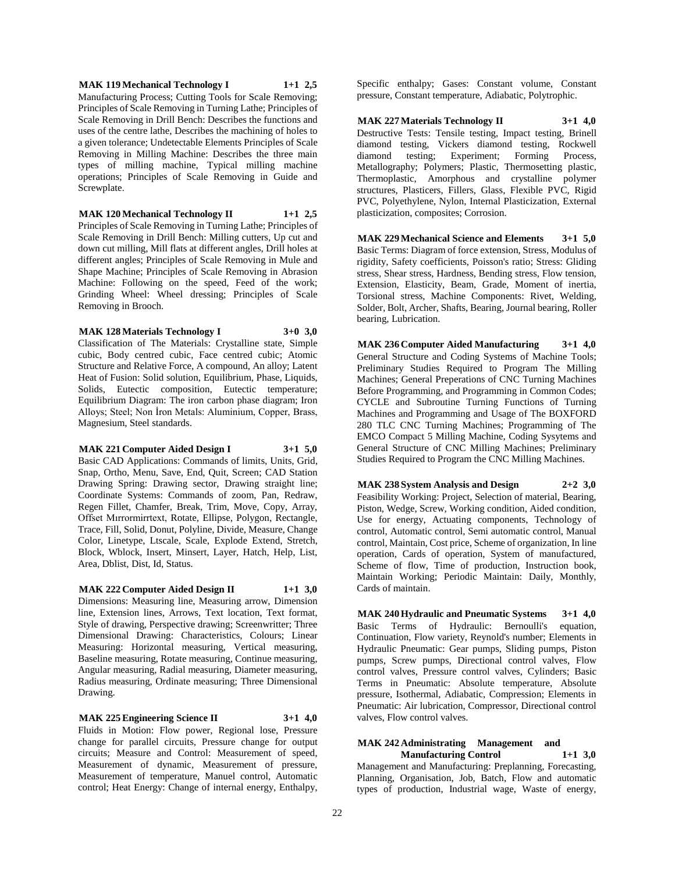**MAK 119 Mechanical Technology I 1+1 2,5** Manufacturing Process; Cutting Tools for Scale Removing; Principles of Scale Removing in Turning Lathe; Principles of Scale Removing in Drill Bench: Describes the functions and uses of the centre lathe, Describes the machining of holes to a given tolerance; Undetectable Elements Principles of Scale Removing in Milling Machine: Describes the three main types of milling machine, Typical milling machine operations; Principles of Scale Removing in Guide and Screwplate.

**MAK 120 Mechanical Technology II 1+1 2,5** Principles of Scale Removing in Turning Lathe; Principles of Scale Removing in Drill Bench: Milling cutters, Up cut and down cut milling, Mill flats at different angles, Drill holes at different angles; Principles of Scale Removing in Mule and Shape Machine; Principles of Scale Removing in Abrasion Machine: Following on the speed, Feed of the work; Grinding Wheel: Wheel dressing; Principles of Scale Removing in Brooch.

**MAK 128 Materials Technology I 3+0 3,0** Classification of The Materials: Crystalline state, Simple cubic, Body centred cubic, Face centred cubic; Atomic Structure and Relative Force, A compound, An alloy; Latent Heat of Fusion: Solid solution, Equilibrium, Phase, Liquids, Solids, Eutectic composition, Eutectic temperature; Equilibrium Diagram: The iron carbon phase diagram; Iron Alloys; Steel; Non İron Metals: Aluminium, Copper, Brass, Magnesium, Steel standards.

#### **MAK 221 Computer Aided Design I 3+1 5,0** Basic CAD Applications: Commands of limits, Units, Grid, Snap, Ortho, Menu, Save, End, Quit, Screen; CAD Station Drawing Spring: Drawing sector, Drawing straight line; Coordinate Systems: Commands of zoom, Pan, Redraw, Regen Fillet, Chamfer, Break, Trim, Move, Copy, Array, Offset Mırrormirrtext, Rotate, Ellipse, Polygon, Rectangle, Trace, Fill, Solid, Donut, Polyline, Divide, Measure, Change

Color, Linetype, Ltscale, Scale, Explode Extend, Stretch, Block, Wblock, Insert, Minsert, Layer, Hatch, Help, List, Area, Dblist, Dist, Id, Status. **MAK 222 Computer Aided Design II 1+1 3,0**

Dimensions: Measuring line, Measuring arrow, Dimension line, Extension lines, Arrows, Text location, Text format, Style of drawing, Perspective drawing; Screenwritter; Three Dimensional Drawing: Characteristics, Colours; Linear Measuring: Horizontal measuring, Vertical measuring, Baseline measuring, Rotate measuring, Continue measuring, Angular measuring, Radial measuring, Diameter measuring, Radius measuring, Ordinate measuring; Three Dimensional Drawing.

#### **MAK 225 Engineering Science II 3+1 4,0** Fluids in Motion: Flow power, Regional lose, Pressure change for parallel circuits, Pressure change for output circuits; Measure and Control: Measurement of speed, Measurement of dynamic, Measurement of pressure, Measurement of temperature, Manuel control, Automatic control; Heat Energy: Change of internal energy, Enthalpy,

Specific enthalpy; Gases: Constant volume, Constant pressure, Constant temperature, Adiabatic, Polytrophic.

**MAK 227 Materials Technology II 3+1 4,0** Destructive Tests: Tensile testing, Impact testing, Brinell diamond testing, Vickers diamond testing, Rockwell diamond testing; Experiment; Forming Process, Metallography; Polymers; Plastic, Thermosetting plastic, Thermoplastic, Amorphous and crystalline polymer structures, Plasticers, Fillers, Glass, Flexible PVC, Rigid PVC, Polyethylene, Nylon, Internal Plasticization, External plasticization, composites; Corrosion.

**MAK 229 Mechanical Science and Elements 3+1 5,0** Basic Terms: Diagram of force extension, Stress, Modulus of rigidity, Safety coefficients, Poisson's ratio; Stress: Gliding stress, Shear stress, Hardness, Bending stress, Flow tension, Extension, Elasticity, Beam, Grade, Moment of inertia, Torsional stress, Machine Components: Rivet, Welding, Solder, Bolt, Archer, Shafts, Bearing, Journal bearing, Roller bearing, Lubrication.

**MAK 236 Computer Aided Manufacturing 3+1 4,0** General Structure and Coding Systems of Machine Tools; Preliminary Studies Required to Program The Milling Machines; General Preperations of CNC Turning Machines Before Programming, and Programming in Common Codes; CYCLE and Subroutine Turning Functions of Turning Machines and Programming and Usage of The BOXFORD 280 TLC CNC Turning Machines; Programming of The EMCO Compact 5 Milling Machine, Coding Sysytems and General Structure of CNC Milling Machines; Preliminary Studies Required to Program the CNC Milling Machines.

**MAK 238 System Analysis and Design 2+2 3,0** Feasibility Working: Project, Selection of material, Bearing, Piston, Wedge, Screw, Working condition, Aided condition, Use for energy, Actuating components, Technology of control, Automatic control, Semi automatic control, Manual control, Maintain, Cost price, Scheme of organization, In line operation, Cards of operation, System of manufactured, Scheme of flow, Time of production, Instruction book, Maintain Working; Periodic Maintain: Daily, Monthly, Cards of maintain.

**MAK 240 Hydraulic and Pneumatic Systems 3+1 4,0** Basic Terms of Hydraulic: Bernoulli's equation, Continuation, Flow variety, Reynold's number; Elements in Hydraulic Pneumatic: Gear pumps, Sliding pumps, Piston pumps, Screw pumps, Directional control valves, Flow control valves, Pressure control valves, Cylinders; Basic Terms in Pneumatic: Absolute temperature, Absolute pressure, Isothermal, Adiabatic, Compression; Elements in Pneumatic: Air lubrication, Compressor, Directional control valves, Flow control valves.

#### **MAK 242 Administrating Management and Manufacturing Control 1+1 3,0**

Management and Manufacturing: Preplanning, Forecasting, Planning, Organisation, Job, Batch, Flow and automatic types of production, Industrial wage, Waste of energy,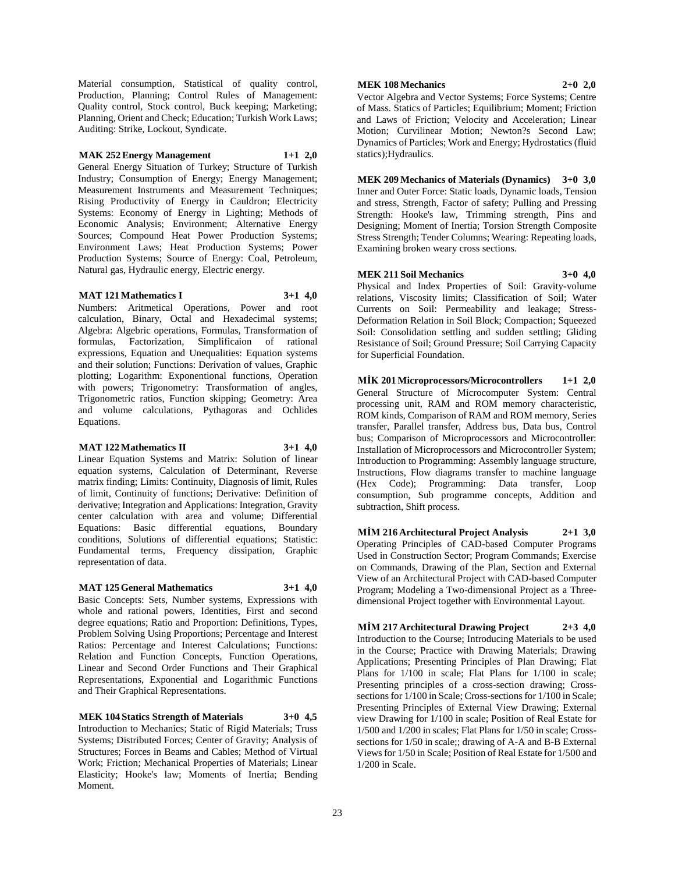Material consumption, Statistical of quality control, Production, Planning; Control Rules of Management: Quality control, Stock control, Buck keeping; Marketing; Planning, Orient and Check; Education; Turkish Work Laws; Auditing: Strike, Lockout, Syndicate.

#### **MAK 252 Energy Management 1+1 2,0**

General Energy Situation of Turkey; Structure of Turkish Industry; Consumption of Energy; Energy Management; Measurement Instruments and Measurement Techniques; Rising Productivity of Energy in Cauldron; Electricity Systems: Economy of Energy in Lighting; Methods of Economic Analysis; Environment; Alternative Energy Sources; Compound Heat Power Production Systems; Environment Laws; Heat Production Systems; Power Production Systems; Source of Energy: Coal, Petroleum, Natural gas, Hydraulic energy, Electric energy.

#### **MAT 121 Mathematics I 3+1 4,0**

Numbers: Aritmetical Operations, Power and root calculation, Binary, Octal and Hexadecimal systems; Algebra: Algebric operations, Formulas, Transformation of formulas, Factorization, Simplificaion of rational expressions, Equation and Unequalities: Equation systems and their solution; Functions: Derivation of values, Graphic plotting; Logarithm: Exponentional functions, Operation with powers; Trigonometry: Transformation of angles, Trigonometric ratios, Function skipping; Geometry: Area and volume calculations, Pythagoras and Ochlides Equations.

### **MAT 122 Mathematics II 3+1 4,0**

Linear Equation Systems and Matrix: Solution of linear equation systems, Calculation of Determinant, Reverse matrix finding; Limits: Continuity, Diagnosis of limit, Rules of limit, Continuity of functions; Derivative: Definition of derivative; Integration and Applications: Integration, Gravity center calculation with area and volume; Differential Equations: Basic differential equations, Boundary conditions, Solutions of differential equations; Statistic: Fundamental terms, Frequency dissipation, Graphic representation of data.

#### **MAT 125 General Mathematics 3+1 4,0**

Basic Concepts: Sets, Number systems, Expressions with whole and rational powers, Identities, First and second degree equations; Ratio and Proportion: Definitions, Types, Problem Solving Using Proportions; Percentage and Interest Ratios: Percentage and Interest Calculations; Functions: Relation and Function Concepts, Function Operations, Linear and Second Order Functions and Their Graphical Representations, Exponential and Logarithmic Functions and Their Graphical Representations.

**MEK 104 Statics Strength of Materials 3+0 4,5** Introduction to Mechanics; Static of Rigid Materials; Truss Systems; Distributed Forces; Center of Gravity; Analysis of Structures; Forces in Beams and Cables; Method of Virtual Work; Friction; Mechanical Properties of Materials; Linear Elasticity; Hooke's law; Moments of Inertia; Bending Moment.

# **MEK 108 Mechanics 2+0 2,0**

Vector Algebra and Vector Systems; Force Systems; Centre of Mass. Statics of Particles; Equilibrium; Moment; Friction and Laws of Friction; Velocity and Acceleration; Linear Motion; Curvilinear Motion; Newton?s Second Law; Dynamics of Particles; Work and Energy; Hydrostatics (fluid statics);Hydraulics.

**MEK 209 Mechanics of Materials (Dynamics) 3+0 3,0** Inner and Outer Force: Static loads, Dynamic loads, Tension and stress, Strength, Factor of safety; Pulling and Pressing Strength: Hooke's law, Trimming strength, Pins and Designing; Moment of Inertia; Torsion Strength Composite Stress Strength; Tender Columns; Wearing: Repeating loads, Examining broken weary cross sections.

#### **MEK 211 Soil Mechanics 3+0 4,0**

Physical and Index Properties of Soil: Gravity-volume relations, Viscosity limits; Classification of Soil; Water Currents on Soil: Permeability and leakage; Stress-Deformation Relation in Soil Block; Compaction; Squeezed Soil: Consolidation settling and sudden settling; Gliding Resistance of Soil; Ground Pressure; Soil Carrying Capacity for Superficial Foundation.

**MİK 201 Microprocessors/Microcontrollers 1+1 2,0** General Structure of Microcomputer System: Central processing unit, RAM and ROM memory characteristic, ROM kinds, Comparison of RAM and ROM memory, Series transfer, Parallel transfer, Address bus, Data bus, Control bus; Comparison of Microprocessors and Microcontroller: Installation of Microprocessors and Microcontroller System; Introduction to Programming: Assembly language structure, Instructions, Flow diagrams transfer to machine language (Hex Code); Programming: Data transfer, Loop consumption, Sub programme concepts, Addition and subtraction, Shift process.

**MİM 216 Architectural Project Analysis 2+1 3,0** Operating Principles of CAD-based Computer Programs Used in Construction Sector; Program Commands; Exercise on Commands, Drawing of the Plan, Section and External View of an Architectural Project with CAD-based Computer Program; Modeling a Two-dimensional Project as a Threedimensional Project together with Environmental Layout.

**MİM 217 Architectural Drawing Project 2+3 4,0** Introduction to the Course; Introducing Materials to be used in the Course; Practice with Drawing Materials; Drawing Applications; Presenting Principles of Plan Drawing; Flat Plans for 1/100 in scale; Flat Plans for 1/100 in scale; Presenting principles of a cross-section drawing; Crosssections for 1/100 in Scale; Cross-sections for 1/100 in Scale; Presenting Principles of External View Drawing; External view Drawing for 1/100 in scale; Position of Real Estate for 1/500 and 1/200 in scales; Flat Plans for 1/50 in scale; Crosssections for 1/50 in scale;; drawing of A-A and B-B External Views for 1/50 in Scale; Position of Real Estate for 1/500 and 1/200 in Scale.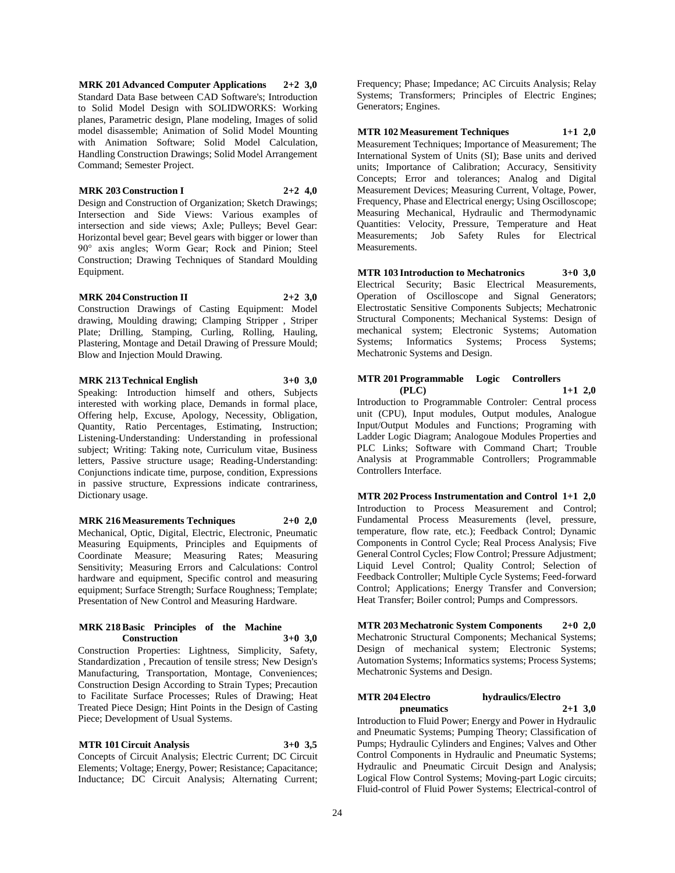**MRK 201 Advanced Computer Applications 2+2 3,0** Standard Data Base between CAD Software's; Introduction to Solid Model Design with SOLIDWORKS: Working planes, Parametric design, Plane modeling, Images of solid model disassemble; Animation of Solid Model Mounting with Animation Software; Solid Model Calculation, Handling Construction Drawings; Solid Model Arrangement Command; Semester Project.

#### **MRK 203 Construction I 2+2 4,0**

Design and Construction of Organization; Sketch Drawings; Intersection and Side Views: Various examples of intersection and side views; Axle; Pulleys; Bevel Gear: Horizontal bevel gear; Bevel gears with bigger or lower than 90° axis angles; Worm Gear; Rock and Pinion; Steel Construction; Drawing Techniques of Standard Moulding Equipment.

#### **MRK 204 Construction II 2+2 3,0**

Construction Drawings of Casting Equipment: Model drawing, Moulding drawing; Clamping Stripper , Striper Plate; Drilling, Stamping, Curling, Rolling, Hauling, Plastering, Montage and Detail Drawing of Pressure Mould; Blow and Injection Mould Drawing.

**MRK 213 Technical English 3+0 3,0**

Speaking: Introduction himself and others, Subjects interested with working place, Demands in formal place, Offering help, Excuse, Apology, Necessity, Obligation, Quantity, Ratio Percentages, Estimating, Instruction; Listening-Understanding: Understanding in professional subject; Writing: Taking note, Curriculum vitae, Business letters, Passive structure usage; Reading-Understanding: Conjunctions indicate time, purpose, condition, Expressions in passive structure, Expressions indicate contrariness, Dictionary usage.

**MRK 216 Measurements Techniques 2+0 2,0** Mechanical, Optic, Digital, Electric, Electronic, Pneumatic Measuring Equipments, Principles and Equipments of Coordinate Measure; Measuring Rates; Measuring Sensitivity; Measuring Errors and Calculations: Control hardware and equipment, Specific control and measuring equipment; Surface Strength; Surface Roughness; Template; Presentation of New Control and Measuring Hardware.

#### **MRK 218 Basic Principles of the Machine Construction 3+0 3,0**

Construction Properties: Lightness, Simplicity, Safety, Standardization , Precaution of tensile stress; New Design's Manufacturing, Transportation, Montage, Conveniences; Construction Design According to Strain Types; Precaution to Facilitate Surface Processes; Rules of Drawing; Heat Treated Piece Design; Hint Points in the Design of Casting Piece; Development of Usual Systems.

**MTR 101 Circuit Analysis 3+0 3,5**

Concepts of Circuit Analysis; Electric Current; DC Circuit Elements; Voltage; Energy, Power; Resistance; Capacitance; Inductance; DC Circuit Analysis; Alternating Current;

Frequency; Phase; Impedance; AC Circuits Analysis; Relay Systems; Transformers; Principles of Electric Engines; Generators; Engines.

**MTR 102 Measurement Techniques 1+1 2,0** Measurement Techniques; Importance of Measurement; The International System of Units (SI); Base units and derived units; Importance of Calibration; Accuracy, Sensitivity Concepts; Error and tolerances; Analog and Digital Measurement Devices; Measuring Current, Voltage, Power, Frequency, Phase and Electrical energy; Using Oscilloscope; Measuring Mechanical, Hydraulic and Thermodynamic Quantities: Velocity, Pressure, Temperature and Heat Measurements; Job Safety Rules for Electrical Measurements.

**MTR 103 Introduction to Mechatronics 3+0 3,0** Electrical Security; Basic Electrical Measurements, Operation of Oscilloscope and Signal Generators; Electrostatic Sensitive Components Subjects; Mechatronic Structural Components; Mechanical Systems: Design of mechanical system; Electronic Systems; Automation Systems; Informatics Systems; Process Systems; Mechatronic Systems and Design.

#### **MTR 201 Programmable Logic Controllers (PLC) 1+1 2,0**

Introduction to Programmable Controler: Central process unit (CPU), Input modules, Output modules, Analogue Input/Output Modules and Functions; Programing with Ladder Logic Diagram; Analogoue Modules Properties and PLC Links; Software with Command Chart; Trouble Analysis at Programmable Controllers; Programmable Controllers Interface.

**MTR 202 Process Instrumentation and Control 1+1 2,0** Introduction to Process Measurement and Control; Fundamental Process Measurements (level, pressure, temperature, flow rate, etc.); Feedback Control; Dynamic Components in Control Cycle; Real Process Analysis; Five General Control Cycles; Flow Control; Pressure Adjustment; Liquid Level Control; Quality Control; Selection of Feedback Controller; Multiple Cycle Systems; Feed-forward Control; Applications; Energy Transfer and Conversion; Heat Transfer; Boiler control; Pumps and Compressors.

**MTR 203 Mechatronic System Components 2+0 2,0** Mechatronic Structural Components; Mechanical Systems; Design of mechanical system; Electronic Systems; Automation Systems; Informatics systems; Process Systems; Mechatronic Systems and Design.

# **MTR 204 Electro hydraulics/Electro**

**pneumatics 2+1 3,0** Introduction to Fluid Power; Energy and Power in Hydraulic and Pneumatic Systems; Pumping Theory; Classification of Pumps; Hydraulic Cylinders and Engines; Valves and Other Control Components in Hydraulic and Pneumatic Systems; Hydraulic and Pneumatic Circuit Design and Analysis; Logical Flow Control Systems; Moving-part Logic circuits; Fluid-control of Fluid Power Systems; Electrical-control of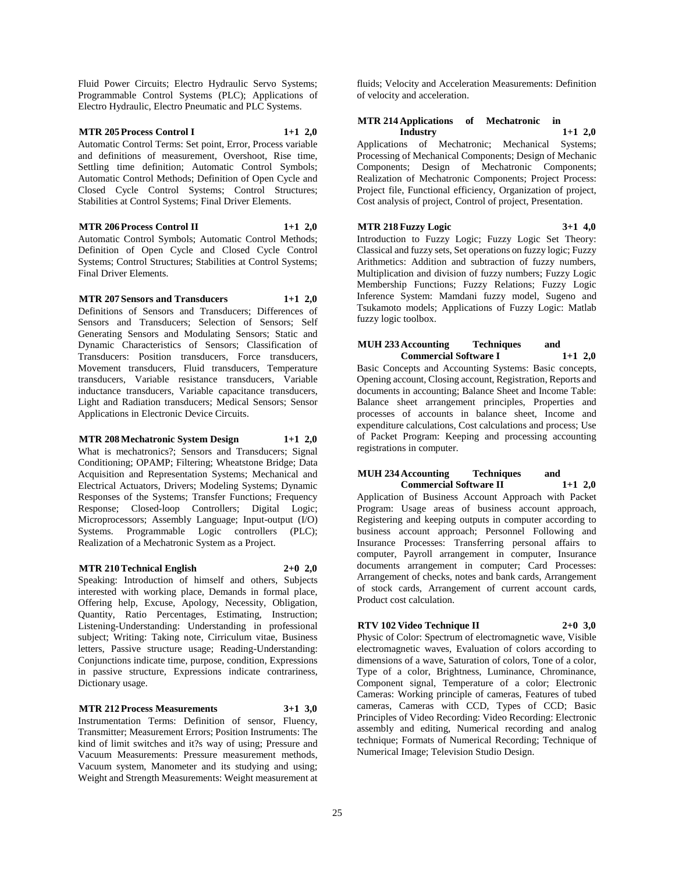Fluid Power Circuits; Electro Hydraulic Servo Systems; Programmable Control Systems (PLC); Applications of Electro Hydraulic, Electro Pneumatic and PLC Systems.

# **MTR 205 Process Control I 1+1 2,0**

Automatic Control Terms: Set point, Error, Process variable and definitions of measurement, Overshoot, Rise time, Settling time definition; Automatic Control Symbols; Automatic Control Methods; Definition of Open Cycle and Closed Cycle Control Systems; Control Structures; Stabilities at Control Systems; Final Driver Elements.

**MTR 206 Process Control II 1+1 2,0** Automatic Control Symbols; Automatic Control Methods; Definition of Open Cycle and Closed Cycle Control Systems; Control Structures; Stabilities at Control Systems; Final Driver Elements.

**MTR 207 Sensors and Transducers 1+1 2,0** Definitions of Sensors and Transducers; Differences of Sensors and Transducers; Selection of Sensors; Self Generating Sensors and Modulating Sensors; Static and Dynamic Characteristics of Sensors; Classification of Transducers: Position transducers, Force transducers, Movement transducers, Fluid transducers, Temperature transducers, Variable resistance transducers, Variable inductance transducers, Variable capacitance transducers, Light and Radiation transducers; Medical Sensors; Sensor Applications in Electronic Device Circuits.

**MTR 208 Mechatronic System Design 1+1 2,0** What is mechatronics?: Sensors and Transducers: Signal Conditioning; OPAMP; Filtering; Wheatstone Bridge; Data Acquisition and Representation Systems; Mechanical and Electrical Actuators, Drivers; Modeling Systems; Dynamic

Responses of the Systems; Transfer Functions; Frequency Response; Closed-loop Controllers; Digital Logic; Microprocessors; Assembly Language; Input-output (I/O) Systems. Programmable Logic controllers (PLC); Realization of a Mechatronic System as a Project.

#### **MTR 210 Technical English 2+0 2,0**

Speaking: Introduction of himself and others, Subjects interested with working place, Demands in formal place, Offering help, Excuse, Apology, Necessity, Obligation, Quantity, Ratio Percentages, Estimating, Instruction; Listening-Understanding: Understanding in professional subject; Writing: Taking note, Cirriculum vitae, Business letters, Passive structure usage; Reading-Understanding: Conjunctions indicate time, purpose, condition, Expressions in passive structure, Expressions indicate contrariness, Dictionary usage.

# **MTR 212 Process Measurements 3+1 3,0**

Instrumentation Terms: Definition of sensor, Fluency, Transmitter; Measurement Errors; Position Instruments: The kind of limit switches and it?s way of using; Pressure and Vacuum Measurements: Pressure measurement methods, Vacuum system, Manometer and its studying and using; Weight and Strength Measurements: Weight measurement at fluids; Velocity and Acceleration Measurements: Definition of velocity and acceleration.

#### **MTR 214 Applications of Mechatronic in Industry 1+1 2,0**

Applications of Mechatronic; Mechanical Systems; Processing of Mechanical Components; Design of Mechanic Components; Design of Mechatronic Components; Realization of Mechatronic Components; Project Process: Project file, Functional efficiency, Organization of project, Cost analysis of project, Control of project, Presentation.

**MTR 218 Fuzzy Logic 3+1 4,0** Introduction to Fuzzy Logic; Fuzzy Logic Set Theory: Classical and fuzzy sets, Set operations on fuzzy logic; Fuzzy Arithmetics: Addition and subtraction of fuzzy numbers, Multiplication and division of fuzzy numbers; Fuzzy Logic Membership Functions; Fuzzy Relations; Fuzzy Logic Inference System: Mamdani fuzzy model, Sugeno and Tsukamoto models; Applications of Fuzzy Logic: Matlab fuzzy logic toolbox.

# **MUH 233 Accounting Techniques and Commercial Software I 1+1 2,0**

Basic Concepts and Accounting Systems: Basic concepts, Opening account, Closing account, Registration, Reports and documents in accounting; Balance Sheet and Income Table: Balance sheet arrangement principles, Properties and processes of accounts in balance sheet, Income and expenditure calculations, Cost calculations and process; Use of Packet Program: Keeping and processing accounting registrations in computer.

#### **MUH 234 Accounting Techniques and Commercial Software II 1+1 2,0**

Application of Business Account Approach with Packet Program: Usage areas of business account approach, Registering and keeping outputs in computer according to business account approach; Personnel Following and Insurance Processes: Transferring personal affairs to computer, Payroll arrangement in computer, Insurance documents arrangement in computer; Card Processes: Arrangement of checks, notes and bank cards, Arrangement of stock cards, Arrangement of current account cards, Product cost calculation.

# **RTV 102 Video Technique II 2+0 3,0**

Physic of Color: Spectrum of electromagnetic wave, Visible electromagnetic waves, Evaluation of colors according to dimensions of a wave, Saturation of colors, Tone of a color, Type of a color, Brightness, Luminance, Chrominance, Component signal, Temperature of a color; Electronic Cameras: Working principle of cameras, Features of tubed cameras, Cameras with CCD, Types of CCD; Basic Principles of Video Recording: Video Recording: Electronic assembly and editing, Numerical recording and analog technique; Formats of Numerical Recording; Technique of Numerical Image; Television Studio Design.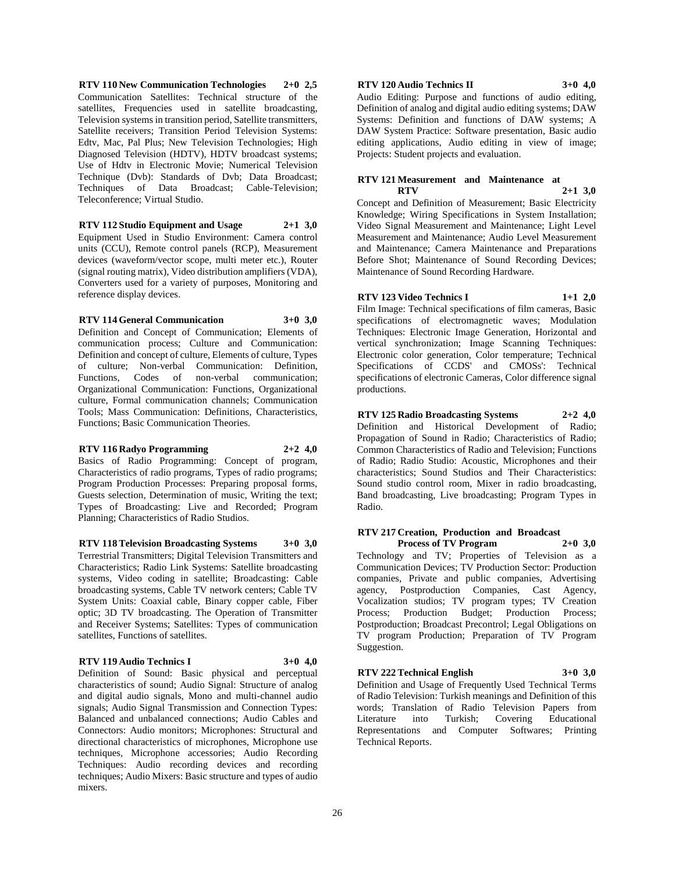**RTV 110 New Communication Technologies 2+0 2,5** Communication Satellites: Technical structure of the satellites. Frequencies used in satellite broadcasting, Television systems in transition period, Satellite transmitters, Satellite receivers; Transition Period Television Systems: Edtv, Mac, Pal Plus; New Television Technologies; High Diagnosed Television (HDTV), HDTV broadcast systems; Use of Hdtv in Electronic Movie; Numerical Television Technique (Dvb): Standards of Dvb; Data Broadcast; Techniques of Data Broadcast; Cable-Television; Teleconference; Virtual Studio.

**RTV 112 Studio Equipment and Usage 2+1 3,0** Equipment Used in Studio Environment: Camera control units (CCU), Remote control panels (RCP), Measurement devices (waveform/vector scope, multi meter etc.), Router (signal routing matrix), Video distribution amplifiers (VDA), Converters used for a variety of purposes, Monitoring and reference display devices.

#### **RTV 114 General Communication 3+0 3,0**

Definition and Concept of Communication; Elements of communication process; Culture and Communication: Definition and concept of culture, Elements of culture, Types of culture; Non-verbal Communication: Definition, Functions, Codes of non-verbal communication; Organizational Communication: Functions, Organizational culture, Formal communication channels; Communication Tools; Mass Communication: Definitions, Characteristics, Functions; Basic Communication Theories.

#### **RTV 116 Radyo Programming 2+2 4,0**

Basics of Radio Programming: Concept of program, Characteristics of radio programs, Types of radio programs; Program Production Processes: Preparing proposal forms, Guests selection, Determination of music, Writing the text; Types of Broadcasting: Live and Recorded; Program Planning; Characteristics of Radio Studios.

**RTV 118 Television Broadcasting Systems 3+0 3,0** Terrestrial Transmitters; Digital Television Transmitters and Characteristics; Radio Link Systems: Satellite broadcasting systems, Video coding in satellite; Broadcasting: Cable broadcasting systems, Cable TV network centers; Cable TV System Units: Coaxial cable, Binary copper cable, Fiber optic; 3D TV broadcasting. The Operation of Transmitter and Receiver Systems; Satellites: Types of communication satellites, Functions of satellites.

#### **RTV 119 Audio Technics I 3+0 4,0**

Definition of Sound: Basic physical and perceptual characteristics of sound; Audio Signal: Structure of analog and digital audio signals, Mono and multi-channel audio signals; Audio Signal Transmission and Connection Types: Balanced and unbalanced connections; Audio Cables and Connectors: Audio monitors; Microphones: Structural and directional characteristics of microphones, Microphone use techniques, Microphone accessories; Audio Recording Techniques: Audio recording devices and recording techniques; Audio Mixers: Basic structure and types of audio mixers.

#### **RTV 120 Audio Technics II 3+0 4,0**

Audio Editing: Purpose and functions of audio editing, Definition of analog and digital audio editing systems; DAW Systems: Definition and functions of DAW systems; A DAW System Practice: Software presentation, Basic audio editing applications, Audio editing in view of image; Projects: Student projects and evaluation.

#### **RTV 121 Measurement and Maintenance at RTV 2+1 3,0**

Concept and Definition of Measurement; Basic Electricity Knowledge; Wiring Specifications in System Installation; Video Signal Measurement and Maintenance; Light Level Measurement and Maintenance; Audio Level Measurement and Maintenance; Camera Maintenance and Preparations Before Shot; Maintenance of Sound Recording Devices; Maintenance of Sound Recording Hardware.

**RTV 123 Video Technics I 1+1 2,0**

Film Image: Technical specifications of film cameras, Basic specifications of electromagnetic waves; Modulation Techniques: Electronic Image Generation, Horizontal and vertical synchronization; Image Scanning Techniques: Electronic color generation, Color temperature; Technical Specifications of CCDS' and CMOSs': Technical specifications of electronic Cameras, Color difference signal productions.

**RTV 125 Radio Broadcasting Systems 2+2 4,0** Definition and Historical Development of Radio; Propagation of Sound in Radio; Characteristics of Radio; Common Characteristics of Radio and Television; Functions of Radio; Radio Studio: Acoustic, Microphones and their characteristics; Sound Studios and Their Characteristics: Sound studio control room, Mixer in radio broadcasting, Band broadcasting, Live broadcasting; Program Types in Radio.

# **RTV 217 Creation, Production and Broadcast**

**Process of TV Program 2+0 3,0** Technology and TV; Properties of Television as a Communication Devices; TV Production Sector: Production companies, Private and public companies, Advertising agency, Postproduction Companies, Cast Agency, Vocalization studios; TV program types; TV Creation Process; Production Budget; Production Process; Postproduction; Broadcast Precontrol; Legal Obligations on TV program Production; Preparation of TV Program Suggestion.

# **RTV 222 Technical English 3+0 3,0**

Definition and Usage of Frequently Used Technical Terms of Radio Television: Turkish meanings and Definition of this words; Translation of Radio Television Papers from Literature into Turkish; Covering Educational Representations and Computer Softwares; Printing Technical Reports.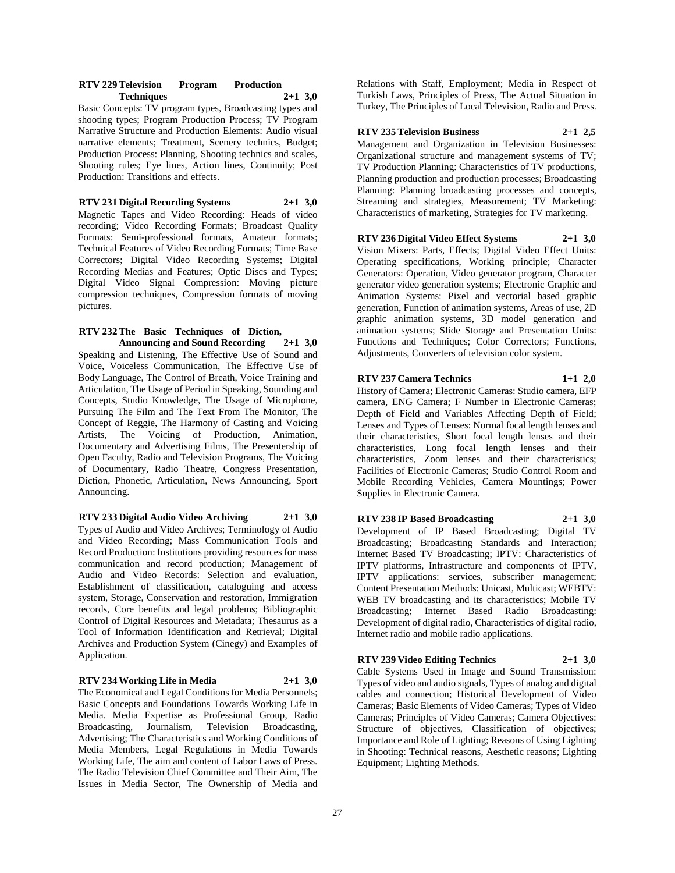#### **RTV 229 Television Program Production Techniques 2+1 3,0**

Basic Concepts: TV program types, Broadcasting types and shooting types; Program Production Process; TV Program Narrative Structure and Production Elements: Audio visual narrative elements; Treatment, Scenery technics, Budget; Production Process: Planning, Shooting technics and scales, Shooting rules; Eye lines, Action lines, Continuity; Post Production: Transitions and effects.

**RTV 231 Digital Recording Systems 2+1 3,0** Magnetic Tapes and Video Recording: Heads of video recording; Video Recording Formats; Broadcast Quality Formats: Semi-professional formats, Amateur formats; Technical Features of Video Recording Formats; Time Base Correctors; Digital Video Recording Systems; Digital Recording Medias and Features; Optic Discs and Types; Digital Video Signal Compression: Moving picture compression techniques, Compression formats of moving pictures.

#### **RTV 232 The Basic Techniques of Diction, Announcing and Sound Recording 2+1 3,0**

Speaking and Listening, The Effective Use of Sound and Voice, Voiceless Communication, The Effective Use of Body Language, The Control of Breath, Voice Training and Articulation, The Usage of Period in Speaking, Sounding and Concepts, Studio Knowledge, The Usage of Microphone, Pursuing The Film and The Text From The Monitor, The Concept of Reggie, The Harmony of Casting and Voicing Artists, The Voicing of Production, Animation, Documentary and Advertising Films, The Presentership of Open Faculty, Radio and Television Programs, The Voicing of Documentary, Radio Theatre, Congress Presentation, Diction, Phonetic, Articulation, News Announcing, Sport Announcing.

**RTV 233 Digital Audio Video Archiving 2+1 3,0** Types of Audio and Video Archives; Terminology of Audio and Video Recording; Mass Communication Tools and Record Production: Institutions providing resources for mass communication and record production; Management of Audio and Video Records: Selection and evaluation, Establishment of classification, cataloguing and access system, Storage, Conservation and restoration, Immigration records, Core benefits and legal problems; Bibliographic Control of Digital Resources and Metadata; Thesaurus as a Tool of Information Identification and Retrieval; Digital Archives and Production System (Cinegy) and Examples of Application.

#### **RTV 234 Working Life in Media 2+1 3,0**

The Economical and Legal Conditions for Media Personnels; Basic Concepts and Foundations Towards Working Life in Media. Media Expertise as Professional Group, Radio Broadcasting, Journalism, Television Broadcasting, Advertising; The Characteristics and Working Conditions of Media Members, Legal Regulations in Media Towards Working Life, The aim and content of Labor Laws of Press. The Radio Television Chief Committee and Their Aim, The Issues in Media Sector, The Ownership of Media and

Relations with Staff, Employment; Media in Respect of Turkish Laws, Principles of Press, The Actual Situation in Turkey, The Principles of Local Television, Radio and Press.

# **RTV 235 Television Business 2+1 2,5**

Management and Organization in Television Businesses: Organizational structure and management systems of TV; TV Production Planning: Characteristics of TV productions, Planning production and production processes; Broadcasting Planning: Planning broadcasting processes and concepts, Streaming and strategies, Measurement; TV Marketing: Characteristics of marketing, Strategies for TV marketing.

# **RTV 236 Digital Video Effect Systems 2+1 3,0**

Vision Mixers: Parts, Effects; Digital Video Effect Units: Operating specifications, Working principle; Character Generators: Operation, Video generator program, Character generator video generation systems; Electronic Graphic and Animation Systems: Pixel and vectorial based graphic generation, Function of animation systems, Areas of use, 2D graphic animation systems, 3D model generation and animation systems; Slide Storage and Presentation Units: Functions and Techniques; Color Correctors; Functions, Adjustments, Converters of television color system.

# **RTV 237 Camera Technics 1+1 2,0**

History of Camera; Electronic Cameras: Studio camera, EFP camera, ENG Camera; F Number in Electronic Cameras; Depth of Field and Variables Affecting Depth of Field; Lenses and Types of Lenses: Normal focal length lenses and their characteristics, Short focal length lenses and their characteristics, Long focal length lenses and their characteristics, Zoom lenses and their characteristics; Facilities of Electronic Cameras; Studio Control Room and Mobile Recording Vehicles, Camera Mountings; Power Supplies in Electronic Camera.

# **RTV 238 IP Based Broadcasting 2+1 3,0**

Development of IP Based Broadcasting; Digital TV Broadcasting; Broadcasting Standards and Interaction; Internet Based TV Broadcasting; IPTV: Characteristics of IPTV platforms, Infrastructure and components of IPTV, IPTV applications: services, subscriber management; Content Presentation Methods: Unicast, Multicast; WEBTV: WEB TV broadcasting and its characteristics; Mobile TV Broadcasting; Internet Based Radio Broadcasting: Development of digital radio, Characteristics of digital radio, Internet radio and mobile radio applications.

# **RTV 239 Video Editing Technics 2+1 3,0**

Cable Systems Used in Image and Sound Transmission: Types of video and audio signals, Types of analog and digital cables and connection; Historical Development of Video Cameras; Basic Elements of Video Cameras; Types of Video Cameras; Principles of Video Cameras; Camera Objectives: Structure of objectives, Classification of objectives; Importance and Role of Lighting; Reasons of Using Lighting in Shooting: Technical reasons, Aesthetic reasons; Lighting Equipment; Lighting Methods.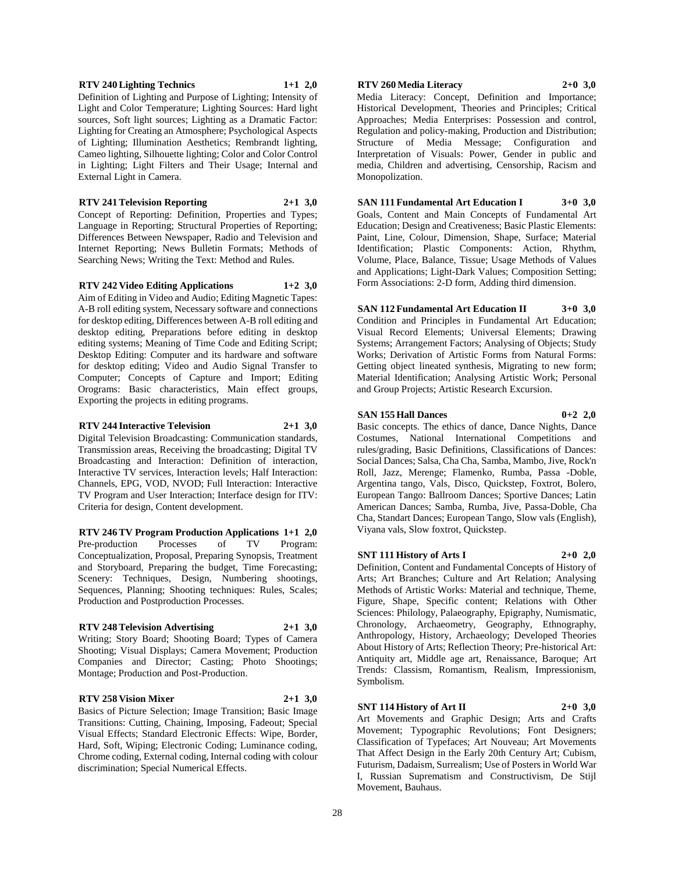# 28

Definition of Lighting and Purpose of Lighting; Intensity of Light and Color Temperature; Lighting Sources: Hard light sources, Soft light sources; Lighting as a Dramatic Factor: Lighting for Creating an Atmosphere; Psychological Aspects of Lighting; Illumination Aesthetics; Rembrandt lighting, Cameo lighting, Silhouette lighting; Color and Color Control in Lighting; Light Filters and Their Usage; Internal and External Light in Camera.

**RTV 240 Lighting Technics 1+1 2,0**

**RTV 241 Television Reporting 2+1 3,0** Concept of Reporting: Definition, Properties and Types; Language in Reporting; Structural Properties of Reporting; Differences Between Newspaper, Radio and Television and Internet Reporting; News Bulletin Formats; Methods of

Searching News; Writing the Text: Method and Rules.

**RTV 242 Video Editing Applications 1+2 3,0** Aim of Editing in Video and Audio; Editing Magnetic Tapes: A-B roll editing system, Necessary software and connections for desktop editing, Differences between A-B roll editing and desktop editing, Preparations before editing in desktop editing systems; Meaning of Time Code and Editing Script; Desktop Editing: Computer and its hardware and software for desktop editing; Video and Audio Signal Transfer to Computer; Concepts of Capture and Import; Editing Orograms: Basic characteristics, Main effect groups,

#### **RTV 244 Interactive Television 2+1 3,0**

Exporting the projects in editing programs.

Digital Television Broadcasting: Communication standards, Transmission areas, Receiving the broadcasting; Digital TV Broadcasting and Interaction: Definition of interaction, Interactive TV services, Interaction levels; Half Interaction: Channels, EPG, VOD, NVOD; Full Interaction: Interactive TV Program and User Interaction; Interface design for ITV: Criteria for design, Content development.

**RTV 246 TV Program Production Applications 1+1 2,0** Pre-production Processes of TV Program: Conceptualization, Proposal, Preparing Synopsis, Treatment and Storyboard, Preparing the budget, Time Forecasting; Scenery: Techniques, Design, Numbering shootings, Sequences, Planning; Shooting techniques: Rules, Scales; Production and Postproduction Processes.

#### **RTV 248 Television Advertising 2+1 3,0**

Writing; Story Board; Shooting Board; Types of Camera Shooting; Visual Displays; Camera Movement; Production Companies and Director; Casting; Photo Shootings; Montage; Production and Post-Production.

#### **RTV 258 Vision Mixer 2+1 3,0**

Basics of Picture Selection; Image Transition; Basic Image Transitions: Cutting, Chaining, Imposing, Fadeout; Special Visual Effects; Standard Electronic Effects: Wipe, Border, Hard, Soft, Wiping; Electronic Coding; Luminance coding, Chrome coding, External coding, Internal coding with colour discrimination; Special Numerical Effects.

#### **RTV 260 Media Literacy 2+0 3,0**

Media Literacy: Concept, Definition and Importance; Historical Development, Theories and Principles; Critical Approaches; Media Enterprises: Possession and control, Regulation and policy-making, Production and Distribution; Structure of Media Message; Configuration and Interpretation of Visuals: Power, Gender in public and media, Children and advertising, Censorship, Racism and Monopolization.

**SAN 111 Fundamental Art Education I 3+0 3,0** Goals, Content and Main Concepts of Fundamental Art Education; Design and Creativeness; Basic Plastic Elements: Paint, Line, Colour, Dimension, Shape, Surface; Material Identification; Plastic Components: Action, Rhythm, Volume, Place, Balance, Tissue; Usage Methods of Values and Applications; Light-Dark Values; Composition Setting; Form Associations: 2-D form, Adding third dimension.

**SAN 112 Fundamental Art Education II 3+0 3,0** Condition and Principles in Fundamental Art Education; Visual Record Elements; Universal Elements; Drawing Systems; Arrangement Factors; Analysing of Objects; Study Works; Derivation of Artistic Forms from Natural Forms: Getting object lineated synthesis, Migrating to new form; Material Identification; Analysing Artistic Work; Personal and Group Projects; Artistic Research Excursion.

#### **SAN 155 Hall Dances 0+2 2,0**

Basic concepts. The ethics of dance, Dance Nights, Dance Costumes, National International Competitions and rules/grading, Basic Definitions, Classifications of Dances: Social Dances; Salsa, Cha Cha, Samba, Mambo, Jive, Rock'n Roll, Jazz, Merenge; Flamenko, Rumba, Passa -Doble, Argentina tango, Vals, Disco, Quickstep, Foxtrot, Bolero, European Tango: Ballroom Dances; Sportive Dances; Latin American Dances; Samba, Rumba, Jive, Passa-Doble, Cha Cha, Standart Dances; European Tango, Slow vals (English), Viyana vals, Slow foxtrot, Quickstep.

# **SNT 111 History of Arts I 2+0 2,0**

Definition, Content and Fundamental Concepts of History of Arts; Art Branches; Culture and Art Relation; Analysing Methods of Artistic Works: Material and technique, Theme, Figure, Shape, Specific content; Relations with Other Sciences: Philology, Palaeography, Epigraphy, Numismatic, Chronology, Archaeometry, Geography, Ethnography, Anthropology, History, Archaeology; Developed Theories About History of Arts; Reflection Theory; Pre-historical Art: Antiquity art, Middle age art, Renaissance, Baroque; Art Trends: Classism, Romantism, Realism, Impressionism, Symbolism.

#### **SNT 114 History of Art II 2+0 3,0**

Art Movements and Graphic Design; Arts and Crafts Movement; Typographic Revolutions; Font Designers; Classification of Typefaces; Art Nouveau; Art Movements That Affect Design in the Early 20th Century Art; Cubism, Futurism, Dadaism, Surrealism; Use of Posters in World War I, Russian Suprematism and Constructivism, De Stijl Movement, Bauhaus.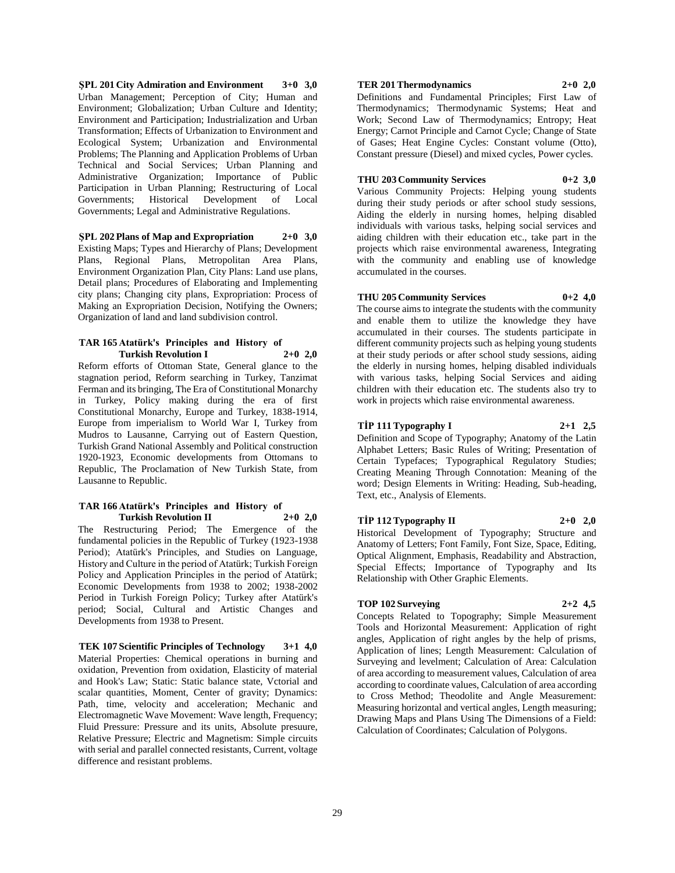**ŞPL 201 City Admiration and Environment 3+0 3,0** Urban Management; Perception of City; Human and Environment; Globalization; Urban Culture and Identity; Environment and Participation; Industrialization and Urban Transformation; Effects of Urbanization to Environment and Ecological System; Urbanization and Environmental Problems; The Planning and Application Problems of Urban Technical and Social Services; Urban Planning and Administrative Organization; Importance of Public Participation in Urban Planning; Restructuring of Local Governments; Historical Development of Local Governments; Legal and Administrative Regulations.

**ŞPL 202 Plans of Map and Expropriation 2+0 3,0** Existing Maps; Types and Hierarchy of Plans; Development Plans, Regional Plans, Metropolitan Area Plans, Environment Organization Plan, City Plans: Land use plans, Detail plans; Procedures of Elaborating and Implementing city plans; Changing city plans, Expropriation: Process of Making an Expropriation Decision, Notifying the Owners; Organization of land and land subdivision control.

#### **TAR 165 Atatürk's Principles and History of Turkish Revolution I 2+0 2,0**

Reform efforts of Ottoman State, General glance to the stagnation period, Reform searching in Turkey, Tanzimat Ferman and its bringing, The Era of Constitutional Monarchy in Turkey, Policy making during the era of first Constitutional Monarchy, Europe and Turkey, 1838-1914, Europe from imperialism to World War I, Turkey from Mudros to Lausanne, Carrying out of Eastern Question, Turkish Grand National Assembly and Political construction 1920-1923, Economic developments from Ottomans to Republic, The Proclamation of New Turkish State, from Lausanne to Republic.

#### **TAR 166 Atatürk's Principles and History of Turkish Revolution II 2+0 2,0**

The Restructuring Period; The Emergence of the fundamental policies in the Republic of Turkey (1923-1938 Period); Atatürk's Principles, and Studies on Language, History and Culture in the period of Atatürk; Turkish Foreign Policy and Application Principles in the period of Atatürk; Economic Developments from 1938 to 2002; 1938-2002 Period in Turkish Foreign Policy; Turkey after Atatürk's period; Social, Cultural and Artistic Changes and Developments from 1938 to Present.

**TEK 107 Scientific Principles of Technology 3+1 4,0** Material Properties: Chemical operations in burning and oxidation, Prevention from oxidation, Elasticity of material and Hook's Law; Static: Static balance state, Vctorial and scalar quantities, Moment, Center of gravity; Dynamics: Path, time, velocity and acceleration; Mechanic and Electromagnetic Wave Movement: Wave length, Frequency; Fluid Pressure: Pressure and its units, Absolute presuure, Relative Pressure; Electric and Magnetism: Simple circuits with serial and parallel connected resistants, Current, voltage difference and resistant problems.

# **TER 201 Thermodynamics 2+0 2,0**

Definitions and Fundamental Principles; First Law of Thermodynamics; Thermodynamic Systems; Heat and Work; Second Law of Thermodynamics; Entropy; Heat Energy; Carnot Principle and Carnot Cycle; Change of State of Gases; Heat Engine Cycles: Constant volume (Otto), Constant pressure (Diesel) and mixed cycles, Power cycles.

# **THU 203 Community Services 0+2 3,0**

Various Community Projects: Helping young students during their study periods or after school study sessions, Aiding the elderly in nursing homes, helping disabled individuals with various tasks, helping social services and aiding children with their education etc., take part in the projects which raise environmental awareness, Integrating with the community and enabling use of knowledge accumulated in the courses.

### **THU 205 Community Services 0+2 4,0**

The course aims to integrate the students with the community and enable them to utilize the knowledge they have accumulated in their courses. The students participate in different community projects such as helping young students at their study periods or after school study sessions, aiding the elderly in nursing homes, helping disabled individuals with various tasks, helping Social Services and aiding children with their education etc. The students also try to work in projects which raise environmental awareness.

#### **TİP 111 Typography I 2+1 2,5**

Definition and Scope of Typography; Anatomy of the Latin Alphabet Letters; Basic Rules of Writing; Presentation of Certain Typefaces; Typographical Regulatory Studies; Creating Meaning Through Connotation: Meaning of the word; Design Elements in Writing: Heading, Sub-heading, Text, etc., Analysis of Elements.

#### **TİP 112 Typography II 2+0 2,0**

Historical Development of Typography; Structure and Anatomy of Letters; Font Family, Font Size, Space, Editing, Optical Alignment, Emphasis, Readability and Abstraction, Special Effects; Importance of Typography and Its Relationship with Other Graphic Elements.

#### **TOP 102 Surveying 2+2 4,5**

Concepts Related to Topography; Simple Measurement Tools and Horizontal Measurement: Application of right angles, Application of right angles by the help of prisms, Application of lines; Length Measurement: Calculation of Surveying and levelment; Calculation of Area: Calculation of area according to measurement values, Calculation of area according to coordinate values, Calculation of area according to Cross Method; Theodolite and Angle Measurement: Measuring horizontal and vertical angles, Length measuring; Drawing Maps and Plans Using The Dimensions of a Field: Calculation of Coordinates; Calculation of Polygons.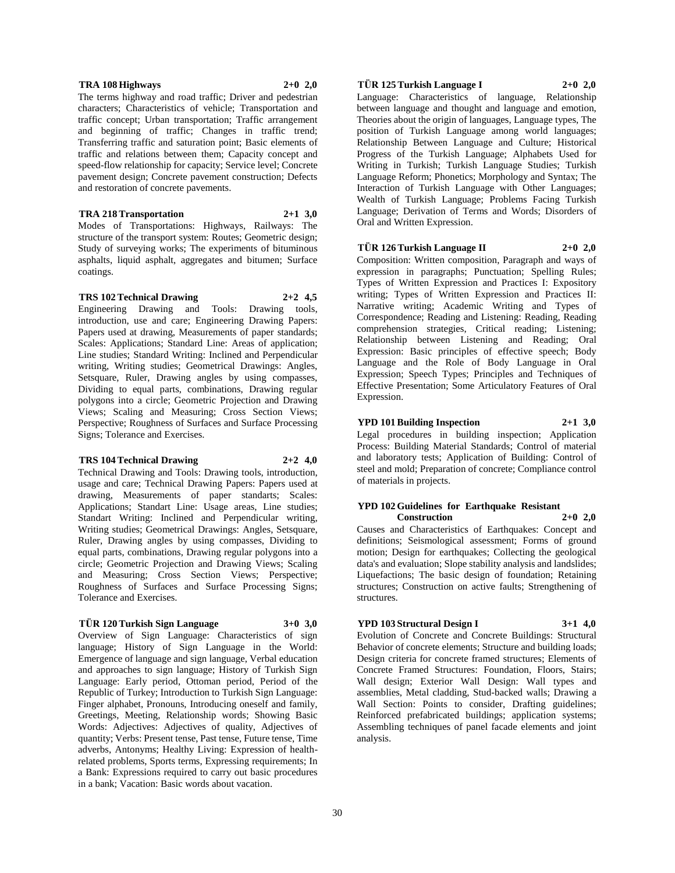#### **TRA 108 Highways 2+0 2,0**

The terms highway and road traffic; Driver and pedestrian characters; Characteristics of vehicle; Transportation and traffic concept; Urban transportation; Traffic arrangement and beginning of traffic; Changes in traffic trend; Transferring traffic and saturation point; Basic elements of traffic and relations between them; Capacity concept and speed-flow relationship for capacity; Service level; Concrete pavement design; Concrete pavement construction; Defects and restoration of concrete pavements.

**TRA 218 Transportation 2+1 3,0** Modes of Transportations: Highways, Railways: The structure of the transport system: Routes; Geometric design; Study of surveying works; The experiments of bituminous asphalts, liquid asphalt, aggregates and bitumen; Surface coatings.

#### **TRS 102 Technical Drawing 2+2 4,5**

Engineering Drawing and Tools: Drawing tools, introduction, use and care; Engineering Drawing Papers: Papers used at drawing, Measurements of paper standards; Scales: Applications; Standard Line: Areas of application; Line studies; Standard Writing: Inclined and Perpendicular writing, Writing studies; Geometrical Drawings: Angles, Setsquare, Ruler, Drawing angles by using compasses, Dividing to equal parts, combinations, Drawing regular polygons into a circle; Geometric Projection and Drawing Views; Scaling and Measuring; Cross Section Views; Perspective; Roughness of Surfaces and Surface Processing Signs; Tolerance and Exercises.

#### **TRS 104 Technical Drawing 2+2 4,0**

Technical Drawing and Tools: Drawing tools, introduction, usage and care; Technical Drawing Papers: Papers used at drawing, Measurements of paper standarts; Scales: Applications; Standart Line: Usage areas, Line studies; Standart Writing: Inclined and Perpendicular writing, Writing studies; Geometrical Drawings: Angles, Setsquare, Ruler, Drawing angles by using compasses, Dividing to equal parts, combinations, Drawing regular polygons into a circle; Geometric Projection and Drawing Views; Scaling and Measuring; Cross Section Views; Perspective; Roughness of Surfaces and Surface Processing Signs; Tolerance and Exercises.

### **TÜR 120 Turkish Sign Language 3+0 3,0**

Overview of Sign Language: Characteristics of sign language; History of Sign Language in the World: Emergence of language and sign language, Verbal education and approaches to sign language; History of Turkish Sign Language: Early period, Ottoman period, Period of the Republic of Turkey; Introduction to Turkish Sign Language: Finger alphabet, Pronouns, Introducing oneself and family, Greetings, Meeting, Relationship words; Showing Basic Words: Adjectives: Adjectives of quality, Adjectives of quantity; Verbs: Present tense, Past tense, Future tense, Time adverbs, Antonyms; Healthy Living: Expression of healthrelated problems, Sports terms, Expressing requirements; In a Bank: Expressions required to carry out basic procedures in a bank; Vacation: Basic words about vacation.

# **TÜR 125 Turkish Language I 2+0 2,0**

Language: Characteristics of language, Relationship between language and thought and language and emotion, Theories about the origin of languages, Language types, The position of Turkish Language among world languages; Relationship Between Language and Culture; Historical Progress of the Turkish Language; Alphabets Used for Writing in Turkish; Turkish Language Studies; Turkish Language Reform; Phonetics; Morphology and Syntax; The Interaction of Turkish Language with Other Languages; Wealth of Turkish Language; Problems Facing Turkish Language; Derivation of Terms and Words; Disorders of Oral and Written Expression.

#### **TÜR 126 Turkish Language II 2+0 2,0**

Composition: Written composition, Paragraph and ways of expression in paragraphs; Punctuation; Spelling Rules; Types of Written Expression and Practices I: Expository writing; Types of Written Expression and Practices II: Narrative writing; Academic Writing and Types of Correspondence; Reading and Listening: Reading, Reading comprehension strategies, Critical reading; Listening; Relationship between Listening and Reading; Oral Expression: Basic principles of effective speech; Body Language and the Role of Body Language in Oral Expression; Speech Types; Principles and Techniques of Effective Presentation; Some Articulatory Features of Oral Expression.

#### **YPD 101 Building Inspection 2+1 3,0**

Legal procedures in building inspection; Application Process: Building Material Standards; Control of material and laboratory tests; Application of Building: Control of steel and mold; Preparation of concrete; Compliance control of materials in projects.

#### **YPD 102 Guidelines for Earthquake Resistant Construction 2+0 2,0**

Causes and Characteristics of Earthquakes: Concept and definitions; Seismological assessment; Forms of ground motion; Design for earthquakes; Collecting the geological data's and evaluation; Slope stability analysis and landslides; Liquefactions; The basic design of foundation; Retaining structures; Construction on active faults; Strengthening of structures.

### **YPD 103 Structural Design I 3+1 4,0**

Evolution of Concrete and Concrete Buildings: Structural Behavior of concrete elements; Structure and building loads; Design criteria for concrete framed structures; Elements of Concrete Framed Structures: Foundation, Floors, Stairs; Wall design; Exterior Wall Design: Wall types and assemblies, Metal cladding, Stud-backed walls; Drawing a Wall Section: Points to consider, Drafting guidelines; Reinforced prefabricated buildings; application systems; Assembling techniques of panel facade elements and joint analysis.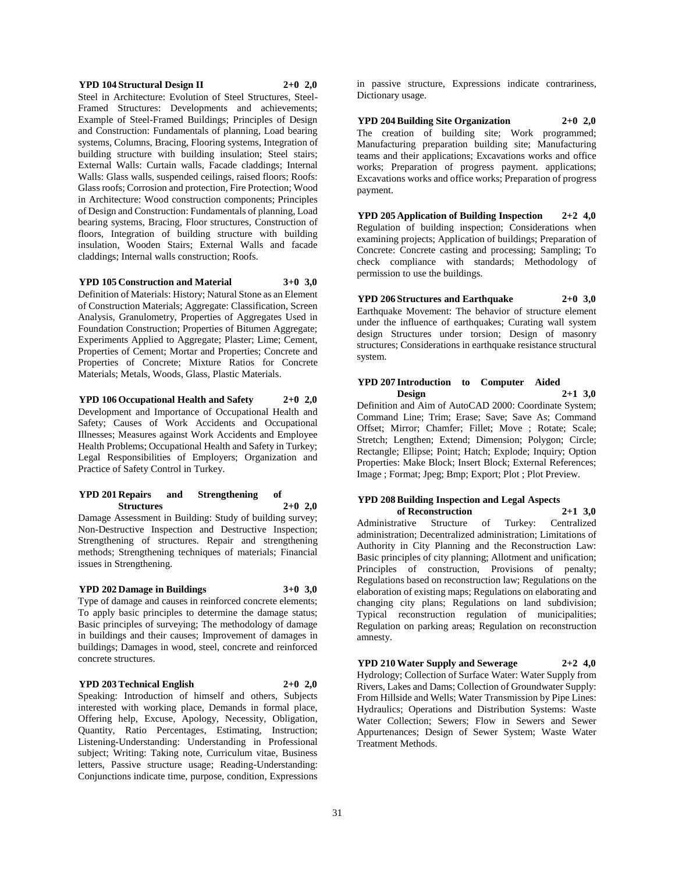#### **YPD 104 Structural Design II 2+0 2,0**

Steel in Architecture: Evolution of Steel Structures, Steel-Framed Structures: Developments and achievements; Example of Steel-Framed Buildings; Principles of Design and Construction: Fundamentals of planning, Load bearing systems, Columns, Bracing, Flooring systems, Integration of building structure with building insulation; Steel stairs; External Walls: Curtain walls, Facade claddings; Internal Walls: Glass walls, suspended ceilings, raised floors; Roofs: Glass roofs; Corrosion and protection, Fire Protection; Wood in Architecture: Wood construction components; Principles of Design and Construction: Fundamentals of planning, Load bearing systems, Bracing, Floor structures, Construction of floors, Integration of building structure with building insulation, Wooden Stairs; External Walls and facade claddings; Internal walls construction; Roofs.

#### **YPD 105 Construction and Material 3+0 3,0**

Definition of Materials: History; Natural Stone as an Element of Construction Materials; Aggregate: Classification, Screen Analysis, Granulometry, Properties of Aggregates Used in Foundation Construction; Properties of Bitumen Aggregate; Experiments Applied to Aggregate; Plaster; Lime; Cement, Properties of Cement; Mortar and Properties; Concrete and Properties of Concrete; Mixture Ratios for Concrete Materials; Metals, Woods, Glass, Plastic Materials.

**YPD 106 Occupational Health and Safety 2+0 2,0** Development and Importance of Occupational Health and Safety; Causes of Work Accidents and Occupational Illnesses; Measures against Work Accidents and Employee Health Problems; Occupational Health and Safety in Turkey; Legal Responsibilities of Employers; Organization and Practice of Safety Control in Turkey.

#### **YPD 201 Repairs and Strengthening of Structures 2+0 2,0**

Damage Assessment in Building: Study of building survey; Non-Destructive Inspection and Destructive Inspection; Strengthening of structures. Repair and strengthening methods; Strengthening techniques of materials; Financial issues in Strengthening.

#### **YPD 202 Damage in Buildings 3+0 3,0**

Type of damage and causes in reinforced concrete elements; To apply basic principles to determine the damage status; Basic principles of surveying; The methodology of damage in buildings and their causes; Improvement of damages in buildings; Damages in wood, steel, concrete and reinforced concrete structures.

#### **YPD 203 Technical English 2+0 2,0**

Speaking: Introduction of himself and others, Subjects interested with working place, Demands in formal place, Offering help, Excuse, Apology, Necessity, Obligation, Quantity, Ratio Percentages, Estimating, Instruction; Listening-Understanding: Understanding in Professional subject; Writing: Taking note, Curriculum vitae, Business letters, Passive structure usage; Reading-Understanding: Conjunctions indicate time, purpose, condition, Expressions

in passive structure, Expressions indicate contrariness, Dictionary usage.

**YPD 204 Building Site Organization 2+0 2,0** The creation of building site; Work programmed; Manufacturing preparation building site; Manufacturing teams and their applications; Excavations works and office works; Preparation of progress payment. applications; Excavations works and office works; Preparation of progress payment.

**YPD 205 Application of Building Inspection 2+2 4,0** Regulation of building inspection; Considerations when examining projects; Application of buildings; Preparation of Concrete: Concrete casting and processing; Sampling; To check compliance with standards; Methodology of permission to use the buildings.

**YPD 206 Structures and Earthquake 2+0 3,0** Earthquake Movement: The behavior of structure element under the influence of earthquakes; Curating wall system design Structures under torsion; Design of masonry structures; Considerations in earthquake resistance structural system.

# **YPD 207 Introduction to Computer Aided Design 2+1 3,0**

Definition and Aim of AutoCAD 2000: Coordinate System; Command Line; Trim; Erase; Save; Save As; Command Offset; Mirror; Chamfer; Fillet; Move ; Rotate; Scale; Stretch; Lengthen; Extend; Dimension; Polygon; Circle; Rectangle; Ellipse; Point; Hatch; Explode; Inquiry; Option Properties: Make Block; Insert Block; External References; Image ; Format; Jpeg; Bmp; Export; Plot ; Plot Preview.

#### **YPD 208 Building Inspection and Legal Aspects of Reconstruction 2+1 3,0**

Administrative Structure of Turkey: Centralized administration; Decentralized administration; Limitations of Authority in City Planning and the Reconstruction Law: Basic principles of city planning; Allotment and unification; Principles of construction, Provisions of penalty; Regulations based on reconstruction law; Regulations on the elaboration of existing maps; Regulations on elaborating and changing city plans; Regulations on land subdivision; Typical reconstruction regulation of municipalities; Regulation on parking areas; Regulation on reconstruction amnesty.

#### **YPD 210 Water Supply and Sewerage 2+2 4,0**

Hydrology; Collection of Surface Water: Water Supply from Rivers, Lakes and Dams; Collection of Groundwater Supply: From Hillside and Wells; Water Transmission by Pipe Lines: Hydraulics; Operations and Distribution Systems: Waste Water Collection; Sewers; Flow in Sewers and Sewer Appurtenances; Design of Sewer System; Waste Water Treatment Methods.